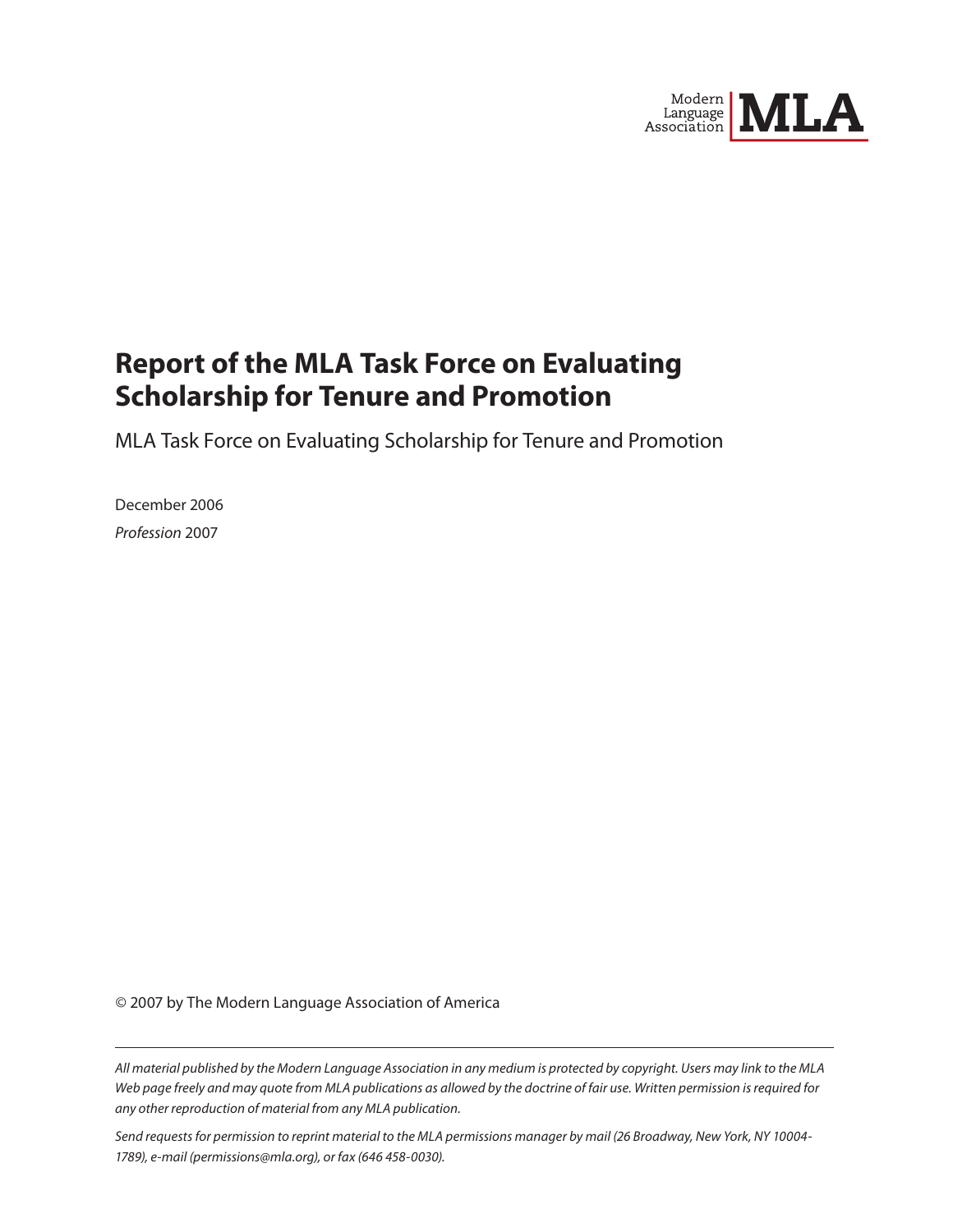

# **Report of the MLA Task Force on Evaluating Scholarship for Tenure and Promotion**

MLA Task Force on Evaluating Scholarship for Tenure and Promotion

December 2006 *Profession* 2007

© 2007 by The Modern Language Association of America

*All material published by the Modern Language Association in any medium is protected by copyright. Users may link to the MLA Web page freely and may quote from MLA publications as allowed by the doctrine of fair use. Written permission is required for any other reproduction of material from any MLA publication.*

*Send requests for permission to reprint material to the MLA permissions manager by mail (26 Broadway, New York, NY 10004- 1789), e-mail (permissions@mla.org), or fax (646 458-0030).*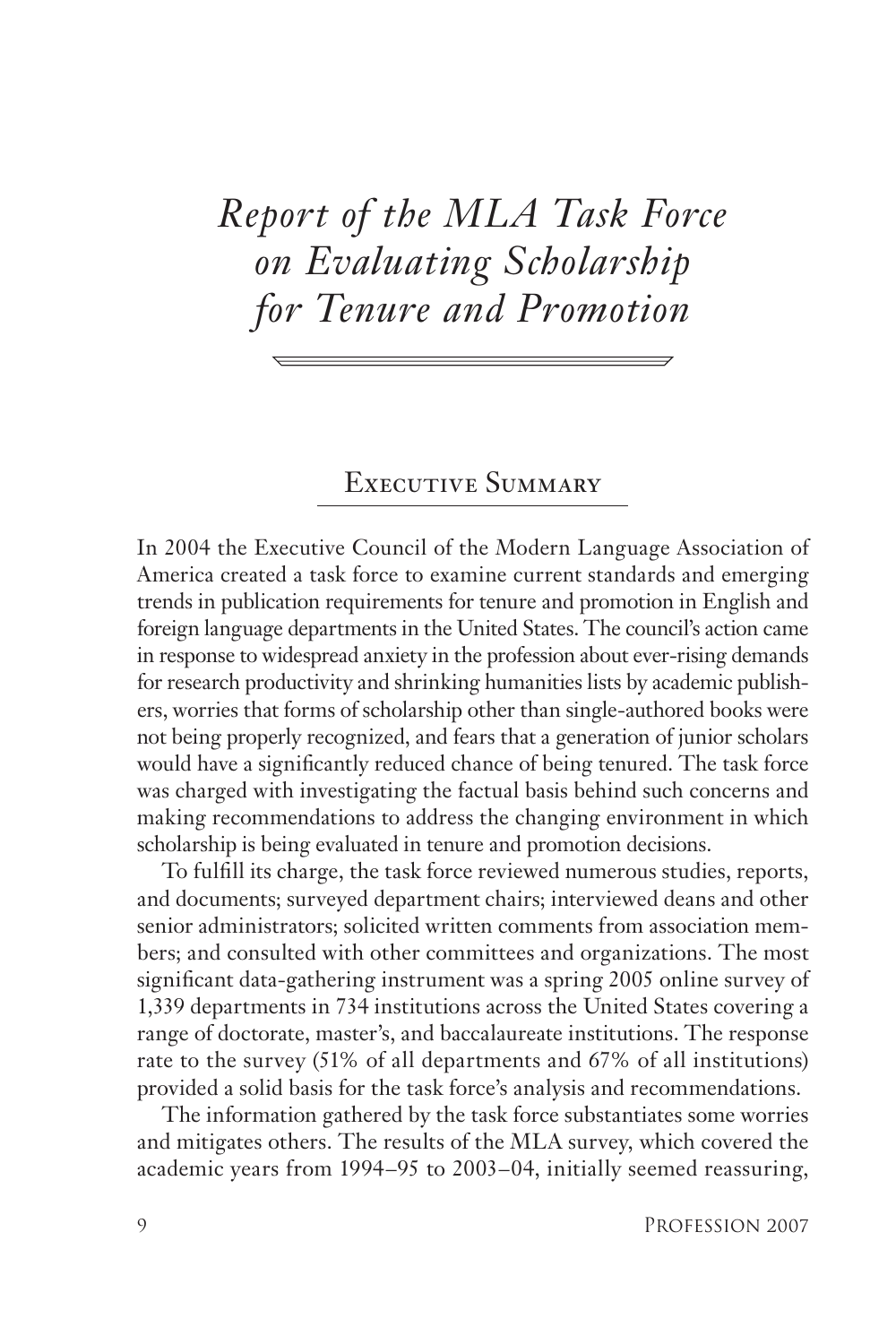# *Report of the MLA Task Force on Evaluating Scholarship for Tenure and Promotion*

# EXECUTIVE SUMMARY

In 2004 the Executive Council of the Modern Language Association of America created a task force to examine current standards and emerging trends in publication requirements for tenure and promotion in English and foreign language departments in the United States. The council's action came in response to widespread anxiety in the profession about ever-rising demands for research productivity and shrinking humanities lists by academic publish ers, worries that forms of scholarship other than single-authored books were not being properly recognized, and fears that a generation of junior scholars would have a significantly reduced chance of being tenured. The task force was charged with investigating the factual basis behind such concerns and making recommendations to address the changing environment in which scholarship is being evaluated in tenure and promotion decisions.

To fulfill its charge, the task force reviewed numerous studies, reports, and documents; surveyed department chairs; interviewed deans and other senior administrators; solicited written comments from association mem bers; and consulted with other committees and organizations. The most significant data-gathering instrument was a spring 2005 online survey of 1,339 departments in 734 institutions across the United States covering a range of doctorate, master's, and baccalaureate institutions. The response rate to the survey (51% of all departments and 67% of all institutions) provided a solid basis for the task force's analysis and recommendations.

The information gathered by the task force substantiates some worries and mitigates others. The results of the MLA survey, which covered the academic years from 1994–95 to 2003–04, initially seemed reassuring,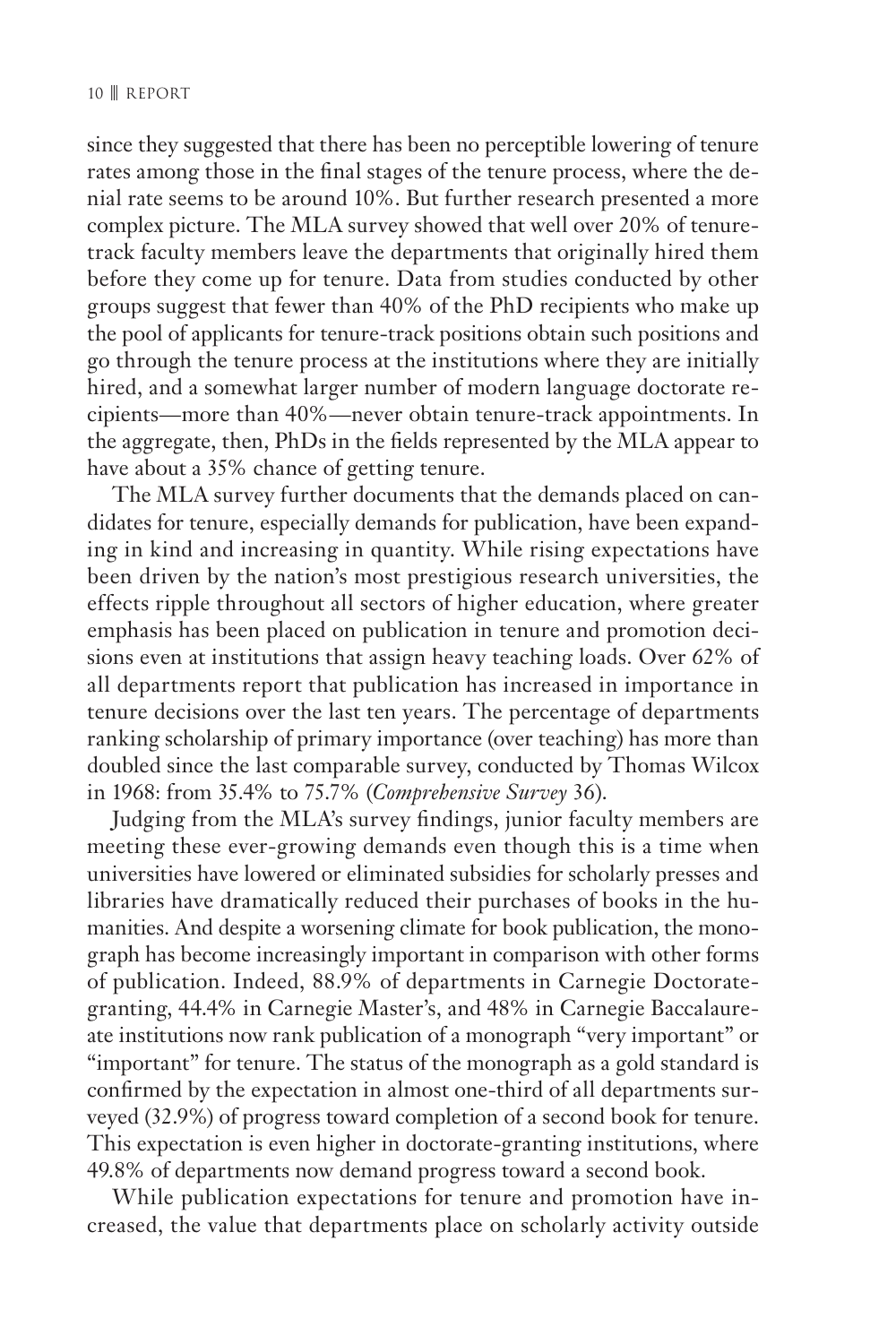since they suggested that there has been no perceptible lowering of tenure rates among those in the final stages of the tenure process, where the de nial rate seems to be around 10%. But further research presented a more complex picture. The MLA survey showed that well over 20% of tenuretrack faculty members leave the departments that originally hired them before they come up for tenure. Data from studies conducted by other groups suggest that fewer than 40% of the PhD recipients who make up the pool of applicants for tenure-track positions obtain such positions and go through the tenure process at the institutions where they are initially hired, and a somewhat larger number of modern language doctorate re cipients—more than 40%—never obtain tenure-track appointments. In the aggregate, then, PhDs in the fields represented by the MLA appear to have about a 35% chance of getting tenure.

The MLA survey further documents that the demands placed on can didates for tenure, especially demands for publication, have been expand ing in kind and increasing in quantity. While rising expectations have been driven by the nation's most prestigious research universities, the effects ripple throughout all sectors of higher education, where greater emphasis has been placed on publication in tenure and promotion deci sions even at institutions that assign heavy teaching loads. Over 62% of all departments report that publication has increased in importance in tenure decisions over the last ten years. The percentage of departments ranking scholarship of primary importance (over teaching) has more than doubled since the last comparable survey, conducted by Thomas Wilcox in 1968: from 35.4% to 75.7% (*Comprehensive Survey* 36).

Judging from the MLA's survey findings, junior faculty members are meeting these ever-growing demands even though this is a time when universities have lowered or eliminated subsidies for scholarly presses and libraries have dramatically reduced their purchases of books in the hu manities. And despite a worsening climate for book publication, the mono graph has become increasingly important in comparison with other forms of publication. Indeed, 88.9% of departments in Carnegie Doctorategranting, 44.4% in Carnegie Master's, and 48% in Carnegie Baccalaure ate institutions now rank publication of a monograph "very important" or "important" for tenure. The status of the monograph as a gold standard is confirmed by the expectation in almost one-third of all departments sur veyed (32.9%) of progress toward completion of a second book for tenure. This expectation is even higher in doctorate-granting institutions, where 49.8% of departments now demand progress toward a second book.

While publication expectations for tenure and promotion have in creased, the value that departments place on scholarly activity outside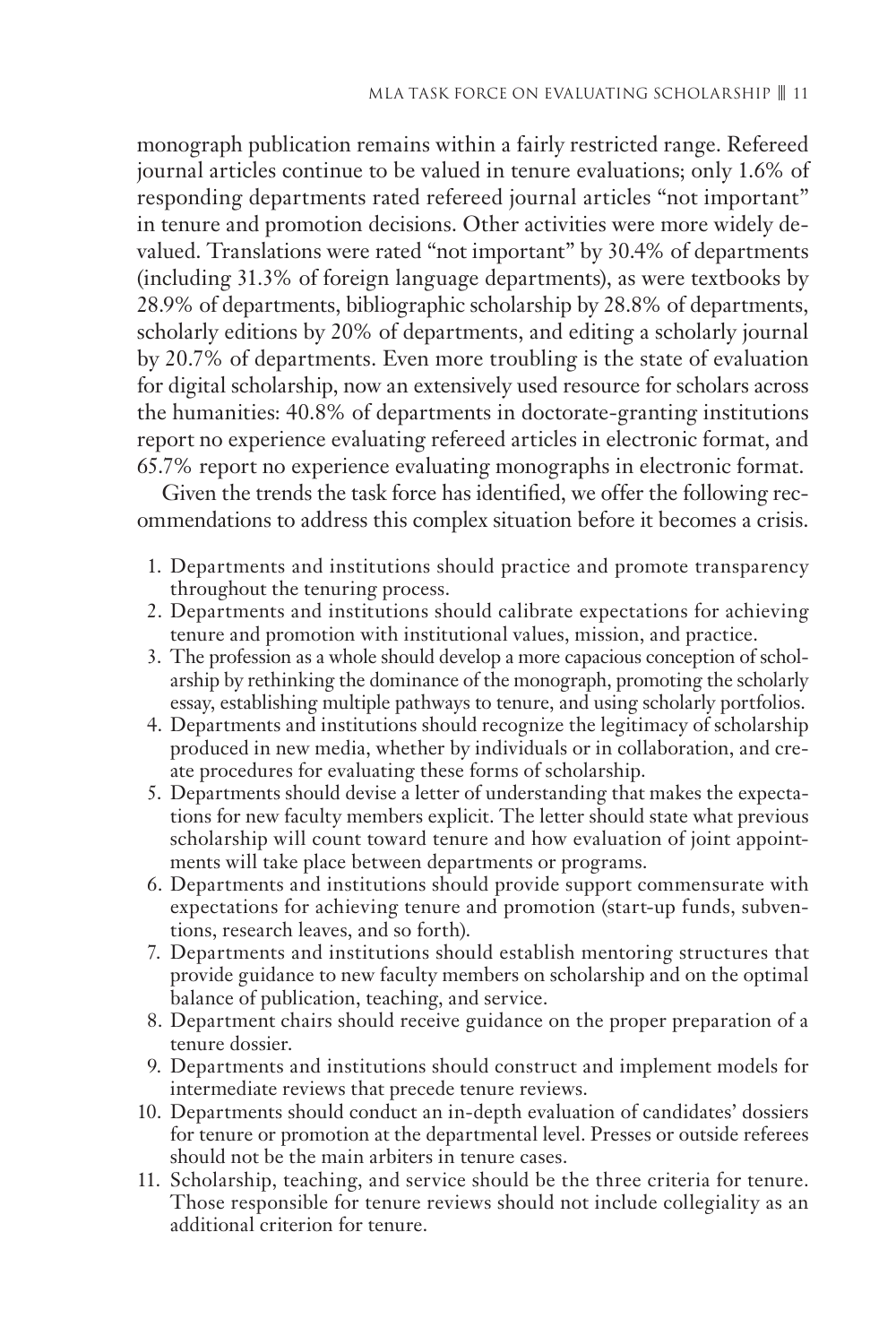monograph publication remains within a fairly restricted range. Refereed journal articles continue to be valued in tenure evaluations; only 1.6% of responding departments rated refereed journal articles "not important" in tenure and promotion decisions. Other activities were more widely de valued. Translations were rated "not important" by 30.4% of departments (including 31.3% of foreign language departments), as were textbooks by 28.9% of departments, bibliographic scholarship by 28.8% of departments, scholarly editions by 20% of departments, and editing a scholarly journal by 20.7% of departments. Even more troubling is the state of evaluation for digital scholarship, now an extensively used resource for scholars across the humanities: 40.8% of departments in doctorate-granting institutions report no experience evaluating refereed articles in electronic format, and 65.7% report no experience evaluating monographs in electronic format.

Given the trends the task force has identified, we offer the following rec ommendations to address this complex situation before it becomes a crisis.

- 1. Departments and institutions should practice and promote transparency throughout the tenuring process.
- 2. Departments and institutions should calibrate expectations for achieving tenure and promotion with institutional values, mission, and practice.
- 3. The profession as a whole should develop a more capacious conception of schol arship by rethinking the dominance of the monograph, promoting the scholarly essay, establishing multiple pathways to tenure, and using scholarly portfolios.
- 4. Departments and institutions should recognize the legitimacy of scholarship produced in new media, whether by individuals or in collaboration, and cre ate procedures for evaluating these forms of scholarship.
- 5. Departments should devise a letter of understanding that makes the expecta tions for new faculty members explicit. The letter should state what previous scholarship will count toward tenure and how evaluation of joint appoint ments will take place between departments or programs.
- 6. Departments and institutions should provide support commensurate with expectations for achieving tenure and promotion (start-up funds, subven tions, research leaves, and so forth).
- 7. Departments and institutions should establish mentoring structures that provide guidance to new faculty members on scholarship and on the optimal balance of publication, teaching, and service.
- 8. Department chairs should receive guidance on the proper preparation of a tenure dossier.
- 9. Departments and institutions should construct and implement models for intermediate reviews that precede tenure reviews.
- 10. Departments should conduct an in-depth evaluation of candidates' dossiers for tenure or promotion at the departmental level. Presses or outside referees should not be the main arbiters in tenure cases.
- 11. Scholarship, teaching, and service should be the three criteria for tenure. Those responsible for tenure reviews should not include collegiality as an additional criterion for tenure.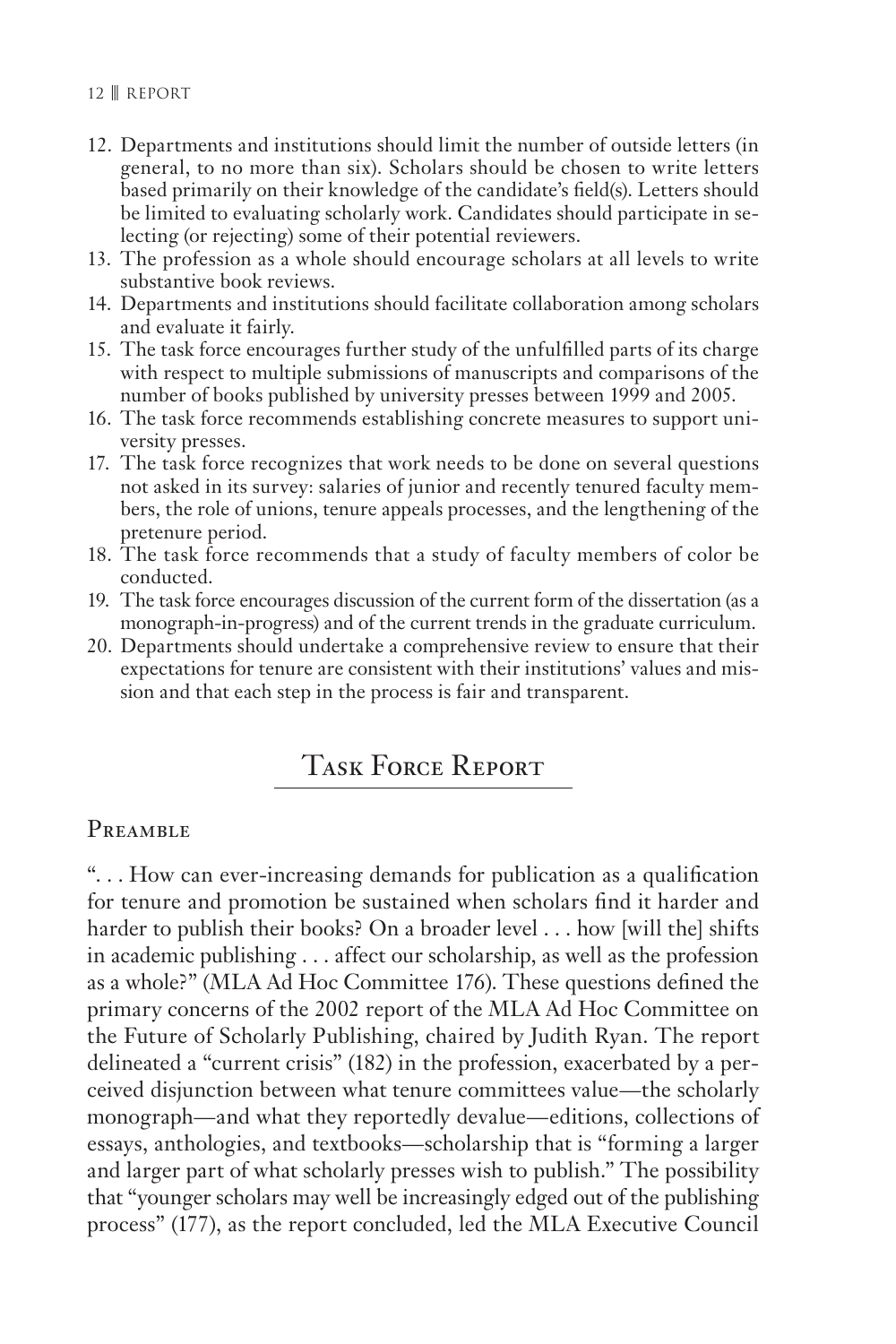#### 12 ||| report

- 12. Departments and institutions should limit the number of outside letters (in general, to no more than six). Scholars should be chosen to write letters based primarily on their knowledge of the candidate's field(s). Letters should be limited to evaluating scholarly work. Candidates should participate in se lecting (or rejecting) some of their potential reviewers.
- 13. The profession as a whole should encourage scholars at all levels to write substantive book reviews.
- 14. Departments and institutions should facilitate collaboration among scholars and evaluate it fairly.
- 15. The task force encourages further study of the unfulfilled parts of its charge with respect to multiple submissions of manuscripts and comparisons of the number of books published by university presses between 1999 and 2005.
- 16. The task force recommends establishing concrete measures to support uni versity presses.
- 17. The task force recognizes that work needs to be done on several questions not asked in its survey: salaries of junior and recently tenured faculty mem bers, the role of unions, tenure appeals processes, and the lengthening of the pretenure period.
- 18. The task force recommends that a study of faculty members of color be conducted.
- 19. The task force encourages discussion of the current form of the dissertation (as a monograph-in-progress) and of the current trends in the graduate curriculum.
- 20. Departments should undertake a comprehensive review to ensure that their expectations for tenure are consistent with their institutions' values and mis sion and that each step in the process is fair and transparent.

# TASK FORCE REPORT

## PREAMBLE

". . . How can ever-increasing demands for publication as a qualification for tenure and promotion be sustained when scholars find it harder and harder to publish their books? On a broader level . . . how [will the] shifts in academic publishing . . . affect our scholarship, as well as the profession as a whole?" (MLA Ad Hoc Committee 176). These questions defined the primary concerns of the 2002 report of the MLA Ad Hoc Committee on the Future of Scholarly Publishing, chaired by Judith Ryan. The report delineated a "current crisis" (182) in the profession, exacerbated by a per ceived disjunction between what tenure committees value—the scholarly monograph—and what they reportedly devalue—editions, collections of essays, anthologies, and textbooks—scholarship that is "forming a larger and larger part of what scholarly presses wish to publish." The possibility that "younger scholars may well be increasingly edged out of the publishing process" (177), as the report concluded, led the MLA Executive Council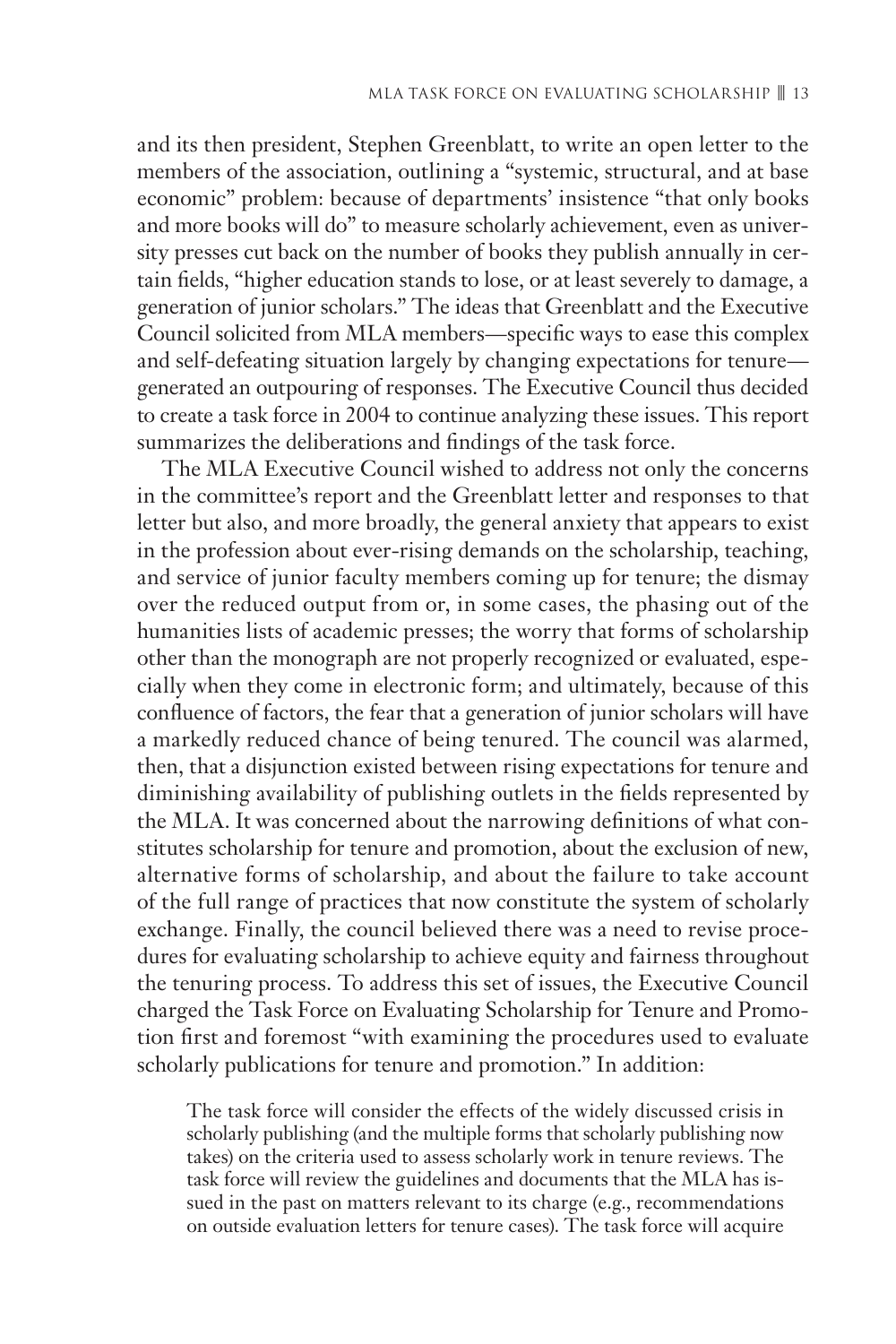and its then president, Stephen Greenblatt, to write an open letter to the members of the association, outlining a "systemic, structural, and at base economic" problem: because of departments' insistence "that only books and more books will do" to measure scholarly achievement, even as univer sity presses cut back on the number of books they publish annually in cer tain fields, "higher education stands to lose, or at least severely to damage, a generation of junior scholars." The ideas that Greenblatt and the Executive Council solicited from MLA members—specific ways to ease this complex and self-defeating situation largely by changing expectations for tenure generated an outpouring of responses. The Executive Council thus decided to create a task force in 2004 to continue analyzing these issues. This report summarizes the deliberations and findings of the task force.

The MLA Executive Council wished to address not only the concerns in the committee's report and the Greenblatt letter and responses to that letter but also, and more broadly, the general anxiety that appears to exist in the profession about ever-rising demands on the scholarship, teaching, and service of junior faculty members coming up for tenure; the dismay over the reduced output from or, in some cases, the phasing out of the humanities lists of academic presses; the worry that forms of scholarship other than the monograph are not properly recognized or evaluated, espe cially when they come in electronic form; and ultimately, because of this confluence of factors, the fear that a generation of junior scholars will have a markedly reduced chance of being tenured. The council was alarmed, then, that a disjunction existed between rising expectations for tenure and diminishing availability of publishing outlets in the fields represented by the MLA. It was concerned about the narrowing definitions of what con stitutes scholarship for tenure and promotion, about the exclusion of new, alternative forms of scholarship, and about the failure to take account of the full range of practices that now constitute the system of scholarly exchange. Finally, the council believed there was a need to revise proce dures for evaluating scholarship to achieve equity and fairness throughout the tenuring process. To address this set of issues, the Executive Council charged the Task Force on Evaluating Scholarship for Tenure and Promo tion first and foremost "with examining the procedures used to evaluate scholarly publications for tenure and promotion." In addition:

The task force will consider the effects of the widely discussed crisis in scholarly publishing (and the multiple forms that scholarly publishing now takes) on the criteria used to assess scholarly work in tenure reviews. The task force will review the guidelines and documents that the MLA has is sued in the past on matters relevant to its charge (e.g., recommendations on outside evaluation letters for tenure cases). The task force will acquire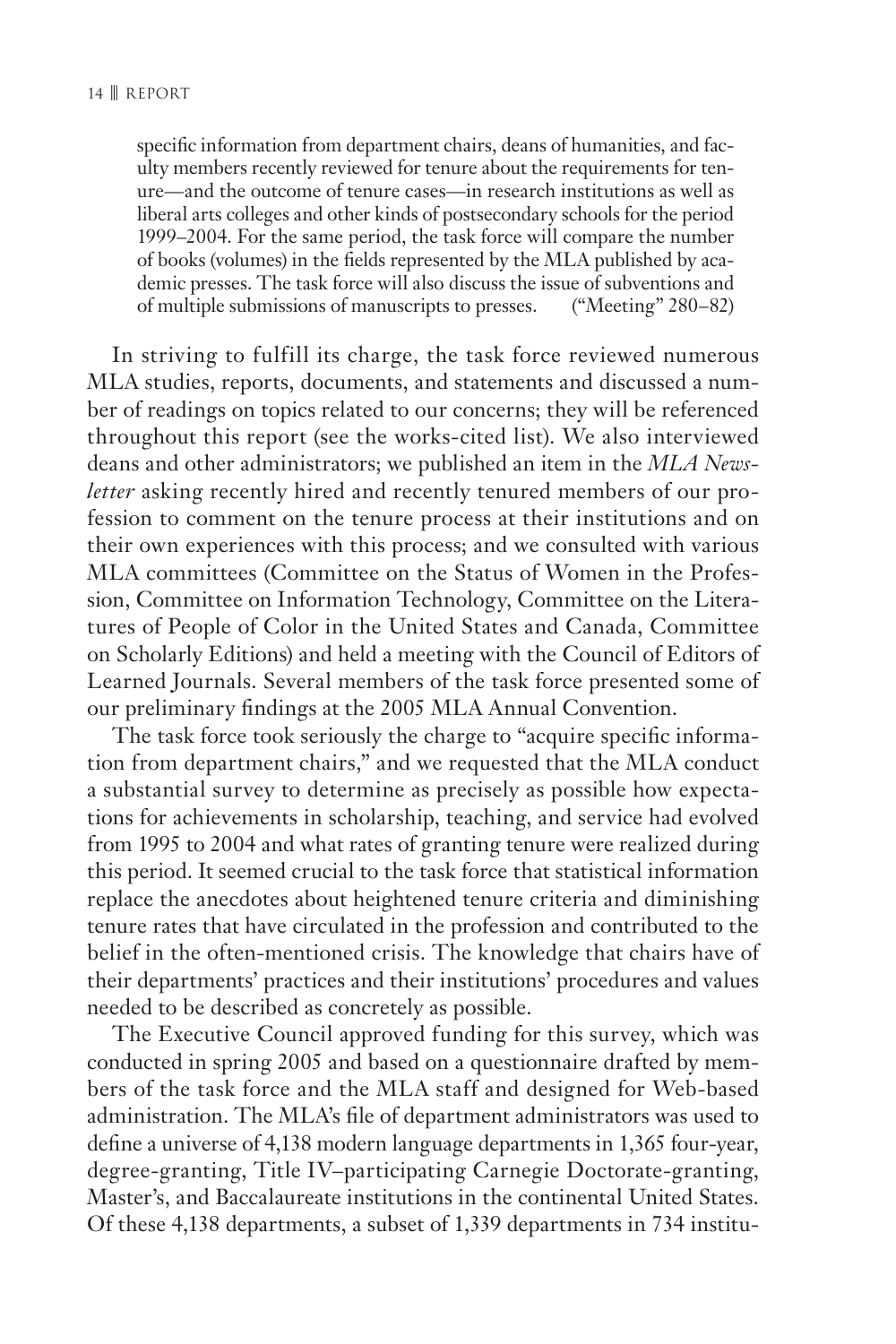specific information from department chairs, deans of humanities, and fac ulty members recently reviewed for tenure about the requirements for ten ure—and the outcome of tenure cases—in research institutions as well as liberal arts colleges and other kinds of postsecondary schools for the period 1999–2004. For the same period, the task force will compare the number of books (volumes) in the fields represented by the MLA published by aca demic presses. The task force will also discuss the issue of subventions and of multiple submissions of manuscripts to presses. ("Meeting" 280–82)

In striving to fulfill its charge, the task force reviewed numerous MLA studies, reports, documents, and statements and discussed a num ber of readings on topics related to our concerns; they will be referenced throughout this report (see the works-cited list). We also interviewed deans and other administrators; we published an item in the *MLA Newsletter* asking recently hired and recently tenured members of our pro fession to comment on the tenure process at their institutions and on their own experiences with this process; and we consulted with various MLA committees (Committee on the Status of Women in the Profes sion, Committee on Information Technology, Committee on the Litera tures of People of Color in the United States and Canada, Committee on Scholarly Editions) and held a meeting with the Council of Editors of Learned Journals. Several members of the task force presented some of our preliminary findings at the 2005 MLA Annual Convention.

The task force took seriously the charge to "acquire specific informa tion from department chairs," and we requested that the MLA conduct a substantial survey to determine as precisely as possible how expecta tions for achievements in scholarship, teaching, and service had evolved from 1995 to 2004 and what rates of granting tenure were realized during this period. It seemed crucial to the task force that statistical information replace the anecdotes about heightened tenure criteria and diminishing tenure rates that have circulated in the profession and contributed to the belief in the often-mentioned crisis. The knowledge that chairs have of their departments' practices and their institutions' procedures and values needed to be described as concretely as possible.

The Executive Council approved funding for this survey, which was conducted in spring 2005 and based on a questionnaire drafted by mem bers of the task force and the MLA staff and designed for Web-based administration. The MLA's file of department administrators was used to define a universe of 4,138 modern language departments in 1,365 four-year, degree-granting, Title IV–participating Carnegie Doctorate-granting, Master's, and Baccalaureate institutions in the continental United States. Of these 4,138 departments, a subset of 1,339 departments in 734 institu-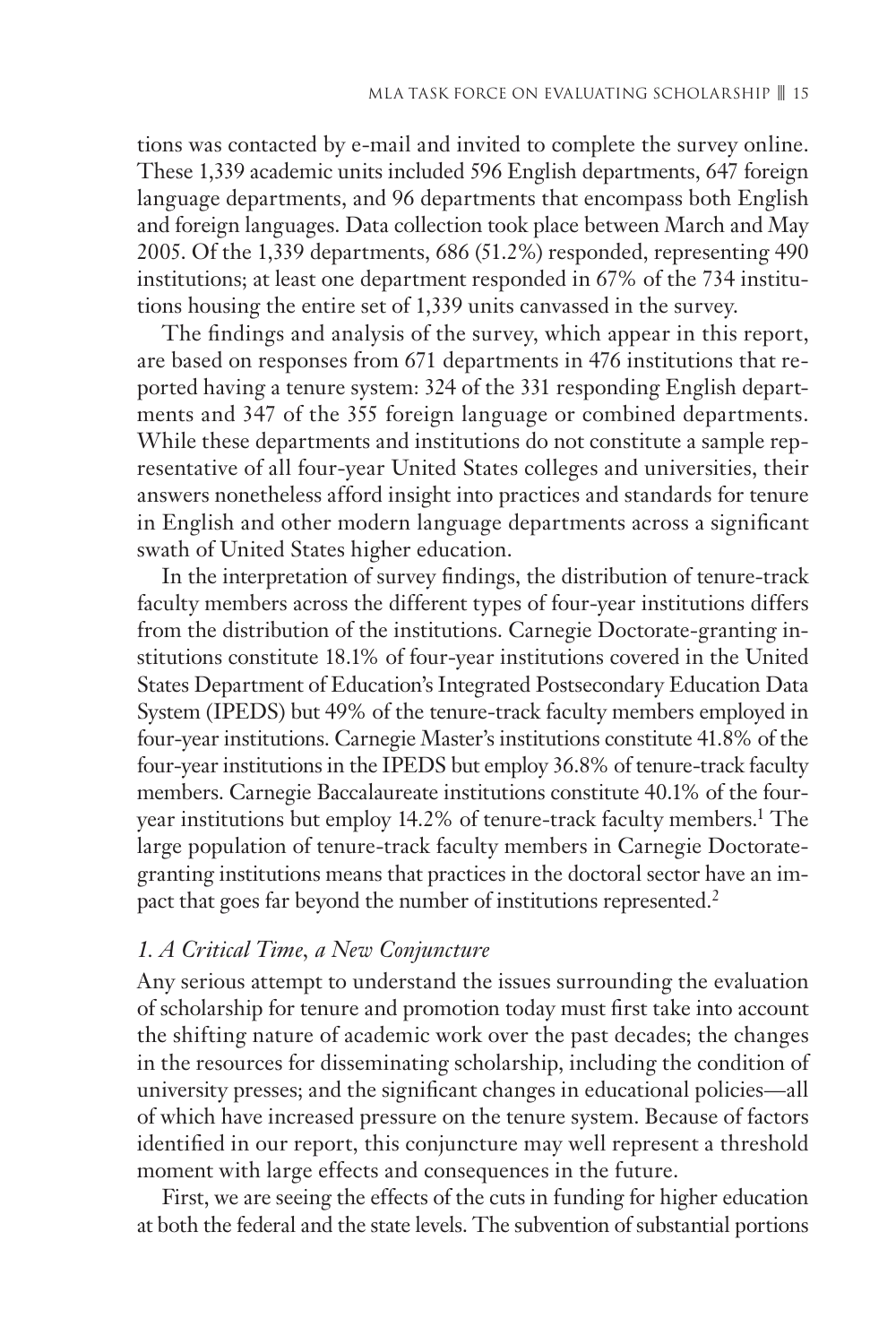tions was contacted by e-mail and invited to complete the survey online. These 1,339 academic units included 596 English departments, 647 foreign language departments, and 96 departments that encompass both English and foreign languages. Data collection took place between March and May 2005. Of the 1,339 departments, 686 (51.2%) responded, representing 490 institutions; at least one department responded in 67% of the 734 institu tions housing the entire set of 1,339 units canvassed in the survey.

The findings and analysis of the survey, which appear in this report, are based on responses from 671 departments in 476 institutions that re ported having a tenure system: 324 of the 331 responding English depart ments and 347 of the 355 foreign language or combined departments. While these departments and institutions do not constitute a sample rep resentative of all four-year United States colleges and universities, their answers nonetheless afford insight into practices and standards for tenure in English and other modern language departments across a significant swath of United States higher education.

In the interpretation of survey findings, the distribution of tenure-track faculty members across the different types of four-year institutions differs from the distribution of the institutions. Carnegie Doctorate-granting in stitutions constitute 18.1% of four-year institutions covered in the United States Department of Education's Integrated Postsecondary Education Data System (IPEDS) but 49% of the tenure-track faculty members employed in four-year institutions. Carnegie Master's institutions constitute 41.8% of the four-year institutions in the IPEDS but employ 36.8% of tenure-track faculty members. Carnegie Baccalaureate institutions constitute 40.1% of the fouryear institutions but employ 14.2% of tenure-track faculty members.<sup>1</sup> The large population of tenure-track faculty members in Carnegie Doctorategranting institutions means that practices in the doctoral sector have an im pact that goes far beyond the number of institutions represented.<sup>2</sup>

#### *1. A Critical Time, a New Conjuncture*

Any serious attempt to understand the issues surrounding the evaluation of scholarship for tenure and promotion today must first take into account the shifting nature of academic work over the past decades; the changes in the resources for disseminating scholarship, including the condition of university presses; and the significant changes in educational policies—all of which have increased pressure on the tenure system. Because of factors identified in our report, this conjuncture may well represent a threshold moment with large effects and consequences in the future.

First, we are seeing the effects of the cuts in funding for higher education at both the federal and the state levels. The subvention of substantial portions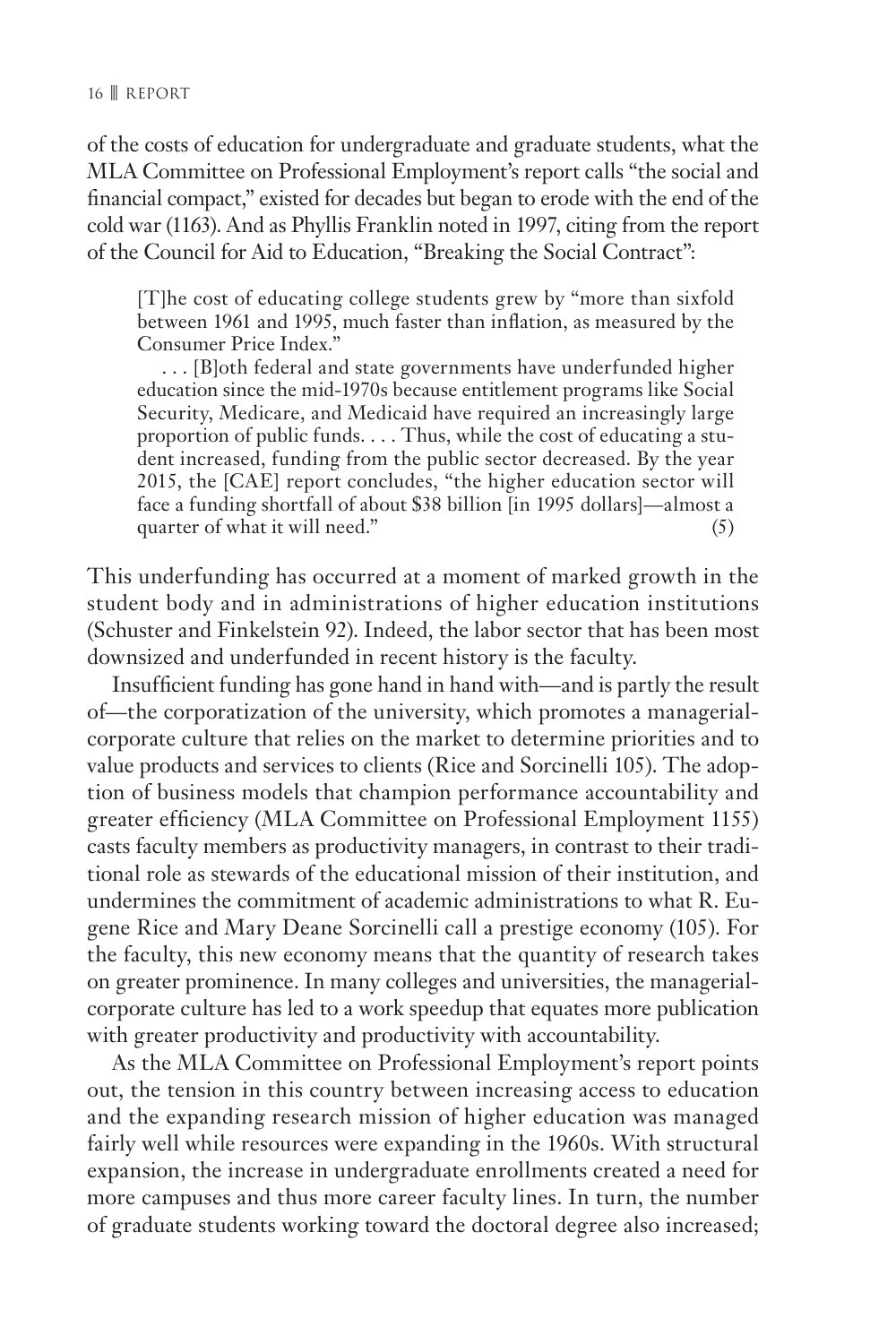of the costs of education for undergraduate and graduate students, what the MLA Committee on Professional Employment's report calls "the social and financial compact," existed for decades but began to erode with the end of the cold war (1163). And as Phyllis Franklin noted in 1997, citing from the report of the Council for Aid to Education, "Breaking the Social Contract":

[T]he cost of educating college students grew by "more than sixfold between 1961 and 1995, much faster than inflation, as measured by the Consumer Price Index."

. . . [B]oth federal and state governments have underfunded higher education since the mid-1970s because entitlement programs like Social Security, Medicare, and Medicaid have required an increasingly large proportion of public funds. . . . Thus, while the cost of educating a stu dent increased, funding from the public sector decreased. By the year 2015, the [CAE] report concludes, "the higher education sector will face a funding shortfall of about \$38 billion [in 1995 dollars]—almost a quarter of what it will need." (5)

This underfunding has occurred at a moment of marked growth in the student body and in administrations of higher education institutions (Schuster and Finkelstein 92). Indeed, the labor sector that has been most downsized and underfunded in recent history is the faculty.

Insufficient funding has gone hand in hand with—and is partly the result of—the corporatization of the university, which promotes a managerialcorporate culture that relies on the market to determine priorities and to value products and services to clients (Rice and Sorcinelli 105). The adop tion of business models that champion performance accountability and greater efficiency (MLA Committee on Professional Employment 1155) casts faculty members as productivity managers, in contrast to their tradi tional role as stewards of the educational mission of their institution, and undermines the commitment of academic administrations to what R. Eu gene Rice and Mary Deane Sorcinelli call a prestige economy (105). For the faculty, this new economy means that the quantity of research takes on greater prominence. In many colleges and universities, the managerialcorporate culture has led to a work speedup that equates more publication with greater productivity and productivity with accountability.

As the MLA Committee on Professional Employment's report points out, the tension in this country between increasing access to education and the expanding research mission of higher education was managed fairly well while resources were expanding in the 1960s. With structural expansion, the increase in undergraduate enrollments created a need for more campuses and thus more career faculty lines. In turn, the number of graduate students working toward the doctoral degree also increased;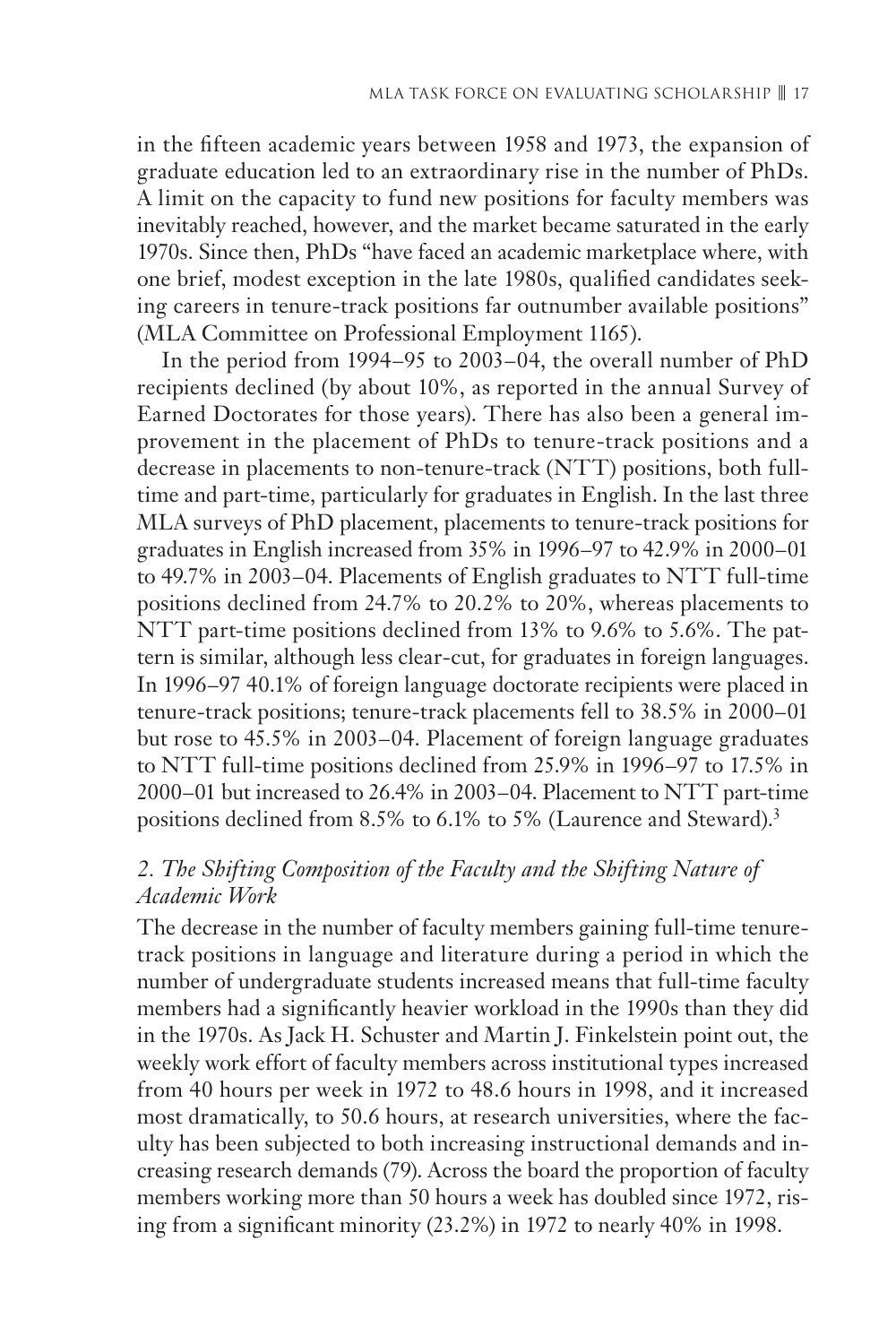in the fifteen academic years between 1958 and 1973, the expansion of graduate education led to an extraordinary rise in the number of PhDs. A limit on the capacity to fund new positions for faculty members was inevitably reached, however, and the market became saturated in the early 1970s. Since then, PhDs "have faced an academic marketplace where, with one brief, modest exception in the late 1980s, qualified candidates seek ing careers in tenure-track positions far outnumber available positions" (MLA Committee on Professional Employment 1165).

In the period from 1994–95 to 2003–04, the overall number of PhD recipients declined (by about 10%, as reported in the annual Survey of Earned Doctorates for those years). There has also been a general im provement in the placement of PhDs to tenure-track positions and a decrease in placements to non-tenure-track (NTT) positions, both fulltime and part-time, particularly for graduates in English. In the last three MLA surveys of PhD placement, placements to tenure-track positions for graduates in English increased from 35% in 1996–97 to 42.9% in 2000–01 to 49.7% in 2003–04. Placements of English graduates to NTT full-time positions declined from 24.7% to 20.2% to 20%, whereas placements to NTT part-time positions declined from 13% to 9.6% to 5.6%. The pat tern is similar, although less clear-cut, for graduates in foreign languages. In 1996–97 40.1% of foreign language doctorate recipients were placed in tenure-track positions; tenure-track placements fell to 38.5% in 2000–01 but rose to 45.5% in 2003–04. Placement of foreign language graduates to NTT full-time positions declined from 25.9% in 1996–97 to 17.5% in 2000–01 but increased to 26.4% in 2003–04. Placement to NTT part-time positions declined from 8.5% to 6.1% to 5% (Laurence and Steward).<sup>3</sup>

## *2. The Shifting Composition of the Faculty and the Shifting Nature of Academic Work*

The decrease in the number of faculty members gaining full-time tenuretrack positions in language and literature during a period in which the number of undergraduate students increased means that full-time faculty members had a significantly heavier workload in the 1990s than they did in the 1970s. As Jack H. Schuster and Martin J. Finkelstein point out, the weekly work effort of faculty members across institutional types increased from 40 hours per week in 1972 to 48.6 hours in 1998, and it increased most dramatically, to 50.6 hours, at research universities, where the fac ulty has been subjected to both increasing instructional demands and in creasing research demands (79). Across the board the proportion of faculty members working more than 50 hours a week has doubled since 1972, ris ing from a significant minority (23.2%) in 1972 to nearly 40% in 1998.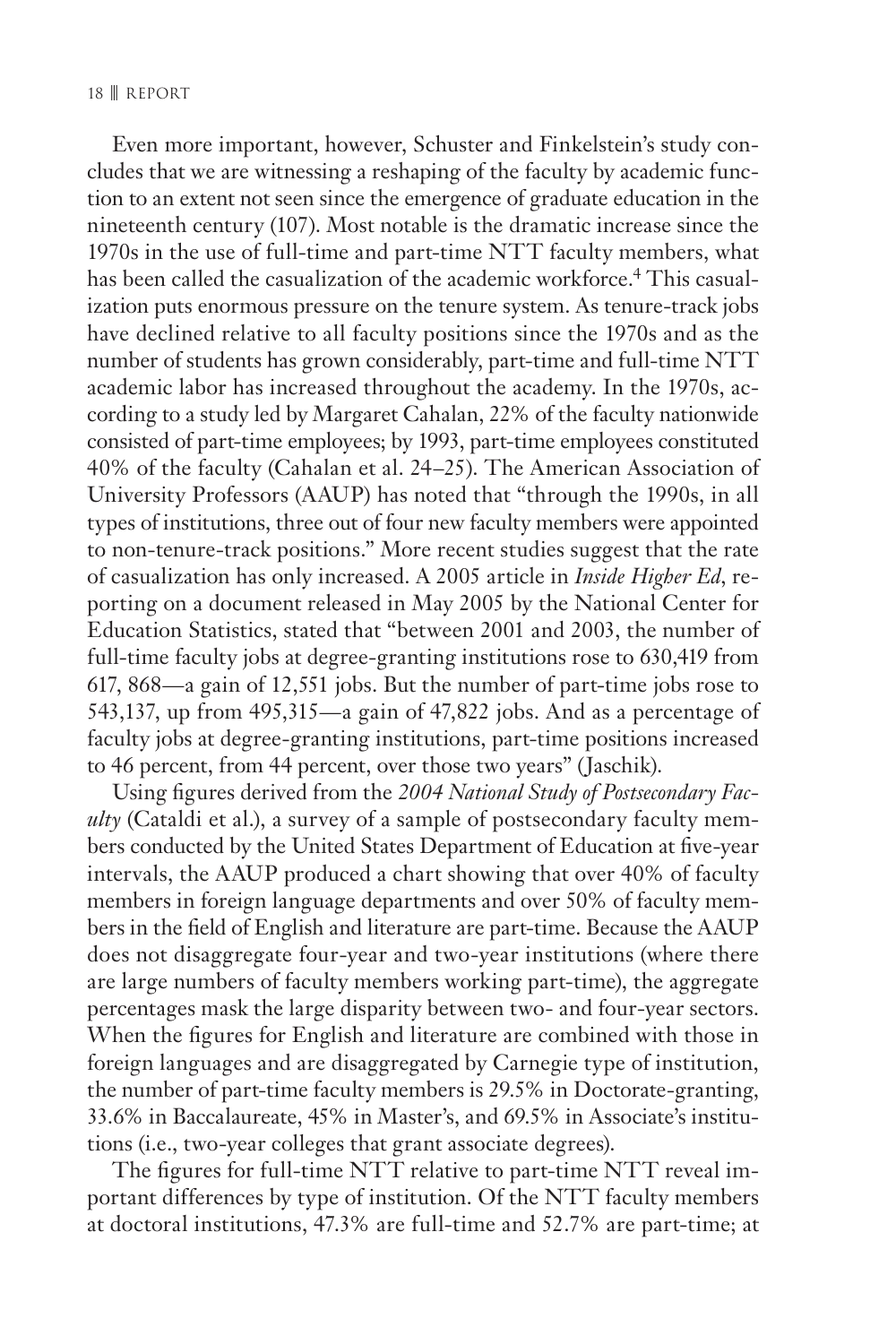Even more important, however, Schuster and Finkelstein's study con cludes that we are witnessing a reshaping of the faculty by academic func tion to an extent not seen since the emergence of graduate education in the nineteenth century (107). Most notable is the dramatic increase since the 1970s in the use of full-time and part-time NTT faculty members, what has been called the casualization of the academic workforce.<sup>4</sup> This casualization puts enormous pressure on the tenure system. As tenure-track jobs have declined relative to all faculty positions since the 1970s and as the number of students has grown considerably, part-time and full-time NTT academic labor has increased throughout the academy. In the 1970s, ac cording to a study led by Margaret Cahalan, 22% of the faculty nationwide consisted of part-time employees; by 1993, part-time employees constituted 40% of the faculty (Cahalan et al. 24–25). The American Association of University Professors (AAUP) has noted that "through the 1990s, in all types of institutions, three out of four new faculty members were appointed to non-tenure-track positions." More recent studies suggest that the rate of casualization has only increased. A 2005 article in *Inside Higher Ed*, re porting on a document released in May 2005 by the National Center for Education Statistics, stated that "between 2001 and 2003, the number of full-time faculty jobs at degree-granting institutions rose to 630,419 from 617, 868—a gain of 12,551 jobs. But the number of part-time jobs rose to 543,137, up from 495,315—a gain of 47,822 jobs. And as a percentage of faculty jobs at degree-granting institutions, part-time positions increased to 46 percent, from 44 percent, over those two years" (Jaschik).

Using figures derived from the *2004 National Study of Postsecondary Faculty* (Cataldi et al.), a survey of a sample of postsecondary faculty mem bers conducted by the United States Department of Education at five-year intervals, the AAUP produced a chart showing that over 40% of faculty members in foreign language departments and over 50% of faculty mem bers in the field of English and literature are part-time. Because the AAUP does not disaggregate four-year and two-year institutions (where there are large numbers of faculty members working part-time), the aggregate percentages mask the large disparity between two- and four-year sectors. When the figures for English and literature are combined with those in foreign languages and are disaggregated by Carnegie type of institution, the number of part-time faculty members is 29.5% in Doctorate-granting, 33.6% in Baccalaureate, 45% in Master's, and 69.5% in Associate's institu tions (i.e., two-year colleges that grant associate degrees).

The figures for full-time NTT relative to part-time NTT reveal im portant differences by type of institution. Of the NTT faculty members at doctoral institutions, 47.3% are full-time and 52.7% are part-time; at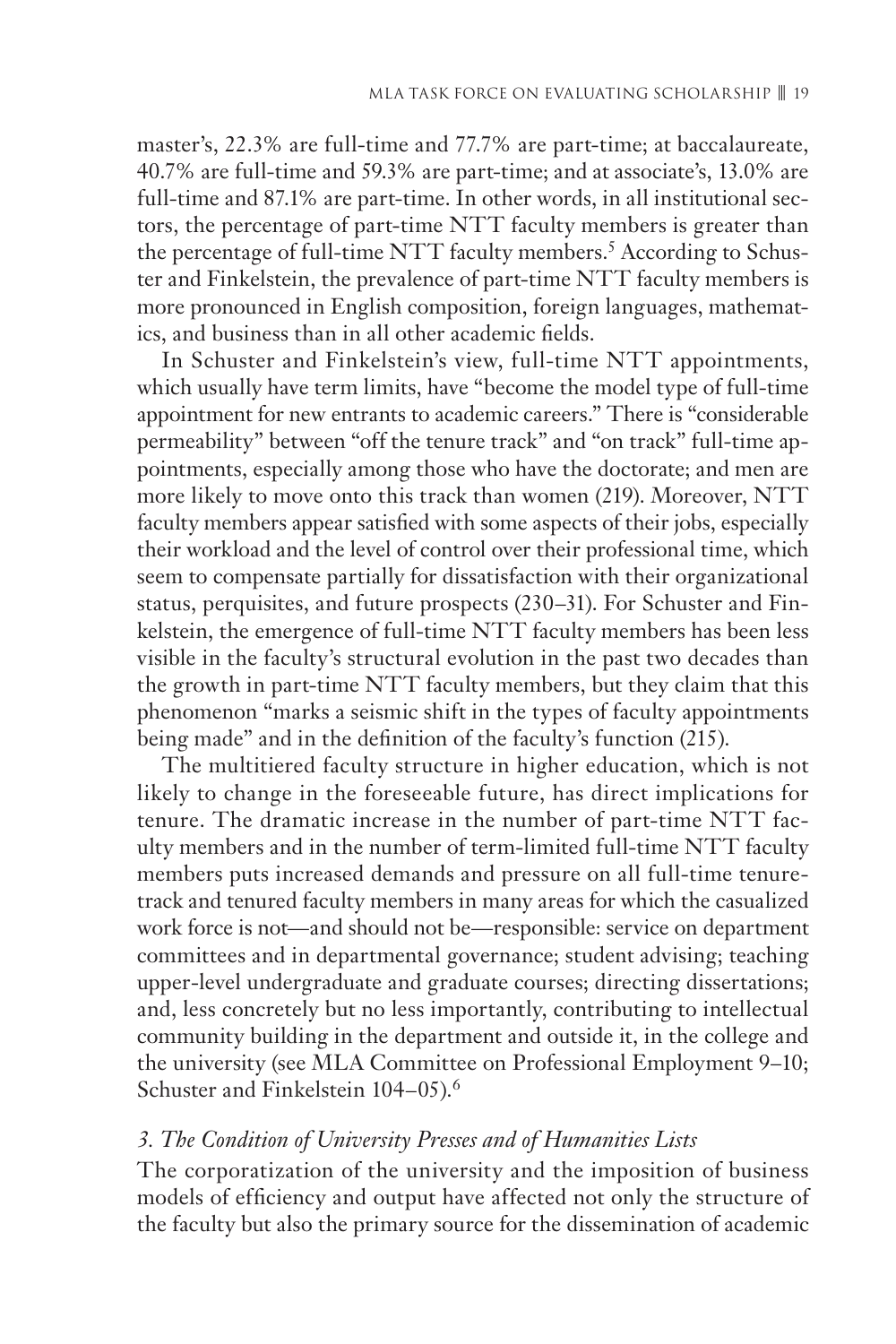master's, 22.3% are full-time and 77.7% are part-time; at baccalaureate, 40.7% are full-time and 59.3% are part-time; and at associate's, 13.0% are full-time and 87.1% are part-time. In other words, in all institutional sec tors, the percentage of part-time NTT faculty members is greater than the percentage of full-time NTT faculty members.<sup>5</sup> According to Schuster and Finkelstein, the prevalence of part-time NTT faculty members is more pronounced in English composition, foreign languages, mathemat ics, and business than in all other academic fields.

In Schuster and Finkelstein's view, full-time NTT appointments, which usually have term limits, have "become the model type of full-time appointment for new entrants to academic careers." There is "considerable permeability" between "off the tenure track" and "on track" full-time ap pointments, especially among those who have the doctorate; and men are more likely to move onto this track than women (219). Moreover, NTT faculty members appear satisfied with some aspects of their jobs, especially their workload and the level of control over their professional time, which seem to compensate partially for dissatisfaction with their organizational status, perquisites, and future prospects (230–31). For Schuster and Fin kelstein, the emergence of full-time NTT faculty members has been less visible in the faculty's structural evolution in the past two decades than the growth in part-time NTT faculty members, but they claim that this phenomenon "marks a seismic shift in the types of faculty appointments being made" and in the definition of the faculty's function (215).

The multitiered faculty structure in higher education, which is not likely to change in the foreseeable future, has direct implications for tenure. The dramatic increase in the number of part-time NTT fac ulty members and in the number of term-limited full-time NTT faculty members puts increased demands and pressure on all full-time tenuretrack and tenured faculty members in many areas for which the casualized work force is not—and should not be—responsible: service on department committees and in departmental governance; student advising; teaching upper-level undergraduate and graduate courses; directing dissertations; and, less concretely but no less importantly, contributing to intellectual community building in the department and outside it, in the college and the university (see MLA Committee on Professional Employment 9–10; Schuster and Finkelstein 104–05).<sup>6</sup>

## *3. The Condition of University Presses and of Humanities Lists*

The corporatization of the university and the imposition of business models of efficiency and output have affected not only the structure of the faculty but also the primary source for the dissemination of academic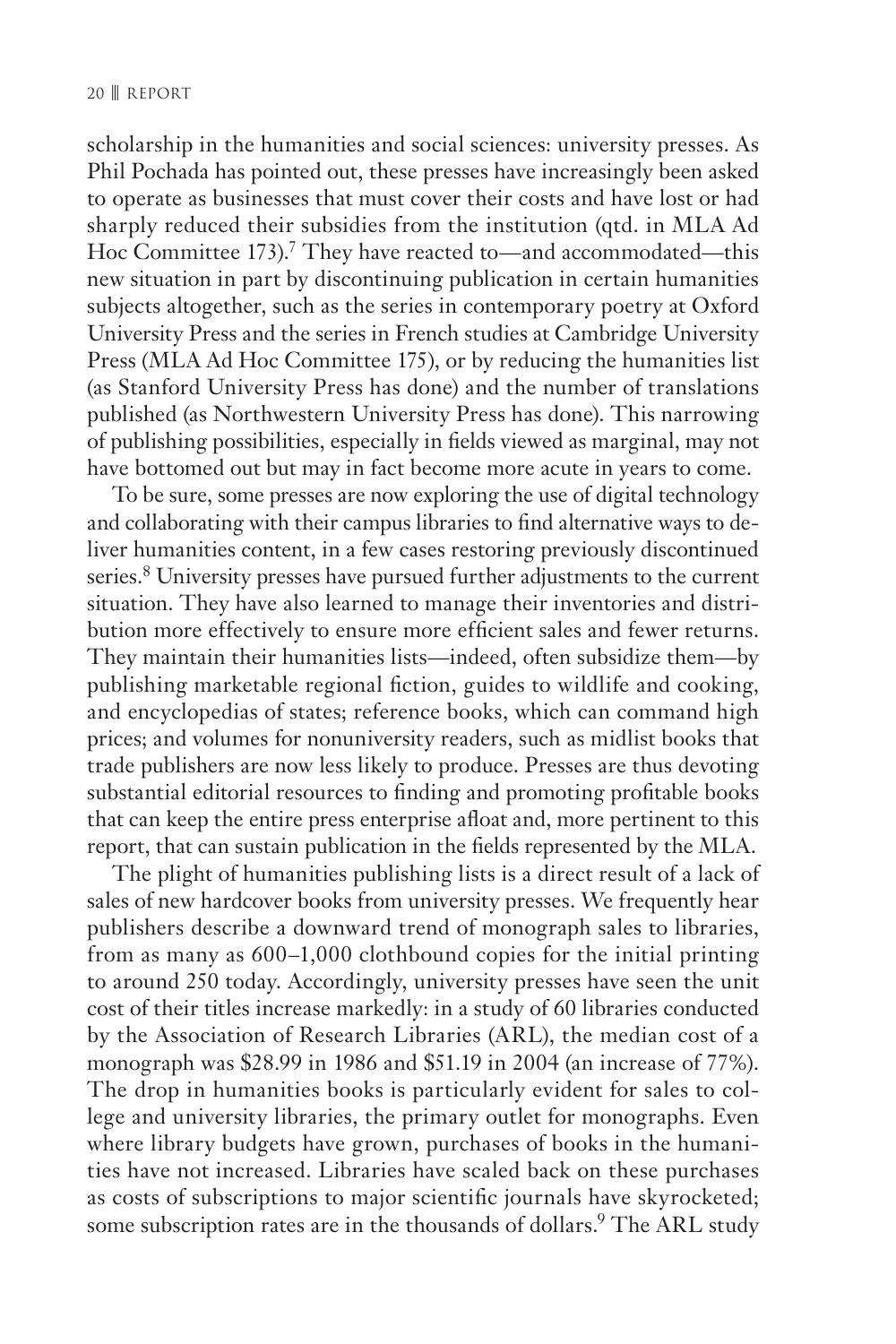scholarship in the humanities and social sciences: university presses. As Phil Pochada has pointed out, these presses have increasingly been asked to operate as businesses that must cover their costs and have lost or had sharply reduced their subsidies from the institution (qtd. in MLA Ad Hoc Committee 173).<sup>7</sup> They have reacted to—and accommodated—this new situation in part by discontinuing publication in certain humanities subjects altogether, such as the series in contemporary poetry at Oxford University Press and the series in French studies at Cambridge University Press (MLA Ad Hoc Committee 175), or by reducing the humanities list (as Stanford University Press has done) and the number of translations published (as Northwestern University Press has done). This narrowing of publishing possibilities, especially in fields viewed as marginal, may not have bottomed out but may in fact become more acute in years to come.

To be sure, some presses are now exploring the use of digital technology and collaborating with their campus libraries to find alternative ways to de liver humanities content, in a few cases restoring previously discontinued series.8 University presses have pursued further adjustments to the current situation. They have also learned to manage their inventories and distri bution more effectively to ensure more efficient sales and fewer returns. They maintain their humanities lists—indeed, often subsidize them—by publishing marketable regional fiction, guides to wildlife and cooking, and encyclopedias of states; reference books, which can command high prices; and volumes for nonuniversity readers, such as midlist books that trade publishers are now less likely to produce. Presses are thus devoting substantial editorial resources to finding and promoting profitable books that can keep the entire press enterprise afloat and, more pertinent to this report, that can sustain publication in the fields represented by the MLA.

The plight of humanities publishing lists is a direct result of a lack of sales of new hardcover books from university presses. We frequently hear publishers describe a downward trend of monograph sales to libraries, from as many as 600–1,000 clothbound copies for the initial printing to around 250 today. Accordingly, university presses have seen the unit cost of their titles increase markedly: in a study of 60 libraries conducted by the Association of Research Libraries (ARL), the median cost of a monograph was \$28.99 in 1986 and \$51.19 in 2004 (an increase of 77%). The drop in humanities books is particularly evident for sales to col lege and university libraries, the primary outlet for monographs. Even where library budgets have grown, purchases of books in the humani ties have not increased. Libraries have scaled back on these purchases as costs of subscriptions to major scientific journals have skyrocketed; some subscription rates are in the thousands of dollars.<sup>9</sup> The ARL study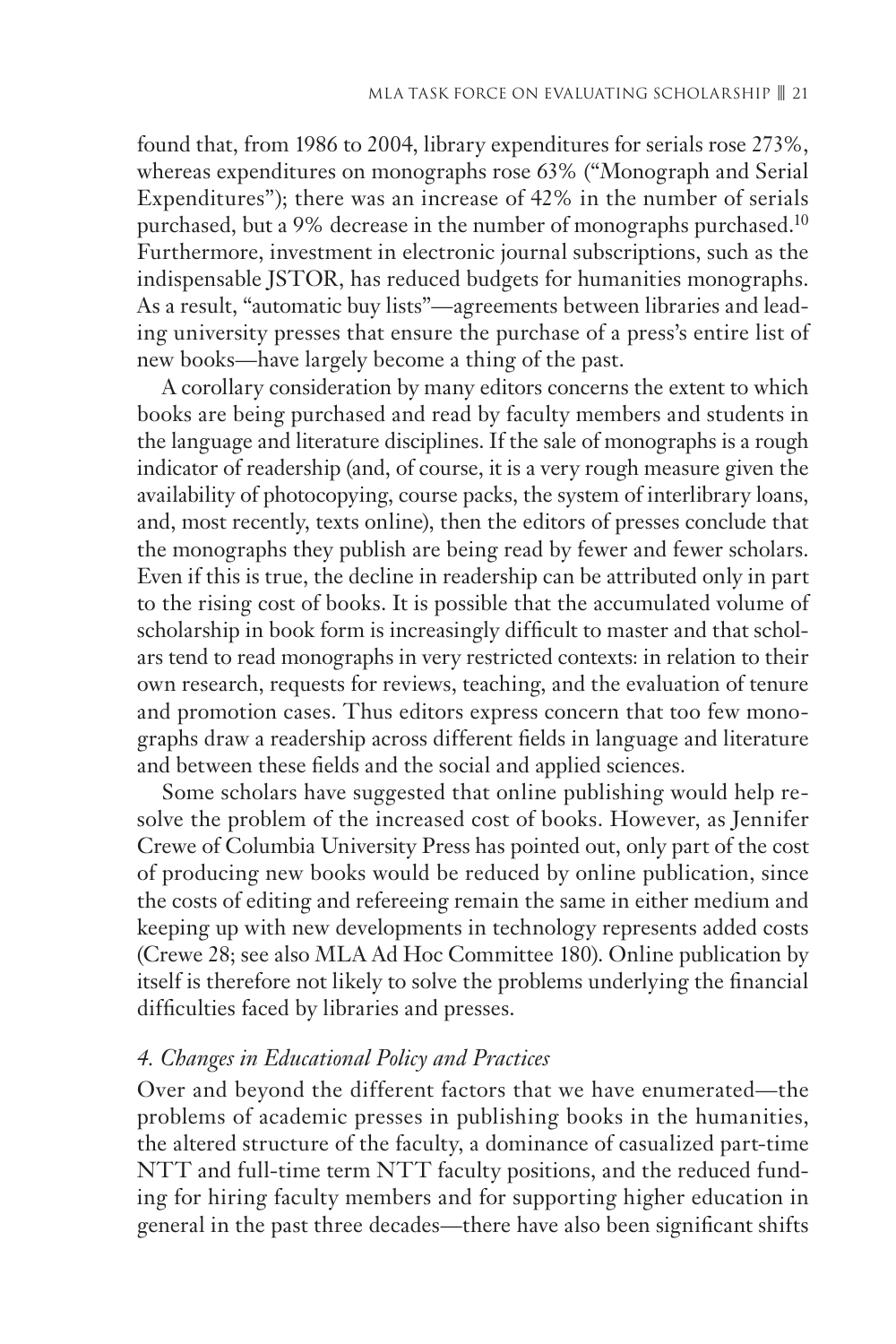found that, from 1986 to 2004, library expenditures for serials rose 273%, whereas expenditures on monographs rose 63% ("Monograph and Serial Expenditures"); there was an increase of 42% in the number of serials purchased, but a 9% decrease in the number of monographs purchased.10 Furthermore, investment in electronic journal subscriptions, such as the indispensable JSTOR, has reduced budgets for humanities monographs. As a result, "automatic buy lists"—agreements between libraries and lead ing university presses that ensure the purchase of a press's entire list of new books—have largely become a thing of the past.

A corollary consideration by many editors concerns the extent to which books are being purchased and read by faculty members and students in the language and literature disciplines. If the sale of monographs is a rough indicator of readership (and, of course, it is a very rough measure given the availability of photocopying, course packs, the system of interlibrary loans, and, most recently, texts online), then the editors of presses conclude that the monographs they publish are being read by fewer and fewer scholars. Even if this is true, the decline in readership can be attributed only in part to the rising cost of books. It is possible that the accumulated volume of scholarship in book form is increasingly difficult to master and that schol ars tend to read monographs in very restricted contexts: in relation to their own research, requests for reviews, teaching, and the evaluation of tenure and promotion cases. Thus editors express concern that too few mono graphs draw a readership across different fields in language and literature and between these fields and the social and applied sciences.

Some scholars have suggested that online publishing would help re solve the problem of the increased cost of books. However, as Jennifer Crewe of Columbia University Press has pointed out, only part of the cost of producing new books would be reduced by online publication, since the costs of editing and refereeing remain the same in either medium and keeping up with new developments in technology represents added costs (Crewe 28; see also MLA Ad Hoc Committee 180). Online publication by itself is therefore not likely to solve the problems underlying the financial difficulties faced by libraries and presses.

## *4. Changes in Educational Policy and Practices*

Over and beyond the different factors that we have enumerated—the problems of academic presses in publishing books in the humanities, the altered structure of the faculty, a dominance of casualized part-time NTT and full-time term NTT faculty positions, and the reduced fund ing for hiring faculty members and for supporting higher education in general in the past three decades—there have also been significant shifts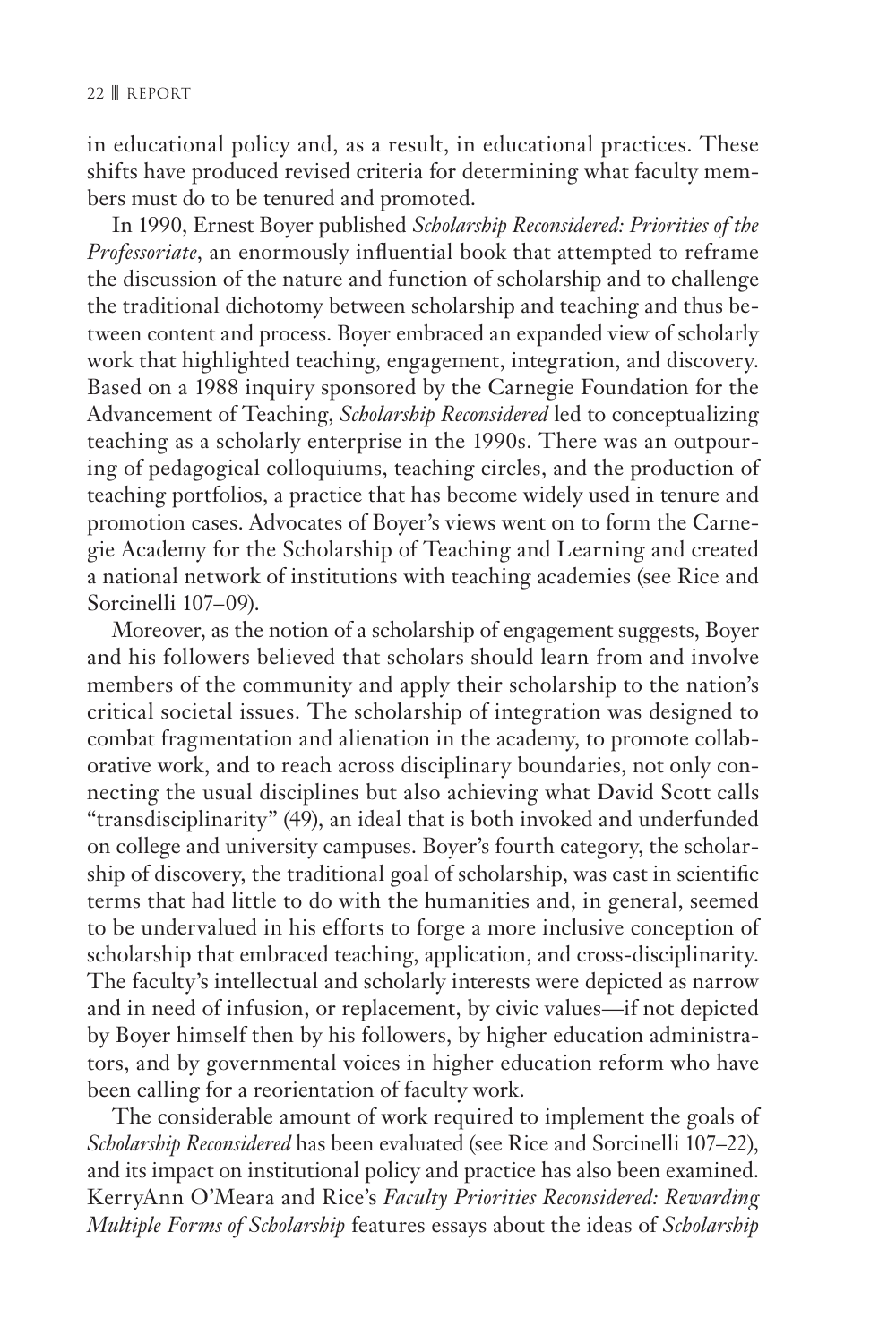in educational policy and, as a result, in educational practices. These shifts have produced revised criteria for determining what faculty mem bers must do to be tenured and promoted.

In 1990, Ernest Boyer published *Scholarship Reconsidered: Priorities of the Professoriate*, an enormously influential book that attempted to reframe the discussion of the nature and function of scholarship and to challenge the traditional dichotomy between scholarship and teaching and thus be tween content and process. Boyer embraced an expanded view of scholarly work that highlighted teaching, engagement, integration, and discovery. Based on a 1988 inquiry sponsored by the Carnegie Foundation for the Advancement of Teaching, *Scholarship Reconsidered* led to conceptualizing teaching as a scholarly enterprise in the 1990s. There was an outpour ing of pedagogical colloquiums, teaching circles, and the production of teaching portfolios, a practice that has become widely used in tenure and promotion cases. Advocates of Boyer's views went on to form the Carne gie Academy for the Scholarship of Teaching and Learning and created a national network of institutions with teaching academies (see Rice and Sorcinelli 107–09).

Moreover, as the notion of a scholarship of engagement suggests, Boyer and his followers believed that scholars should learn from and involve members of the community and apply their scholarship to the nation's critical societal issues. The scholarship of integration was designed to combat fragmentation and alienation in the academy, to promote collab orative work, and to reach across disciplinary boundaries, not only con necting the usual disciplines but also achieving what David Scott calls "transdisciplinarity" (49), an ideal that is both invoked and underfunded on college and university campuses. Boyer's fourth category, the scholar ship of discovery, the traditional goal of scholarship, was cast in scientific terms that had little to do with the humanities and, in general, seemed to be undervalued in his efforts to forge a more inclusive conception of scholarship that embraced teaching, application, and cross-disciplinarity. The faculty's intellectual and scholarly interests were depicted as narrow and in need of infusion, or replacement, by civic values—if not depicted by Boyer himself then by his followers, by higher education administra tors, and by governmental voices in higher education reform who have been calling for a reorientation of faculty work.

The considerable amount of work required to implement the goals of *Scholarship Reconsidered* has been evaluated (see Rice and Sorcinelli 107–22), and its impact on institutional policy and practice has also been examined. KerryAnn O'Meara and Rice's *Faculty Priorities Reconsidered: Rewarding Multiple Forms of Scholarship* features essays about the ideas of *Scholarship*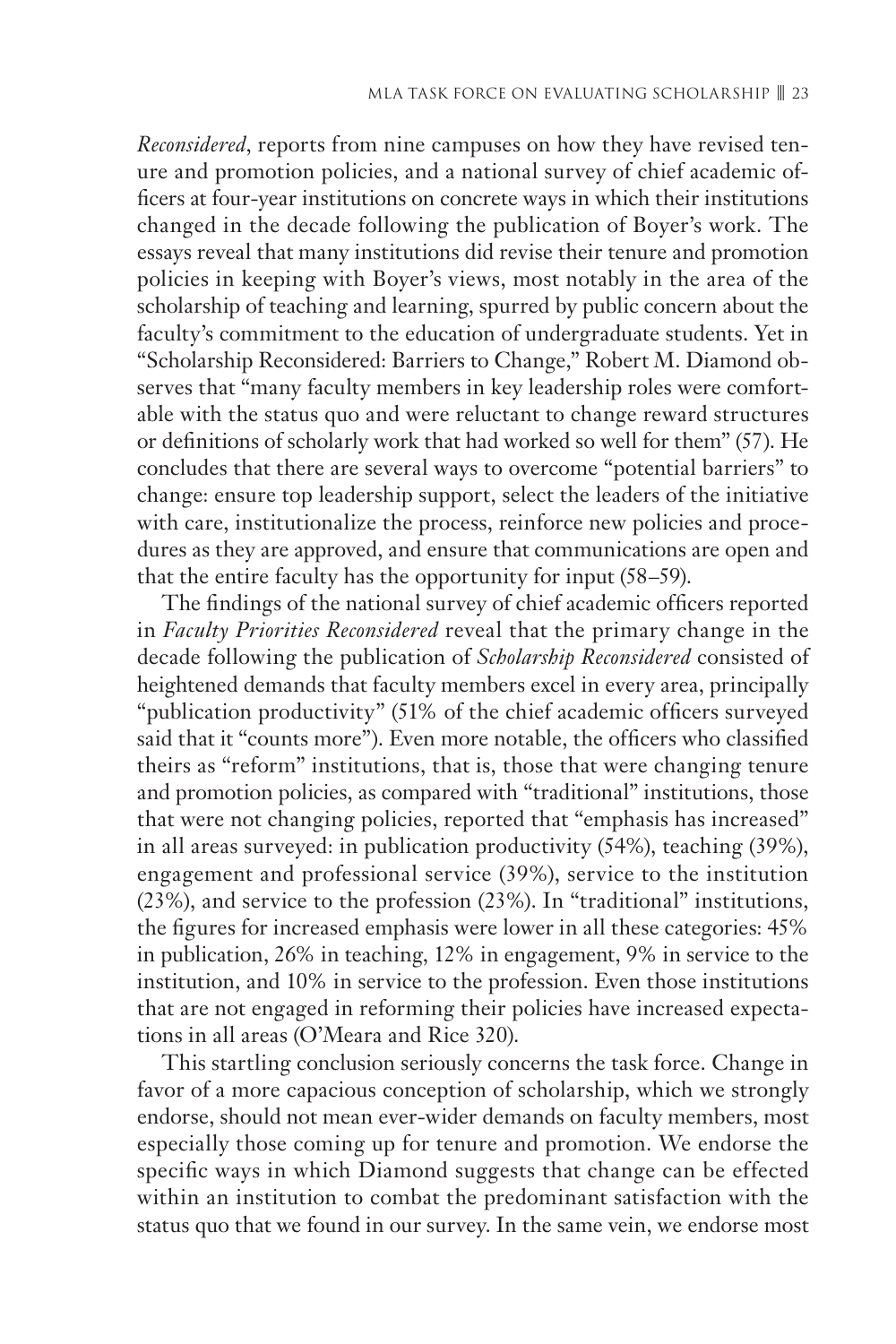*Reconsidered*, reports from nine campuses on how they have revised ten ure and promotion policies, and a national survey of chief academic of ficers at four-year institutions on concrete ways in which their institutions changed in the decade following the publication of Boyer's work. The essays reveal that many institutions did revise their tenure and promotion policies in keeping with Boyer's views, most notably in the area of the scholarship of teaching and learning, spurred by public concern about the faculty's commitment to the education of undergraduate students. Yet in "Scholarship Reconsidered: Barriers to Change," Robert M. Diamond ob serves that "many faculty members in key leadership roles were comfort able with the status quo and were reluctant to change reward structures or definitions of scholarly work that had worked so well for them" (57). He concludes that there are several ways to overcome "potential barriers" to change: ensure top leadership support, select the leaders of the initiative with care, institutionalize the process, reinforce new policies and proce dures as they are approved, and ensure that communications are open and that the entire faculty has the opportunity for input (58–59).

The findings of the national survey of chief academic officers reported in *Faculty Priorities Reconsidered* reveal that the primary change in the decade following the publication of *Scholarship Reconsidered* consisted of heightened demands that faculty members excel in every area, principally "publication productivity" (51% of the chief academic officers surveyed said that it "counts more"). Even more notable, the officers who classified theirs as "reform" institutions, that is, those that were changing tenure and promotion policies, as compared with "traditional" institutions, those that were not changing policies, reported that "emphasis has increased" in all areas surveyed: in publication productivity (54%), teaching (39%), engagement and professional service (39%), service to the institution (23%), and service to the profession (23%). In "traditional" institutions, the figures for increased emphasis were lower in all these categories: 45% in publication, 26% in teaching, 12% in engagement, 9% in service to the institution, and 10% in service to the profession. Even those institutions that are not engaged in reforming their policies have increased expecta tions in all areas (O'Meara and Rice 320).

This startling conclusion seriously concerns the task force. Change in favor of a more capacious conception of scholarship, which we strongly endorse, should not mean ever-wider demands on faculty members, most especially those coming up for tenure and promotion. We endorse the specific ways in which Diamond suggests that change can be effected within an institution to combat the predominant satisfaction with the status quo that we found in our survey. In the same vein, we endorse most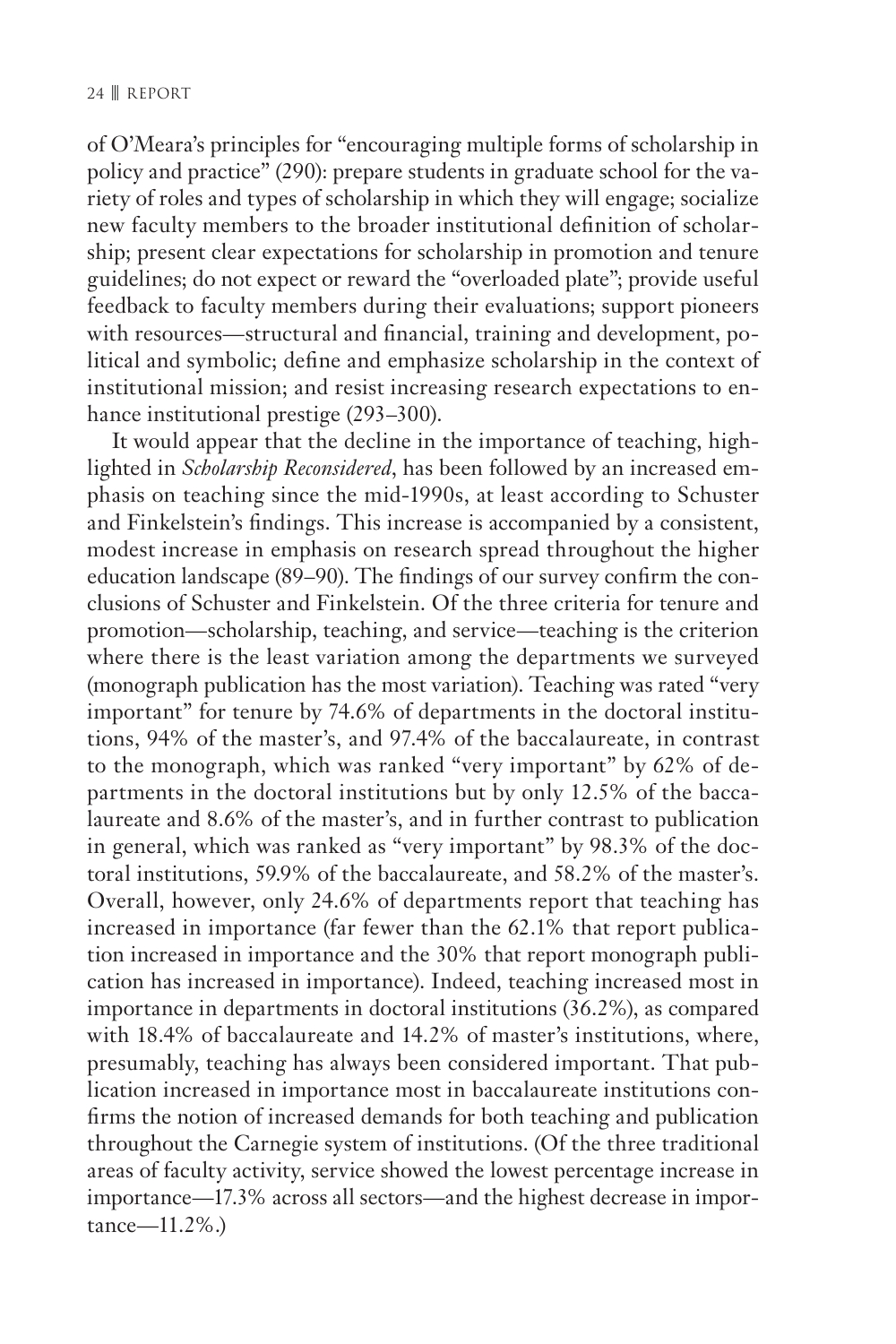of O'Meara's principles for "encouraging multiple forms of scholarship in policy and practice" (290): prepare students in graduate school for the va riety of roles and types of scholarship in which they will engage; socialize new faculty members to the broader institutional definition of scholar ship; present clear expectations for scholarship in promotion and tenure guidelines; do not expect or reward the "overloaded plate"; provide useful feedback to faculty members during their evaluations; support pioneers with resources—structural and financial, training and development, po litical and symbolic; define and emphasize scholarship in the context of institutional mission; and resist increasing research expectations to en hance institutional prestige (293–300).

It would appear that the decline in the importance of teaching, high lighted in *Scholarship Reconsidered*, has been followed by an increased em phasis on teaching since the mid-1990s, at least according to Schuster and Finkelstein's findings. This increase is accompanied by a consistent, modest increase in emphasis on research spread throughout the higher education landscape (89–90). The findings of our survey confirm the con clusions of Schuster and Finkelstein. Of the three criteria for tenure and promotion—scholarship, teaching, and service—teaching is the criterion where there is the least variation among the departments we surveyed (monograph publication has the most variation). Teaching was rated "very important" for tenure by 74.6% of departments in the doctoral institu tions, 94% of the master's, and 97.4% of the baccalaureate, in contrast to the monograph, which was ranked "very important" by 62% of de partments in the doctoral institutions but by only 12.5% of the bacca laureate and 8.6% of the master's, and in further contrast to publication in general, which was ranked as "very important" by 98.3% of the doc toral institutions, 59.9% of the baccalaureate, and 58.2% of the master's. Overall, however, only 24.6% of departments report that teaching has increased in importance (far fewer than the 62.1% that report publica tion increased in importance and the 30% that report monograph publi cation has increased in importance). Indeed, teaching increased most in importance in departments in doctoral institutions (36.2%), as compared with 18.4% of baccalaureate and 14.2% of master's institutions, where, presumably, teaching has always been considered important. That pub lication increased in importance most in baccalaureate institutions con firms the notion of increased demands for both teaching and publication throughout the Carnegie system of institutions. (Of the three traditional areas of faculty activity, service showed the lowest percentage increase in importance—17.3% across all sectors—and the highest decrease in impor tance—11.2%.)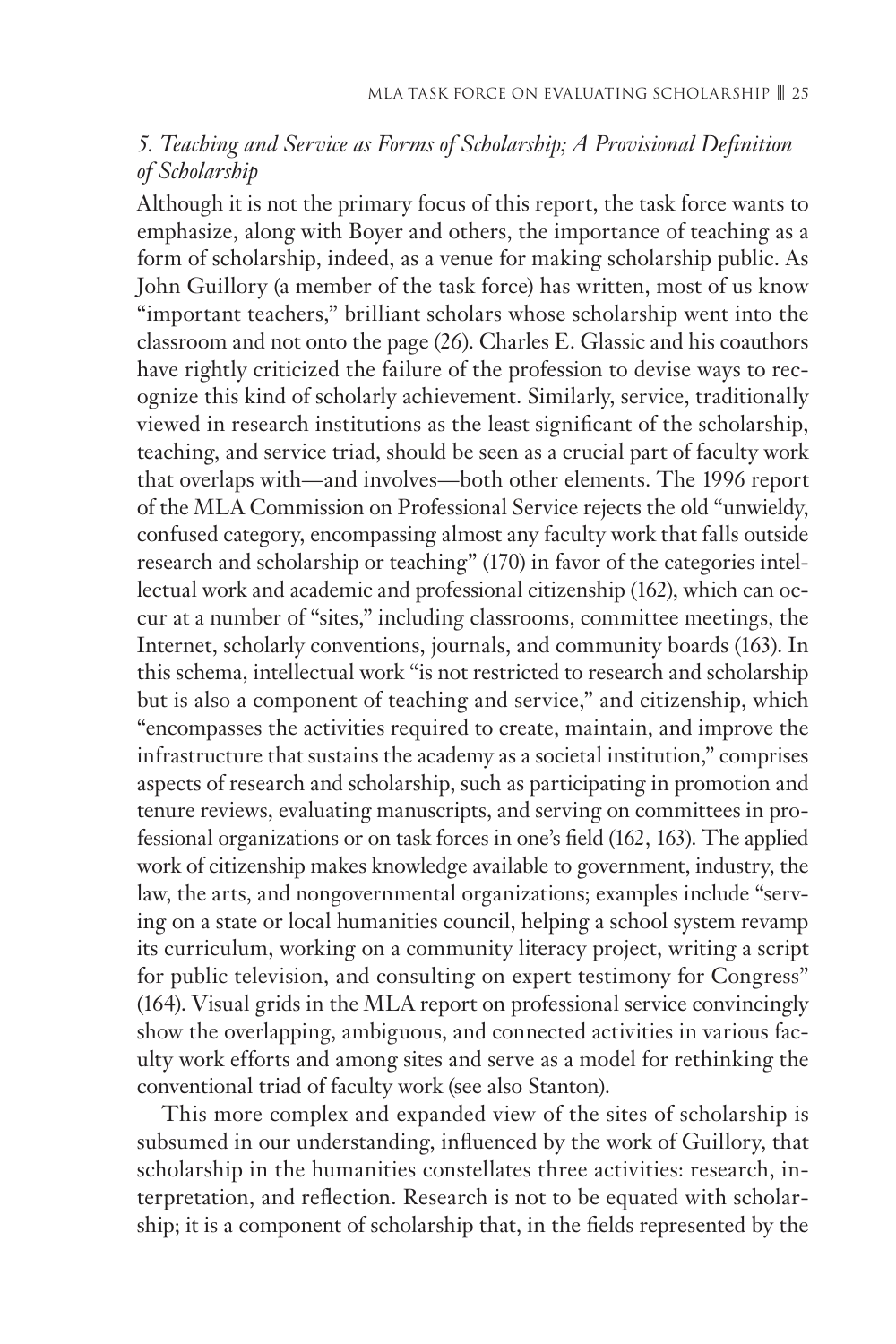## *5. Teaching and Service as Forms of Scholarship; A Provisional Definition of Scholarship*

Although it is not the primary focus of this report, the task force wants to emphasize, along with Boyer and others, the importance of teaching as a form of scholarship, indeed, as a venue for making scholarship public. As John Guillory (a member of the task force) has written, most of us know "important teachers," brilliant scholars whose scholarship went into the classroom and not onto the page (26). Charles E. Glassic and his coauthors have rightly criticized the failure of the profession to devise ways to rec ognize this kind of scholarly achievement. Similarly, service, traditionally viewed in research institutions as the least significant of the scholarship, teaching, and service triad, should be seen as a crucial part of faculty work that overlaps with—and involves—both other elements. The 1996 report of the MLA Commission on Professional Service rejects the old "unwieldy, confused category, encompassing almost any faculty work that falls outside research and scholarship or teaching" (170) in favor of the categories intel lectual work and academic and professional citizenship (162), which can oc cur at a number of "sites," including classrooms, committee meetings, the Internet, scholarly conventions, journals, and community boards (163). In this schema, intellectual work "is not restricted to research and scholarship but is also a component of teaching and service," and citizenship, which "encompasses the activities required to create, maintain, and improve the infrastructure that sustains the academy as a societal institution," comprises aspects of research and scholarship, such as participating in promotion and tenure reviews, evaluating manuscripts, and serving on committees in pro fessional organizations or on task forces in one's field (162, 163). The applied work of citizenship makes knowledge available to government, industry, the law, the arts, and nongovernmental organizations; examples include "serv ing on a state or local humanities council, helping a school system revamp its curriculum, working on a community literacy project, writing a script for public television, and consulting on expert testimony for Congress" (164). Visual grids in the MLA report on professional service convincingly show the overlapping, ambiguous, and connected activities in various fac ulty work efforts and among sites and serve as a model for rethinking the conventional triad of faculty work (see also Stanton).

This more complex and expanded view of the sites of scholarship is subsumed in our understanding, influenced by the work of Guillory, that scholarship in the humanities constellates three activities: research, in terpretation, and reflection. Research is not to be equated with scholar ship; it is a component of scholarship that, in the fields represented by the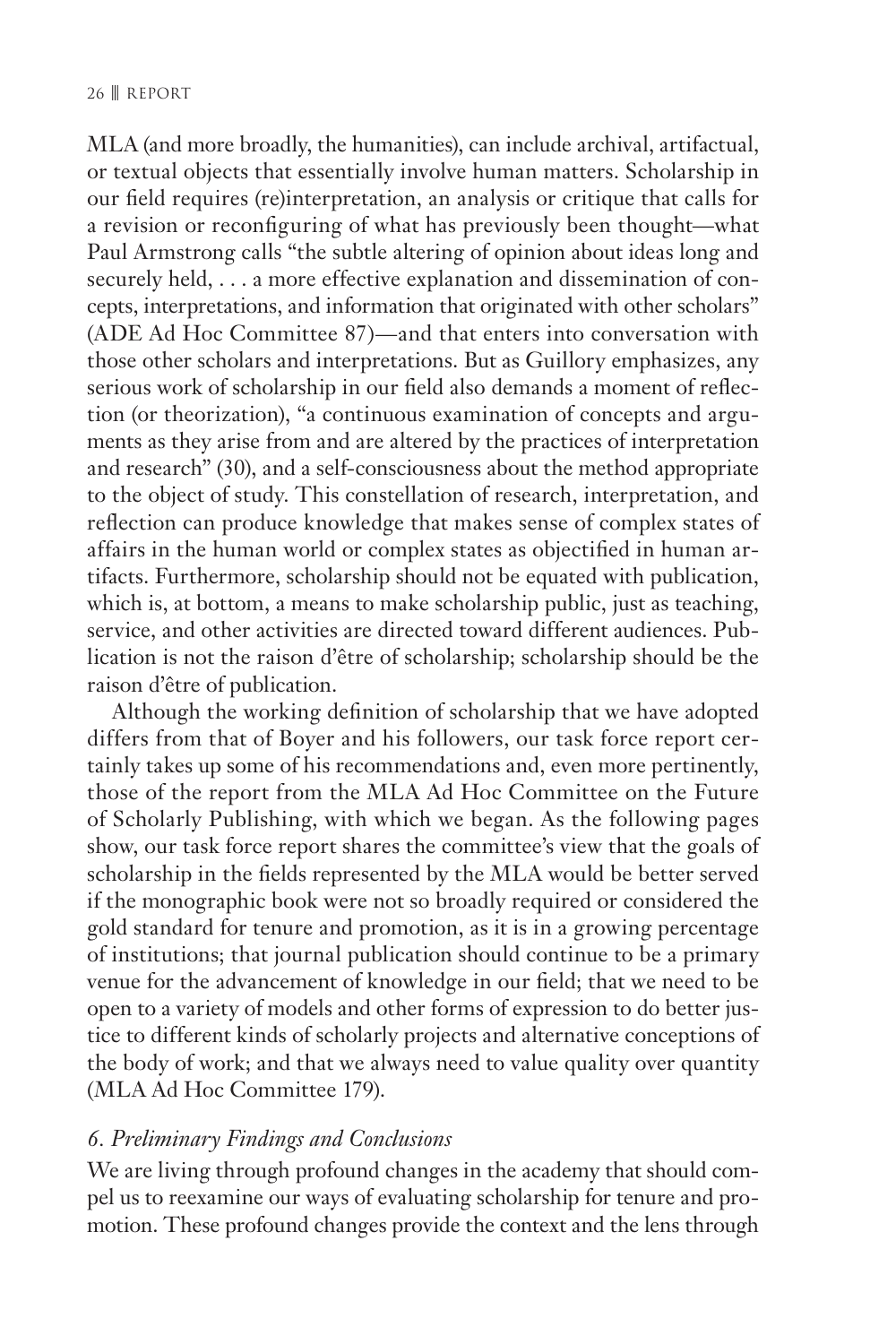MLA (and more broadly, the humanities), can include archival, artifactual, or textual objects that essentially involve human matters. Scholarship in our field requires (re)interpretation, an analysis or critique that calls for a revision or reconfiguring of what has previously been thought—what Paul Armstrong calls "the subtle altering of opinion about ideas long and securely held, . . . a more effective explanation and dissemination of con cepts, interpretations, and information that originated with other scholars" (ADE Ad Hoc Committee 87)—and that enters into conversation with those other scholars and interpretations. But as Guillory emphasizes, any serious work of scholarship in our field also demands a moment of reflec tion (or theorization), "a continuous examination of concepts and argu ments as they arise from and are altered by the practices of interpretation and research" (30), and a self-consciousness about the method appropriate to the object of study. This constellation of research, interpretation, and reflection can produce knowledge that makes sense of complex states of affairs in the human world or complex states as objectified in human ar tifacts. Furthermore, scholarship should not be equated with publication, which is, at bottom, a means to make scholarship public, just as teaching, service, and other activities are directed toward different audiences. Pub lication is not the raison d'être of scholarship; scholarship should be the raison d'être of publication.

Although the working definition of scholarship that we have adopted differs from that of Boyer and his followers, our task force report cer tainly takes up some of his recommendations and, even more pertinently, those of the report from the MLA Ad Hoc Committee on the Future of Scholarly Publishing, with which we began. As the following pages show, our task force report shares the committee's view that the goals of scholarship in the fields represented by the MLA would be better served if the monographic book were not so broadly required or considered the gold standard for tenure and promotion, as it is in a growing percentage of institutions; that journal publication should continue to be a primary venue for the advancement of knowledge in our field; that we need to be open to a variety of models and other forms of expression to do better jus tice to different kinds of scholarly projects and alternative conceptions of the body of work; and that we always need to value quality over quantity (MLA Ad Hoc Committee 179).

## *6. Preliminary Findings and Conclusions*

We are living through profound changes in the academy that should com pel us to reexamine our ways of evaluating scholarship for tenure and pro motion. These profound changes provide the context and the lens through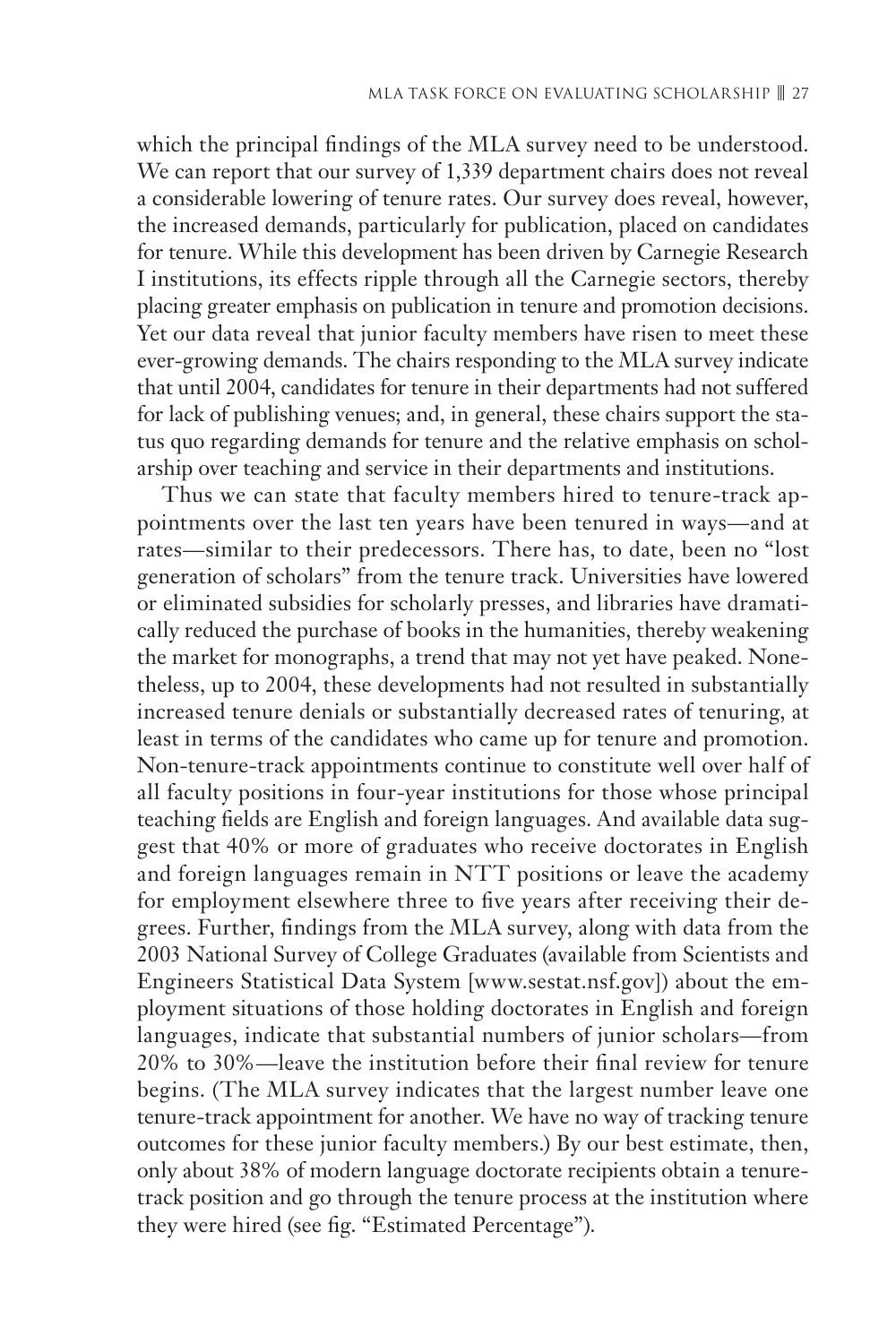which the principal findings of the MLA survey need to be understood. We can report that our survey of 1,339 department chairs does not reveal a considerable lowering of tenure rates. Our survey does reveal, however, the increased demands, particularly for publication, placed on candidates for tenure. While this development has been driven by Carnegie Research I institutions, its effects ripple through all the Carnegie sectors, thereby placing greater emphasis on publication in tenure and promotion decisions. Yet our data reveal that junior faculty members have risen to meet these ever-growing demands. The chairs responding to the MLA survey indicate that until 2004, candidates for tenure in their departments had not suffered for lack of publishing venues; and, in general, these chairs support the sta tus quo regarding demands for tenure and the relative emphasis on schol arship over teaching and service in their departments and institutions.

Thus we can state that faculty members hired to tenure-track ap pointments over the last ten years have been tenured in ways—and at rates—similar to their predecessors. There has, to date, been no "lost generation of scholars" from the tenure track. Universities have lowered or eliminated subsidies for scholarly presses, and libraries have dramati cally reduced the purchase of books in the humanities, thereby weakening the market for monographs, a trend that may not yet have peaked. None theless, up to 2004, these developments had not resulted in substantially increased tenure denials or substantially decreased rates of tenuring, at least in terms of the candidates who came up for tenure and promotion. Non-tenure-track appointments continue to constitute well over half of all faculty positions in four-year institutions for those whose principal teaching fields are English and foreign languages. And available data sug gest that 40% or more of graduates who receive doctorates in English and foreign languages remain in NTT positions or leave the academy for employment elsewhere three to five years after receiving their de grees. Further, findings from the MLA survey, along with data from the 2003 National Survey of College Graduates (available from Scientists and Engineers Statistical Data System [www.sestat.nsf.gov]) about the em ployment situations of those holding doctorates in English and foreign languages, indicate that substantial numbers of junior scholars—from 20% to 30%—leave the institution before their final review for tenure begins. (The MLA survey indicates that the largest number leave one tenure-track appointment for another. We have no way of tracking tenure outcomes for these junior faculty members.) By our best estimate, then, only about 38% of modern language doctorate recipients obtain a tenuretrack position and go through the tenure process at the institution where they were hired (see fig. "Estimated Percentage").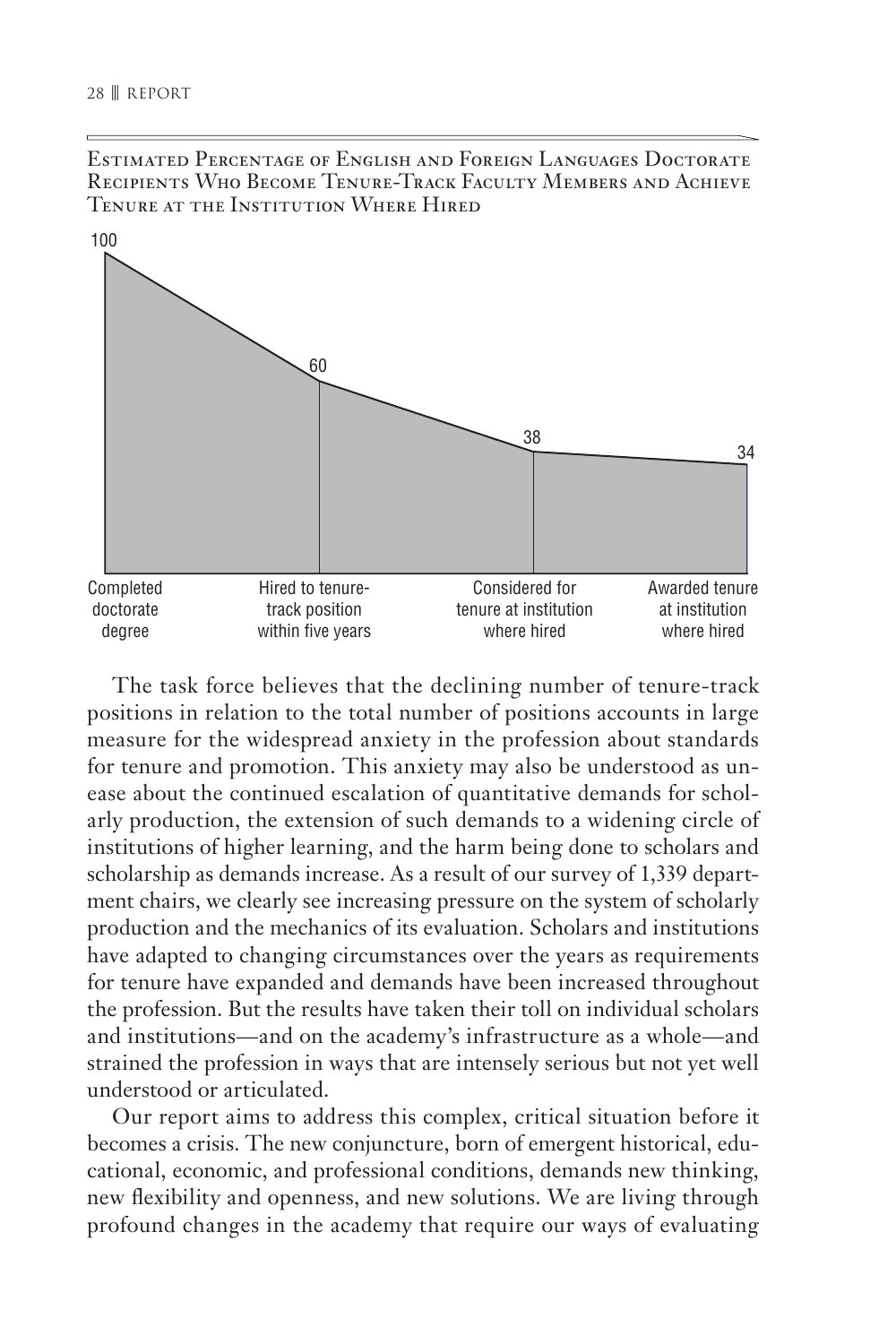Estimated Percentage of English and Foreign Languages Doctorate Recipients Who Become Tenure-Track Faculty Members and Achieve Tenure at the Institution Where Hired



The task force believes that the declining number of tenure-track positions in relation to the total number of positions accounts in large measure for the widespread anxiety in the profession about standards for tenure and promotion. This anxiety may also be understood as un ease about the continued escalation of quantitative demands for schol arly production, the extension of such demands to a widening circle of institutions of higher learning, and the harm being done to scholars and scholarship as demands increase. As a result of our survey of 1,339 depart ment chairs, we clearly see increasing pressure on the system of scholarly production and the mechanics of its evaluation. Scholars and institutions have adapted to changing circumstances over the years as requirements for tenure have expanded and demands have been increased throughout the profession. But the results have taken their toll on individual scholars and institutions—and on the academy's infrastructure as a whole—and strained the profession in ways that are intensely serious but not yet well understood or articulated.

Our report aims to address this complex, critical situation before it becomes a crisis. The new conjuncture, born of emergent historical, edu cational, economic, and professional conditions, demands new thinking, new flexibility and openness, and new solutions. We are living through profound changes in the academy that require our ways of evaluating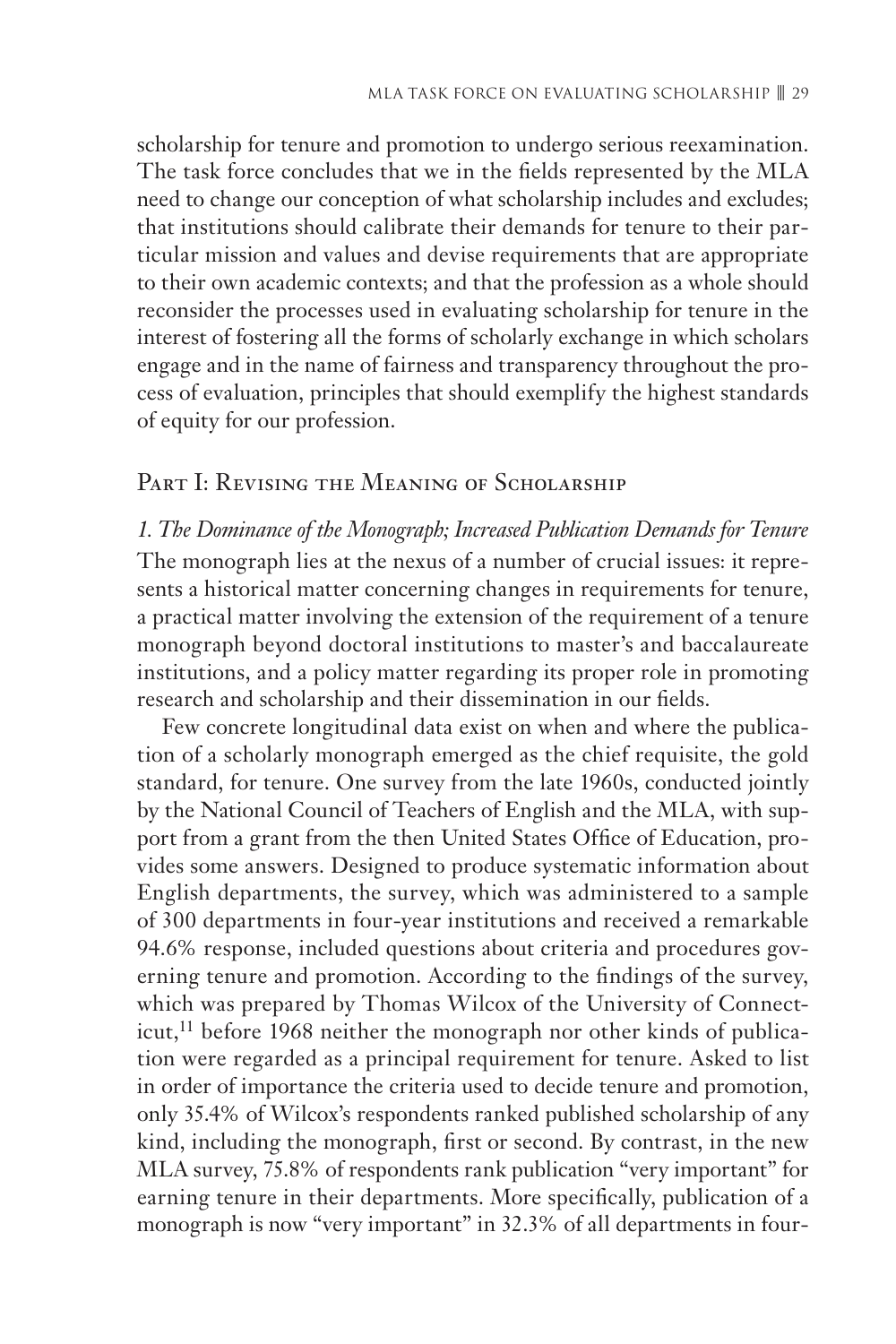scholarship for tenure and promotion to undergo serious reexamination. The task force concludes that we in the fields represented by the MLA need to change our conception of what scholarship includes and excludes; that institutions should calibrate their demands for tenure to their par ticular mission and values and devise requirements that are appropriate to their own academic contexts; and that the profession as a whole should reconsider the processes used in evaluating scholarship for tenure in the interest of fostering all the forms of scholarly exchange in which scholars engage and in the name of fairness and transparency throughout the pro cess of evaluation, principles that should exemplify the highest standards of equity for our profession.

#### PART I: REVISING THE MEANING OF SCHOLARSHIP

*1. The Dominance of the Monograph; Increased Publication Demands for Tenure* The monograph lies at the nexus of a number of crucial issues: it repre sents a historical matter concerning changes in requirements for tenure, a practical matter involving the extension of the requirement of a tenure monograph beyond doctoral institutions to master's and baccalaureate institutions, and a policy matter regarding its proper role in promoting research and scholarship and their dissemination in our fields.

Few concrete longitudinal data exist on when and where the publica tion of a scholarly monograph emerged as the chief requisite, the gold standard, for tenure. One survey from the late 1960s, conducted jointly by the National Council of Teachers of English and the MLA, with sup port from a grant from the then United States Office of Education, pro vides some answers. Designed to produce systematic information about English departments, the survey, which was administered to a sample of 300 departments in four-year institutions and received a remarkable 94.6% response, included questions about criteria and procedures gov erning tenure and promotion. According to the findings of the survey, which was prepared by Thomas Wilcox of the University of Connect icut,<sup>11</sup> before 1968 neither the monograph nor other kinds of publication were regarded as a principal requirement for tenure. Asked to list in order of importance the criteria used to decide tenure and promotion, only 35.4% of Wilcox's respondents ranked published scholarship of any kind, including the monograph, first or second. By contrast, in the new MLA survey, 75.8% of respondents rank publication "very important" for earning tenure in their departments. More specifically, publication of a monograph is now "very important" in 32.3% of all departments in four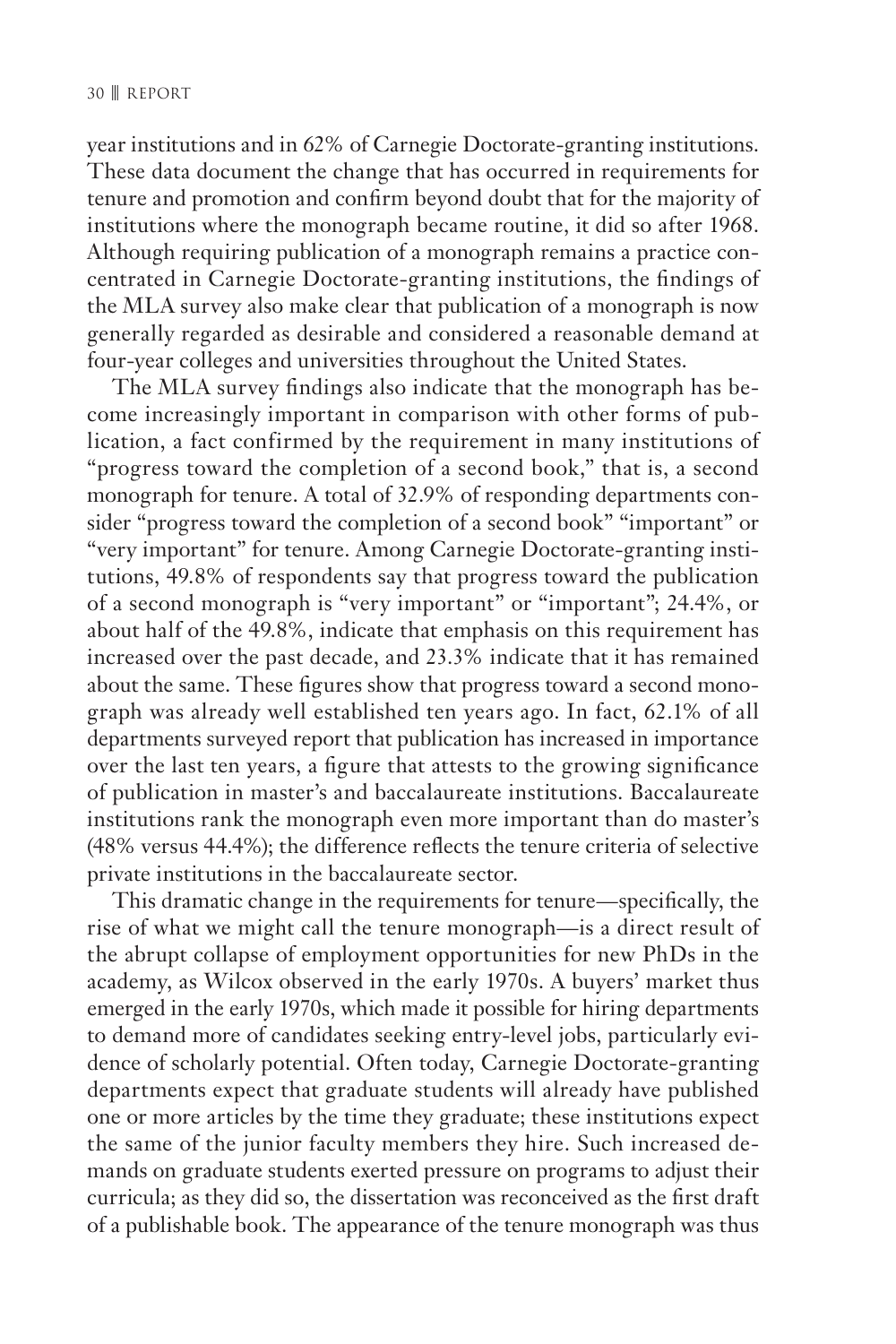year institutions and in 62% of Carnegie Doctorate-granting institutions. These data document the change that has occurred in requirements for tenure and promotion and confirm beyond doubt that for the majority of institutions where the monograph became routine, it did so after 1968. Although requiring publication of a monograph remains a practice con centrated in Carnegie Doctorate-granting institutions, the findings of the MLA survey also make clear that publication of a monograph is now generally regarded as desirable and considered a reasonable demand at four-year colleges and universities throughout the United States.

The MLA survey findings also indicate that the monograph has be come increasingly important in comparison with other forms of pub lication, a fact confirmed by the requirement in many institutions of "progress toward the completion of a second book," that is, a second monograph for tenure. A total of 32.9% of responding departments con sider "progress toward the completion of a second book" "important" or "very important" for tenure. Among Carnegie Doctorate-granting insti tutions, 49.8% of respondents say that progress toward the publication of a second monograph is "very important" or "important"; 24.4%, or about half of the 49.8%, indicate that emphasis on this requirement has increased over the past decade, and 23.3% indicate that it has remained about the same. These figures show that progress toward a second mono graph was already well established ten years ago. In fact, 62.1% of all departments surveyed report that publication has increased in importance over the last ten years, a figure that attests to the growing significance of publication in master's and baccalaureate institutions. Baccalaureate institutions rank the monograph even more important than do master's (48% versus 44.4%); the difference reflects the tenure criteria of selective private institutions in the baccalaureate sector.

This dramatic change in the requirements for tenure—specifically, the rise of what we might call the tenure monograph—is a direct result of the abrupt collapse of employment opportunities for new PhDs in the academy, as Wilcox observed in the early 1970s. A buyers' market thus emerged in the early 1970s, which made it possible for hiring departments to demand more of candidates seeking entry-level jobs, particularly evi dence of scholarly potential. Often today, Carnegie Doctorate-granting departments expect that graduate students will already have published one or more articles by the time they graduate; these institutions expect the same of the junior faculty members they hire. Such increased de mands on graduate students exerted pressure on programs to adjust their curricula; as they did so, the dissertation was reconceived as the first draft of a publishable book. The appearance of the tenure monograph was thus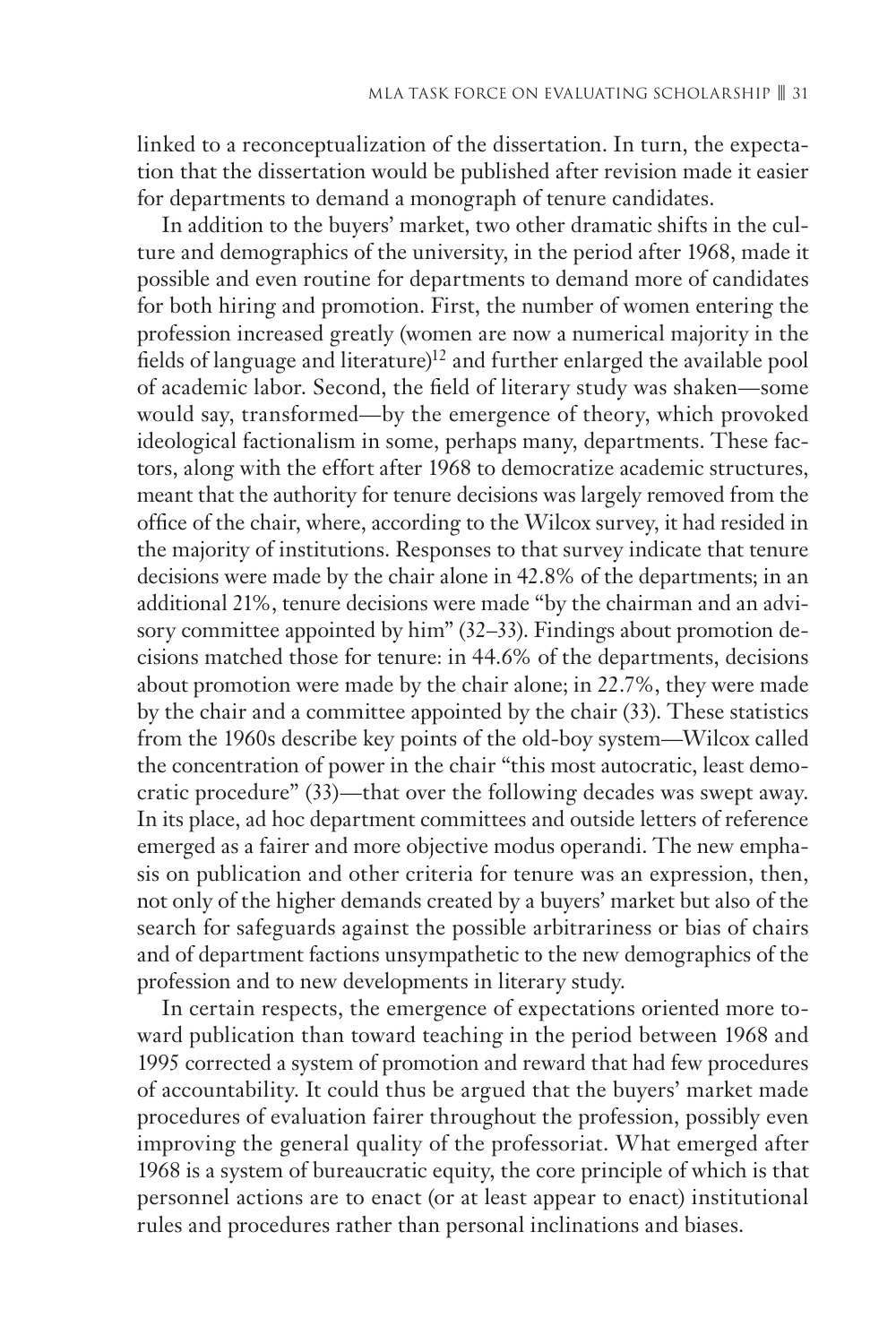linked to a reconceptualization of the dissertation. In turn, the expecta tion that the dissertation would be published after revision made it easier for departments to demand a monograph of tenure candidates.

In addition to the buyers' market, two other dramatic shifts in the cul ture and demographics of the university, in the period after 1968, made it possible and even routine for departments to demand more of candidates for both hiring and promotion. First, the number of women entering the profession increased greatly (women are now a numerical majority in the fields of language and literature)<sup>12</sup> and further enlarged the available pool of academic labor. Second, the field of literary study was shaken—some would say, transformed—by the emergence of theory, which provoked ideological factionalism in some, perhaps many, departments. These fac tors, along with the effort after 1968 to democratize academic structures, meant that the authority for tenure decisions was largely removed from the office of the chair, where, according to the Wilcox survey, it had resided in the majority of institutions. Responses to that survey indicate that tenure decisions were made by the chair alone in 42.8% of the departments; in an additional 21%, tenure decisions were made "by the chairman and an advi sory committee appointed by him" (32–33). Findings about promotion de cisions matched those for tenure: in 44.6% of the departments, decisions about promotion were made by the chair alone; in 22.7%, they were made by the chair and a committee appointed by the chair (33). These statistics from the 1960s describe key points of the old-boy system—Wilcox called the concentration of power in the chair "this most autocratic, least demo cratic procedure" (33)—that over the following decades was swept away. In its place, ad hoc department committees and outside letters of reference emerged as a fairer and more objective modus operandi. The new empha sis on publication and other criteria for tenure was an expression, then, not only of the higher demands created by a buyers' market but also of the search for safeguards against the possible arbitrariness or bias of chairs and of department factions unsympathetic to the new demographics of the profession and to new developments in literary study.

In certain respects, the emergence of expectations oriented more to ward publication than toward teaching in the period between 1968 and 1995 corrected a system of promotion and reward that had few procedures of accountability. It could thus be argued that the buyers' market made procedures of evaluation fairer throughout the profession, possibly even improving the general quality of the professoriat. What emerged after 1968 is a system of bureaucratic equity, the core principle of which is that personnel actions are to enact (or at least appear to enact) institutional rules and procedures rather than personal inclinations and biases.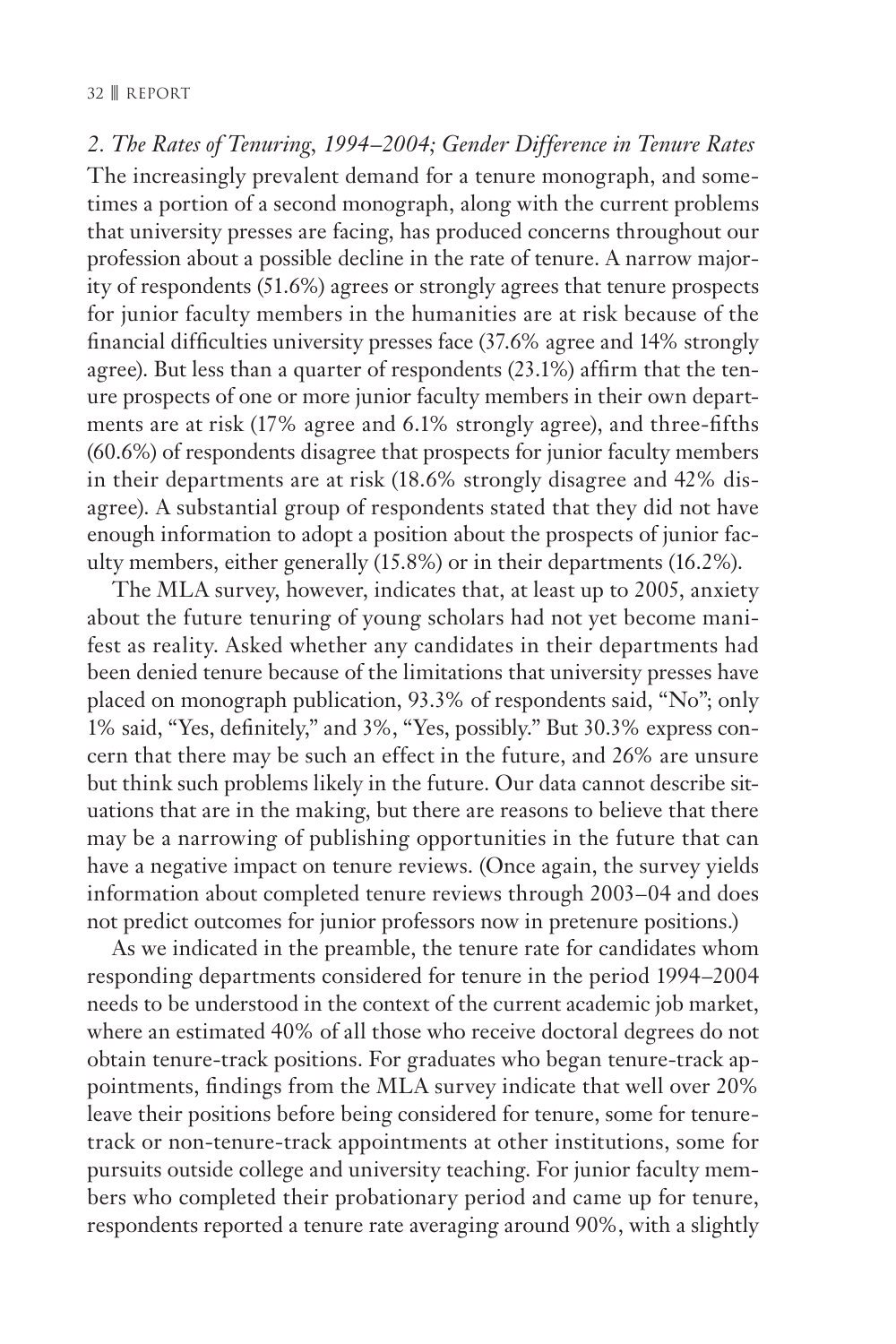*2. The Rates of Tenuring, 1994–2004; Gender Difference in Tenure Rates* The increasingly prevalent demand for a tenure monograph, and some times a portion of a second monograph, along with the current problems that university presses are facing, has produced concerns throughout our profession about a possible decline in the rate of tenure. A narrow major ity of respondents (51.6%) agrees or strongly agrees that tenure prospects for junior faculty members in the humanities are at risk because of the financial difficulties university presses face (37.6% agree and 14% strongly agree). But less than a quarter of respondents (23.1%) affirm that the ten ure prospects of one or more junior faculty members in their own depart ments are at risk (17% agree and 6.1% strongly agree), and three-fifths (60.6%) of respondents disagree that prospects for junior faculty members in their departments are at risk (18.6% strongly disagree and 42% dis agree). A substantial group of respondents stated that they did not have enough information to adopt a position about the prospects of junior fac ulty members, either generally (15.8%) or in their departments (16.2%).

The MLA survey, however, indicates that, at least up to 2005, anxiety about the future tenuring of young scholars had not yet become mani fest as reality. Asked whether any candidates in their departments had been denied tenure because of the limitations that university presses have placed on monograph publication, 93.3% of respondents said, "No"; only 1% said, "Yes, definitely," and 3%, "Yes, possibly." But 30.3% express con cern that there may be such an effect in the future, and 26% are unsure but think such problems likely in the future. Our data cannot describe sit uations that are in the making, but there are reasons to believe that there may be a narrowing of publishing opportunities in the future that can have a negative impact on tenure reviews. (Once again, the survey yields information about completed tenure reviews through 2003–04 and does not predict outcomes for junior professors now in pretenure positions.)

As we indicated in the preamble, the tenure rate for candidates whom responding departments considered for tenure in the period 1994–2004 needs to be understood in the context of the current academic job market, where an estimated 40% of all those who receive doctoral degrees do not obtain tenure-track positions. For graduates who began tenure-track ap pointments, findings from the MLA survey indicate that well over 20% leave their positions before being considered for tenure, some for tenuretrack or non-tenure-track appointments at other institutions, some for pursuits outside college and university teaching. For junior faculty mem bers who completed their probationary period and came up for tenure, respondents reported a tenure rate averaging around 90%, with a slightly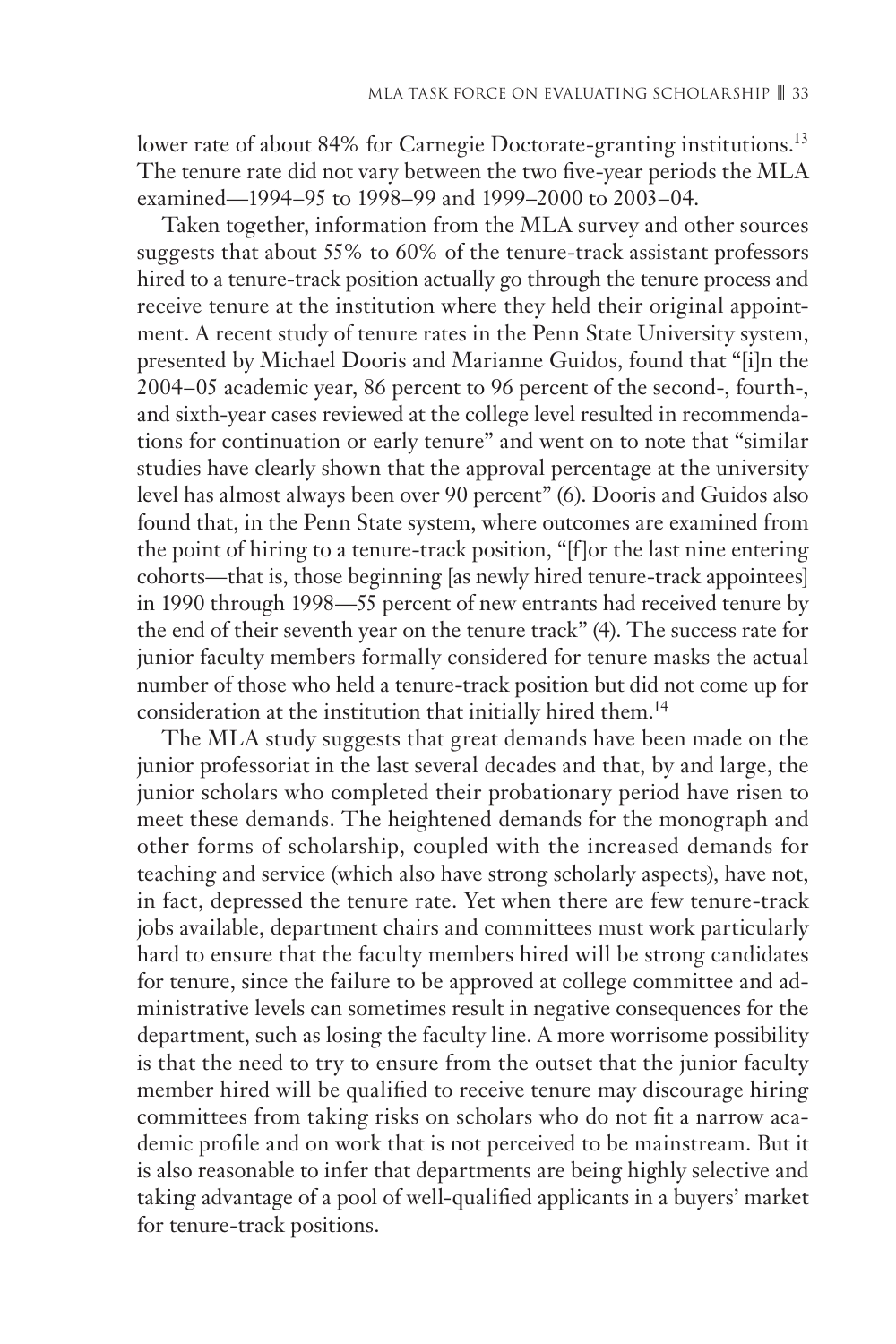lower rate of about 84% for Carnegie Doctorate-granting institutions.<sup>13</sup> The tenure rate did not vary between the two five-year periods the MLA examined—1994–95 to 1998–99 and 1999–2000 to 2003–04.

Taken together, information from the MLA survey and other sources suggests that about 55% to 60% of the tenure-track assistant professors hired to a tenure-track position actually go through the tenure process and receive tenure at the institution where they held their original appoint ment. A recent study of tenure rates in the Penn State University system, presented by Michael Dooris and Marianne Guidos, found that "[i]n the 2004–05 academic year, 86 percent to 96 percent of the second-, fourth-, and sixth-year cases reviewed at the college level resulted in recommenda tions for continuation or early tenure" and went on to note that "similar studies have clearly shown that the approval percentage at the university level has almost always been over 90 percent" (6). Dooris and Guidos also found that, in the Penn State system, where outcomes are examined from the point of hiring to a tenure-track position, "[f]or the last nine entering cohorts—that is, those beginning [as newly hired tenure-track appointees] in 1990 through 1998—55 percent of new entrants had received tenure by the end of their seventh year on the tenure track" (4). The success rate for junior faculty members formally considered for tenure masks the actual number of those who held a tenure-track position but did not come up for consideration at the institution that initially hired them.14

The MLA study suggests that great demands have been made on the junior professoriat in the last several decades and that, by and large, the junior scholars who completed their probationary period have risen to meet these demands. The heightened demands for the monograph and other forms of scholarship, coupled with the increased demands for teaching and service (which also have strong scholarly aspects), have not, in fact, depressed the tenure rate. Yet when there are few tenure-track jobs available, department chairs and committees must work particularly hard to ensure that the faculty members hired will be strong candidates for tenure, since the failure to be approved at college committee and ad ministrative levels can sometimes result in negative consequences for the department, such as losing the faculty line. A more worrisome possibility is that the need to try to ensure from the outset that the junior faculty member hired will be qualified to receive tenure may discourage hiring committees from taking risks on scholars who do not fit a narrow aca demic profile and on work that is not perceived to be mainstream. But it is also reasonable to infer that departments are being highly selective and taking advantage of a pool of well-qualified applicants in a buyers' market for tenure-track positions.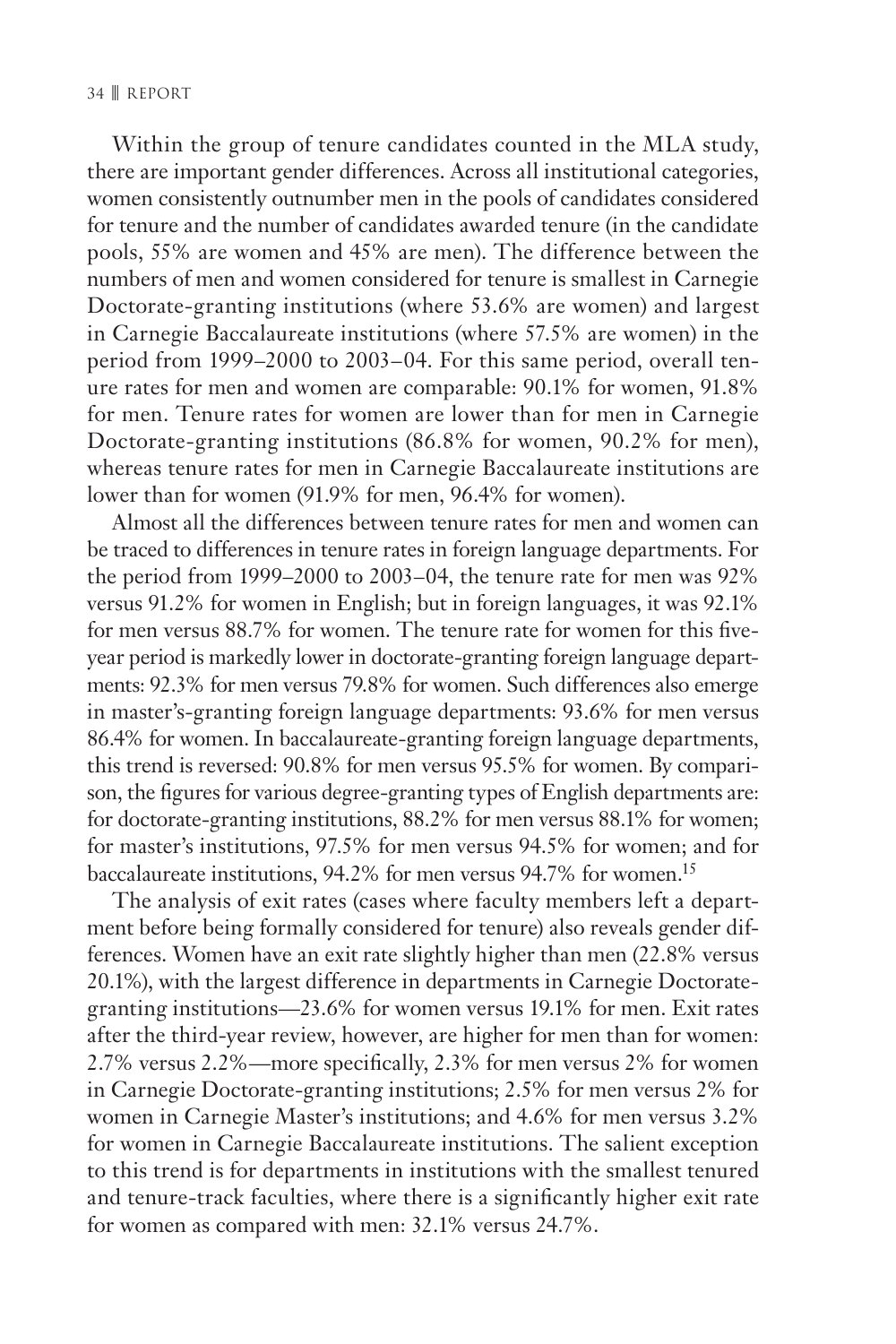Within the group of tenure candidates counted in the MLA study, there are important gender differences. Across all institutional categories, women consistently outnumber men in the pools of candidates considered for tenure and the number of candidates awarded tenure (in the candidate pools, 55% are women and 45% are men). The difference between the numbers of men and women considered for tenure is smallest in Carnegie Doctorate-granting institutions (where 53.6% are women) and largest in Carnegie Baccalaureate institutions (where 57.5% are women) in the period from 1999–2000 to 2003–04. For this same period, overall ten ure rates for men and women are comparable: 90.1% for women, 91.8% for men. Tenure rates for women are lower than for men in Carnegie Doctorate-granting institutions (86.8% for women, 90.2% for men), whereas tenure rates for men in Carnegie Baccalaureate institutions are lower than for women (91.9% for men, 96.4% for women).

Almost all the differences between tenure rates for men and women can be traced to differences in tenure rates in foreign language departments. For the period from 1999–2000 to 2003–04, the tenure rate for men was 92% versus 91.2% for women in English; but in foreign languages, it was 92.1% for men versus 88.7% for women. The tenure rate for women for this fiveyear period is markedly lower in doctorate-granting foreign language depart ments: 92.3% for men versus 79.8% for women. Such differences also emerge in master's-granting foreign language departments: 93.6% for men versus 86.4% for women. In baccalaureate-granting foreign language departments, this trend is reversed: 90.8% for men versus 95.5% for women. By compari son, the figures for various degree-granting types of English departments are: for doctorate-granting institutions, 88.2% for men versus 88.1% for women; for master's institutions, 97.5% for men versus 94.5% for women; and for baccalaureate institutions, 94.2% for men versus 94.7% for women.<sup>15</sup>

The analysis of exit rates (cases where faculty members left a depart ment before being formally considered for tenure) also reveals gender dif ferences. Women have an exit rate slightly higher than men (22.8% versus 20.1%), with the largest difference in departments in Carnegie Doctorategranting institutions—23.6% for women versus 19.1% for men. Exit rates after the third-year review, however, are higher for men than for women: 2.7% versus 2.2%—more specifically, 2.3% for men versus 2% for women in Carnegie Doctorate-granting institutions; 2.5% for men versus 2% for women in Carnegie Master's institutions; and 4.6% for men versus 3.2% for women in Carnegie Baccalaureate institutions. The salient exception to this trend is for departments in institutions with the smallest tenured and tenure-track faculties, where there is a significantly higher exit rate for women as compared with men: 32.1% versus 24.7%.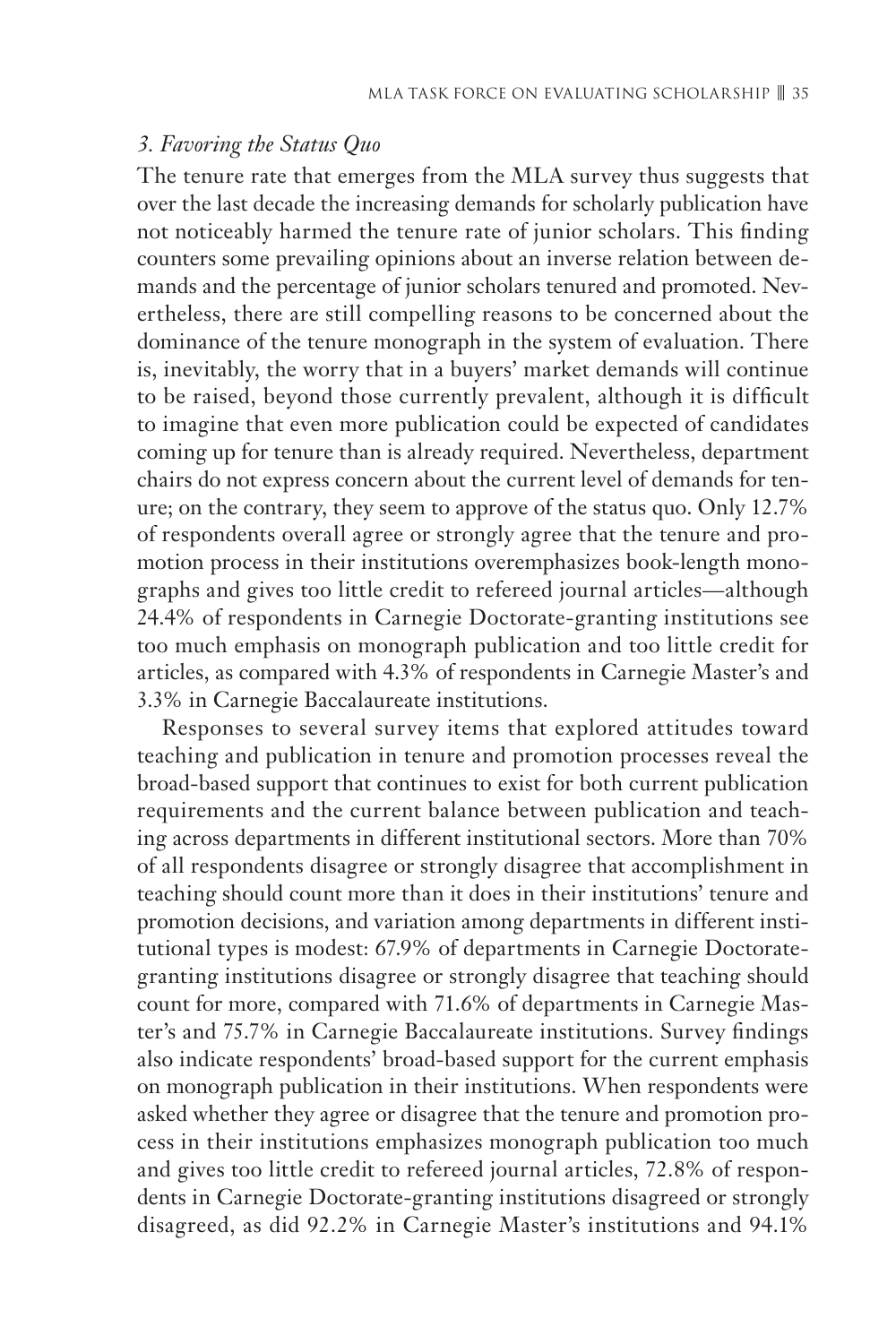#### *3. Favoring the Status Quo*

The tenure rate that emerges from the MLA survey thus suggests that over the last decade the increasing demands for scholarly publication have not noticeably harmed the tenure rate of junior scholars. This finding counters some prevailing opinions about an inverse relation between de mands and the percentage of junior scholars tenured and promoted. Nev ertheless, there are still compelling reasons to be concerned about the dominance of the tenure monograph in the system of evaluation. There is, inevitably, the worry that in a buyers' market demands will continue to be raised, beyond those currently prevalent, although it is difficult to imagine that even more publication could be expected of candidates coming up for tenure than is already required. Nevertheless, department chairs do not express concern about the current level of demands for ten ure; on the contrary, they seem to approve of the status quo. Only 12.7% of respondents overall agree or strongly agree that the tenure and pro motion process in their institutions overemphasizes book-length mono graphs and gives too little credit to refereed journal articles—although 24.4% of respondents in Carnegie Doctorate-granting institutions see too much emphasis on monograph publication and too little credit for articles, as compared with 4.3% of respondents in Carnegie Master's and 3.3% in Carnegie Baccalaureate institutions.

Responses to several survey items that explored attitudes toward teaching and publication in tenure and promotion processes reveal the broad-based support that continues to exist for both current publication requirements and the current balance between publication and teach ing across departments in different institutional sectors. More than 70% of all respondents disagree or strongly disagree that accomplishment in teaching should count more than it does in their institutions' tenure and promotion decisions, and variation among departments in different insti tutional types is modest: 67.9% of departments in Carnegie Doctorategranting institutions disagree or strongly disagree that teaching should count for more, compared with 71.6% of departments in Carnegie Mas ter's and 75.7% in Carnegie Baccalaureate institutions. Survey findings also indicate respondents' broad-based support for the current emphasis on monograph publication in their institutions. When respondents were asked whether they agree or disagree that the tenure and promotion pro cess in their institutions emphasizes monograph publication too much and gives too little credit to refereed journal articles, 72.8% of respon dents in Carnegie Doctorate-granting institutions disagreed or strongly disagreed, as did 92.2% in Carnegie Master's institutions and 94.1%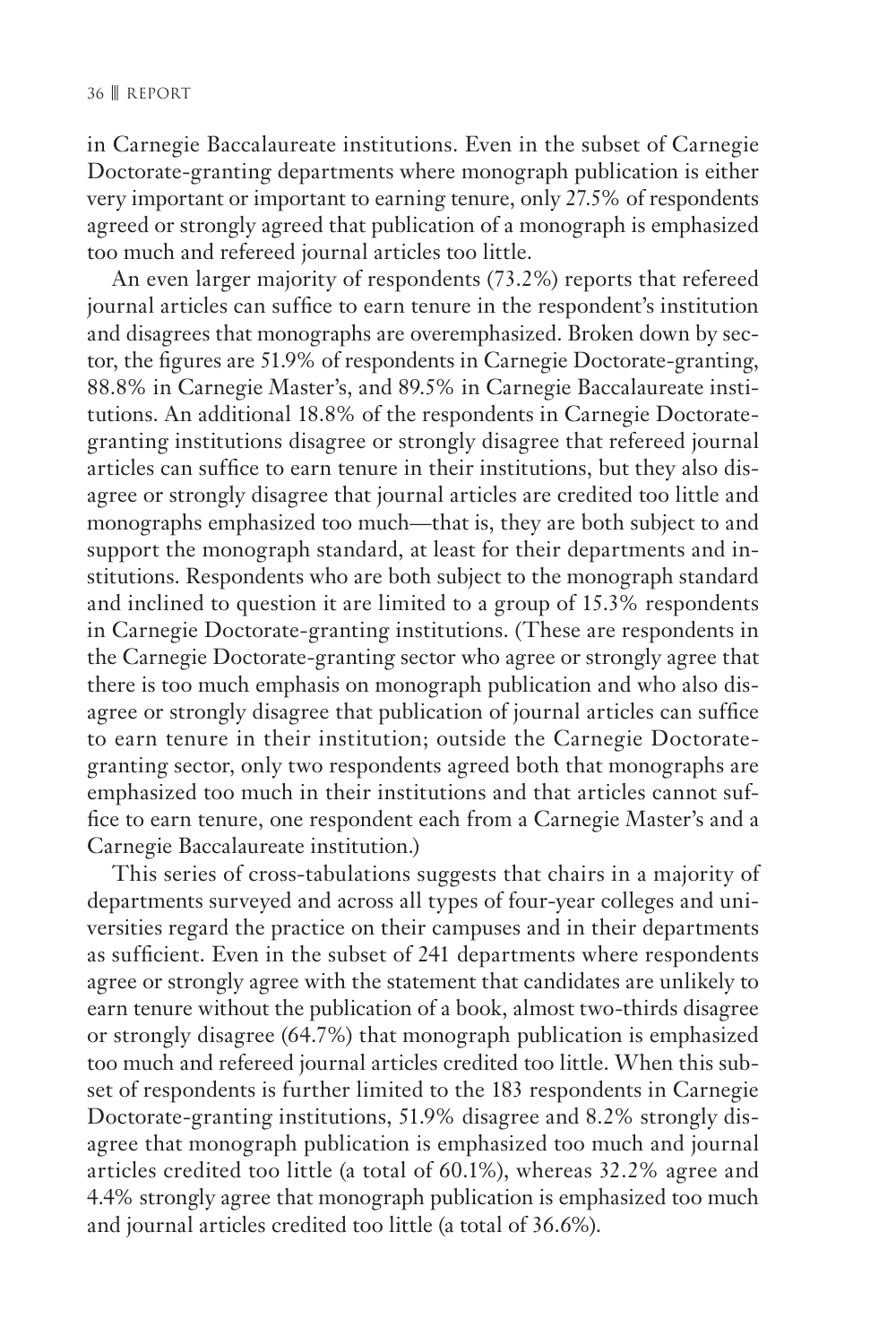in Carnegie Baccalaureate institutions. Even in the subset of Carnegie Doctorate-granting departments where monograph publication is either very important or important to earning tenure, only 27.5% of respondents agreed or strongly agreed that publication of a monograph is emphasized too much and refereed journal articles too little.

An even larger majority of respondents (73.2%) reports that refereed journal articles can suffice to earn tenure in the respondent's institution and disagrees that monographs are overemphasized. Broken down by sec tor, the figures are 51.9% of respondents in Carnegie Doctorate-granting, 88.8% in Carnegie Master's, and 89.5% in Carnegie Baccalaureate insti tutions. An additional 18.8% of the respondents in Carnegie Doctorategranting institutions disagree or strongly disagree that refereed journal articles can suffice to earn tenure in their institutions, but they also dis agree or strongly disagree that journal articles are credited too little and monographs emphasized too much—that is, they are both subject to and support the monograph standard, at least for their departments and in stitutions. Respondents who are both subject to the monograph standard and inclined to question it are limited to a group of 15.3% respondents in Carnegie Doctorate-granting institutions. (These are respondents in the Carnegie Doctorate-granting sector who agree or strongly agree that there is too much emphasis on monograph publication and who also dis agree or strongly disagree that publication of journal articles can suffice to earn tenure in their institution; outside the Carnegie Doctorategranting sector, only two respondents agreed both that monographs are emphasized too much in their institutions and that articles cannot suf fice to earn tenure, one respondent each from a Carnegie Master's and a Carnegie Baccalaureate institution.)

This series of cross-tabulations suggests that chairs in a majority of departments surveyed and across all types of four-year colleges and uni versities regard the practice on their campuses and in their departments as sufficient. Even in the subset of 241 departments where respondents agree or strongly agree with the statement that candidates are unlikely to earn tenure without the publication of a book, almost two-thirds disagree or strongly disagree (64.7%) that monograph publication is emphasized too much and refereed journal articles credited too little. When this sub set of respondents is further limited to the 183 respondents in Carnegie Doctorate-granting institutions, 51.9% disagree and 8.2% strongly dis agree that monograph publication is emphasized too much and journal articles credited too little (a total of 60.1%), whereas 32.2% agree and 4.4% strongly agree that monograph publication is emphasized too much and journal articles credited too little (a total of 36.6%).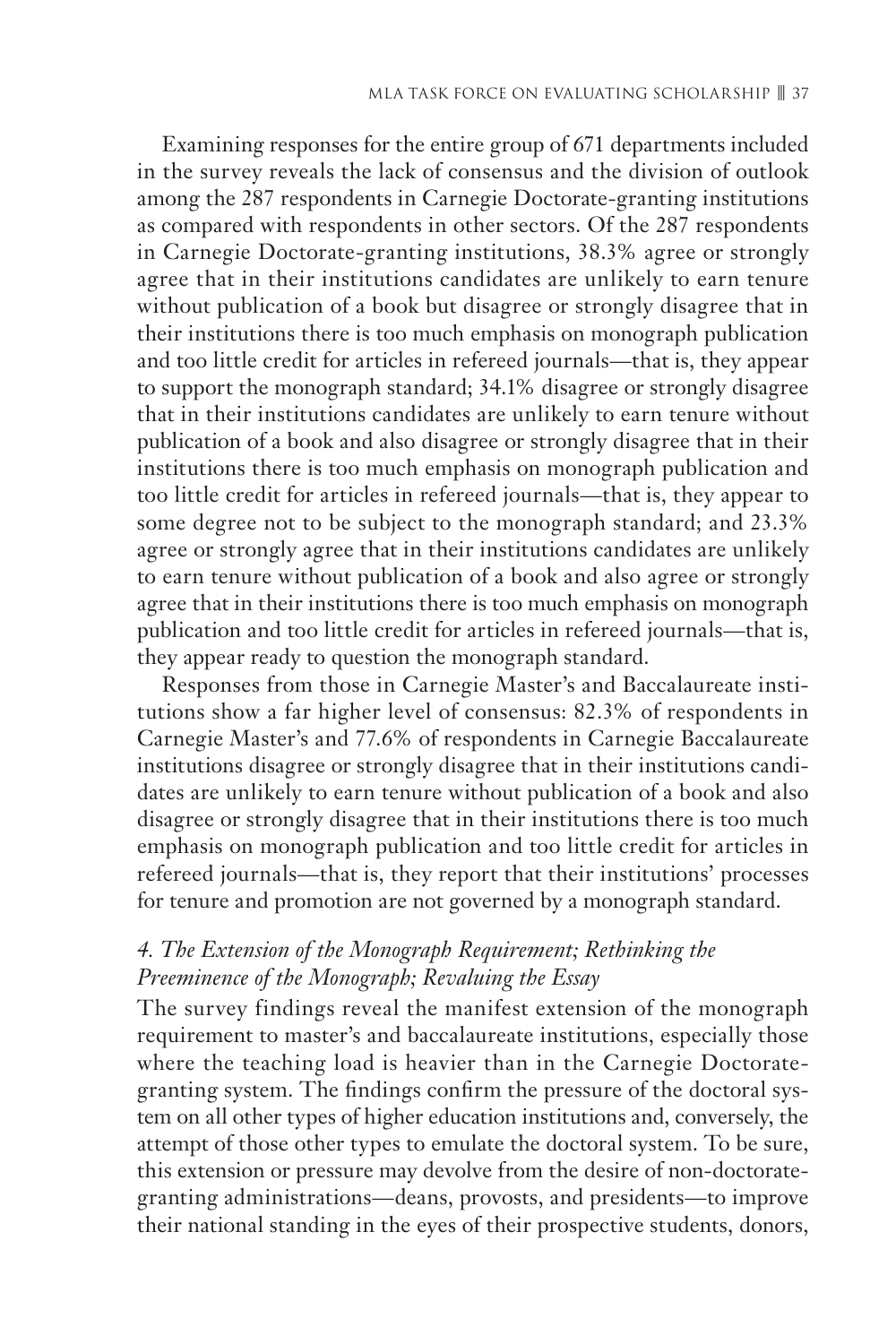Examining responses for the entire group of 671 departments included in the survey reveals the lack of consensus and the division of outlook among the 287 respondents in Carnegie Doctorate-granting institutions as compared with respondents in other sectors. Of the 287 respondents in Carnegie Doctorate-granting institutions, 38.3% agree or strongly agree that in their institutions candidates are unlikely to earn tenure without publication of a book but disagree or strongly disagree that in their institutions there is too much emphasis on monograph publication and too little credit for articles in refereed journals—that is, they appear to support the monograph standard; 34.1% disagree or strongly disagree that in their institutions candidates are unlikely to earn tenure without publication of a book and also disagree or strongly disagree that in their institutions there is too much emphasis on monograph publication and too little credit for articles in refereed journals—that is, they appear to some degree not to be subject to the monograph standard; and 23.3% agree or strongly agree that in their institutions candidates are unlikely to earn tenure without publication of a book and also agree or strongly agree that in their institutions there is too much emphasis on monograph publication and too little credit for articles in refereed journals—that is, they appear ready to question the monograph standard.

Responses from those in Carnegie Master's and Baccalaureate insti tutions show a far higher level of consensus: 82.3% of respondents in Carnegie Master's and 77.6% of respondents in Carnegie Baccalaureate institutions disagree or strongly disagree that in their institutions candi dates are unlikely to earn tenure without publication of a book and also disagree or strongly disagree that in their institutions there is too much emphasis on monograph publication and too little credit for articles in refereed journals—that is, they report that their institutions' processes for tenure and promotion are not governed by a monograph standard.

## *4. The Extension of the Monograph Requirement; Rethinking the Preeminence of the Monograph; Revaluing the Essay*

The survey findings reveal the manifest extension of the monograph requirement to master's and baccalaureate institutions, especially those where the teaching load is heavier than in the Carnegie Doctorategranting system. The findings confirm the pressure of the doctoral sys tem on all other types of higher education institutions and, conversely, the attempt of those other types to emulate the doctoral system. To be sure, this extension or pressure may devolve from the desire of non-doctorategranting administrations—deans, provosts, and presidents—to improve their national standing in the eyes of their prospective students, donors,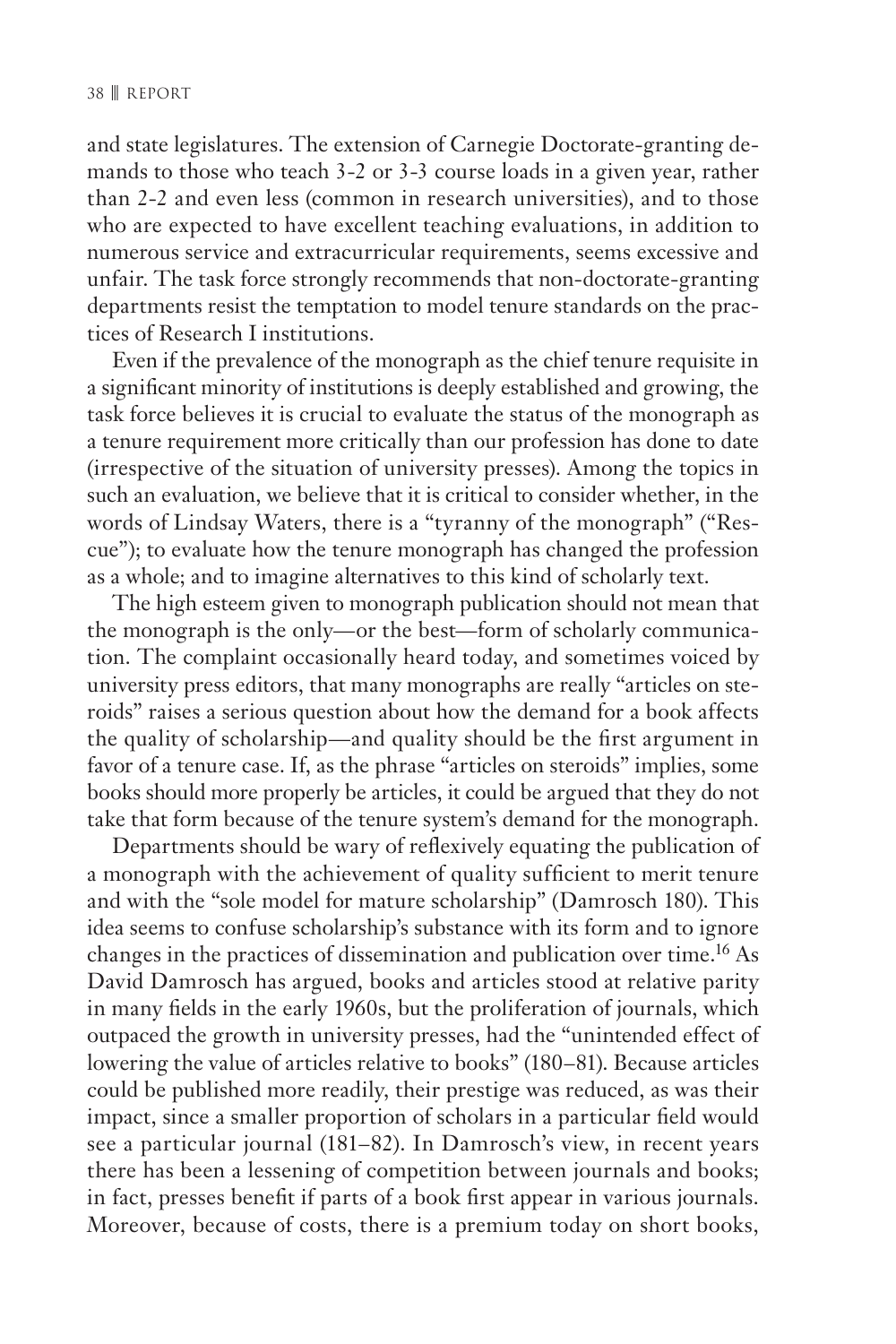and state legislatures. The extension of Carnegie Doctorate-granting de mands to those who teach 3-2 or 3-3 course loads in a given year, rather than 2-2 and even less (common in research universities), and to those who are expected to have excellent teaching evaluations, in addition to numerous service and extracurricular requirements, seems excessive and unfair. The task force strongly recommends that non-doctorate-granting departments resist the temptation to model tenure standards on the prac tices of Research I institutions.

Even if the prevalence of the monograph as the chief tenure requisite in a significant minority of institutions is deeply established and growing, the task force believes it is crucial to evaluate the status of the monograph as a tenure requirement more critically than our profession has done to date (irrespective of the situation of university presses). Among the topics in such an evaluation, we believe that it is critical to consider whether, in the words of Lindsay Waters, there is a "tyranny of the monograph" ("Res cue"); to evaluate how the tenure monograph has changed the profession as a whole; and to imagine alternatives to this kind of scholarly text.

The high esteem given to monograph publication should not mean that the monograph is the only—or the best—form of scholarly communica tion. The complaint occasionally heard today, and sometimes voiced by university press editors, that many monographs are really "articles on ste roids" raises a serious question about how the demand for a book affects the quality of scholarship—and quality should be the first argument in favor of a tenure case. If, as the phrase "articles on steroids" implies, some books should more properly be articles, it could be argued that they do not take that form because of the tenure system's demand for the monograph.

Departments should be wary of reflexively equating the publication of a monograph with the achievement of quality sufficient to merit tenure and with the "sole model for mature scholarship" (Damrosch 180). This idea seems to confuse scholarship's substance with its form and to ignore changes in the practices of dissemination and publication over time.16 As David Damrosch has argued, books and articles stood at relative parity in many fields in the early 1960s, but the proliferation of journals, which outpaced the growth in university presses, had the "unintended effect of lowering the value of articles relative to books" (180–81). Because articles could be published more readily, their prestige was reduced, as was their impact, since a smaller proportion of scholars in a particular field would see a particular journal (181–82). In Damrosch's view, in recent years there has been a lessening of competition between journals and books; in fact, presses benefit if parts of a book first appear in various journals. Moreover, because of costs, there is a premium today on short books,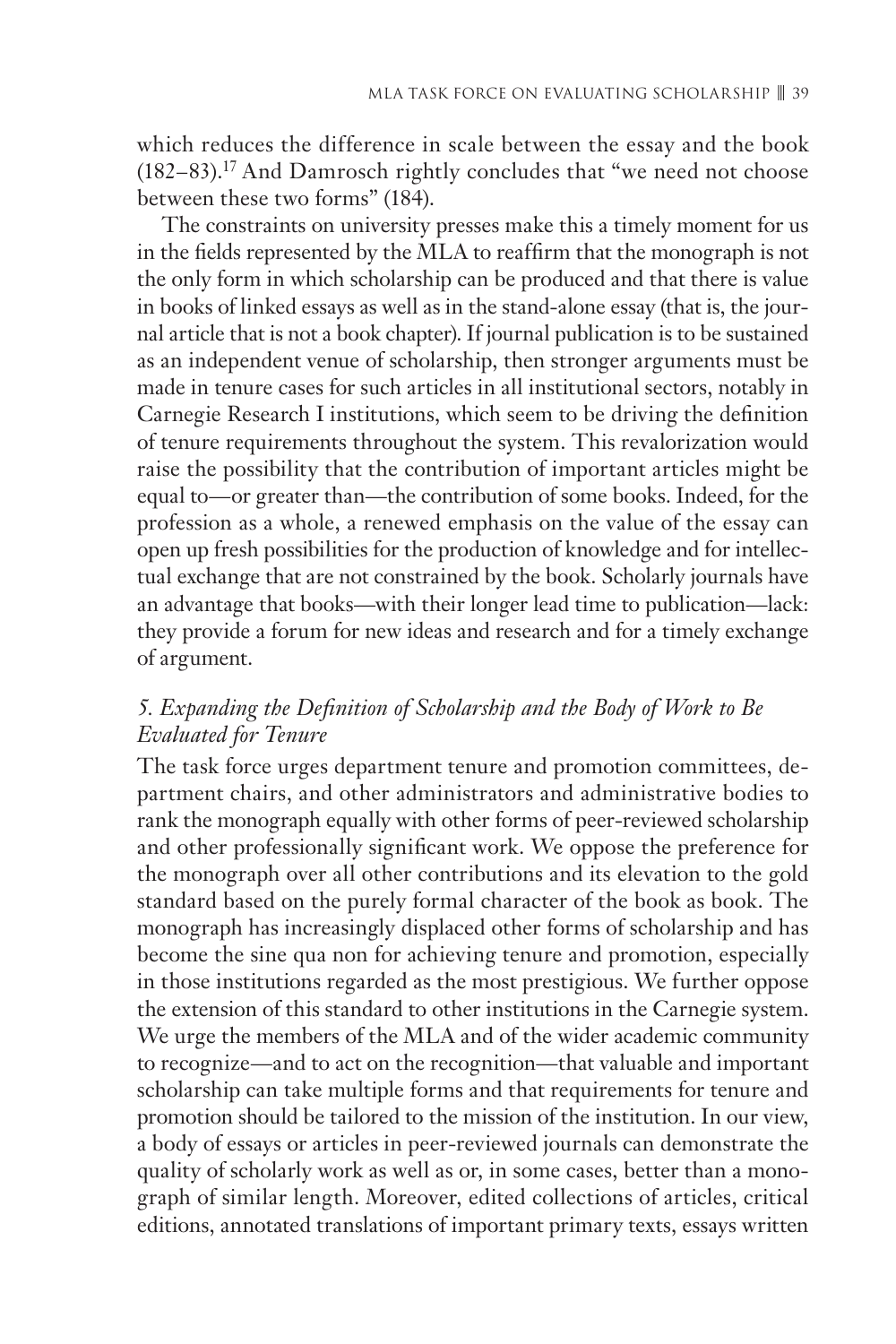which reduces the difference in scale between the essay and the book (182–83).17 And Damrosch rightly concludes that "we need not choose between these two forms" (184).

The constraints on university presses make this a timely moment for us in the fields represented by the MLA to reaffirm that the monograph is not the only form in which scholarship can be produced and that there is value in books of linked essays as well as in the stand-alone essay (that is, the jour nal article that is not a book chapter). If journal publication is to be sustained as an independent venue of scholarship, then stronger arguments must be made in tenure cases for such articles in all institutional sectors, notably in Carnegie Research I institutions, which seem to be driving the definition of tenure requirements throughout the system. This revalorization would raise the possibility that the contribution of important articles might be equal to—or greater than—the contribution of some books. Indeed, for the profession as a whole, a renewed emphasis on the value of the essay can open up fresh possibilities for the production of knowledge and for intellec tual exchange that are not constrained by the book. Scholarly journals have an advantage that books—with their longer lead time to publication—lack: they provide a forum for new ideas and research and for a timely exchange of argument.

## *5. Expanding the Definition of Scholarship and the Body of Work to Be Evaluated for Tenure*

The task force urges department tenure and promotion committees, de partment chairs, and other administrators and administrative bodies to rank the monograph equally with other forms of peer-reviewed scholarship and other professionally significant work. We oppose the preference for the monograph over all other contributions and its elevation to the gold standard based on the purely formal character of the book as book. The monograph has increasingly displaced other forms of scholarship and has become the sine qua non for achieving tenure and promotion, especially in those institutions regarded as the most prestigious. We further oppose the extension of this standard to other institutions in the Carnegie system. We urge the members of the MLA and of the wider academic community to recognize—and to act on the recognition—that valuable and important scholarship can take multiple forms and that requirements for tenure and promotion should be tailored to the mission of the institution. In our view, a body of essays or articles in peer-reviewed journals can demonstrate the quality of scholarly work as well as or, in some cases, better than a mono graph of similar length. Moreover, edited collections of articles, critical editions, annotated translations of important primary texts, essays written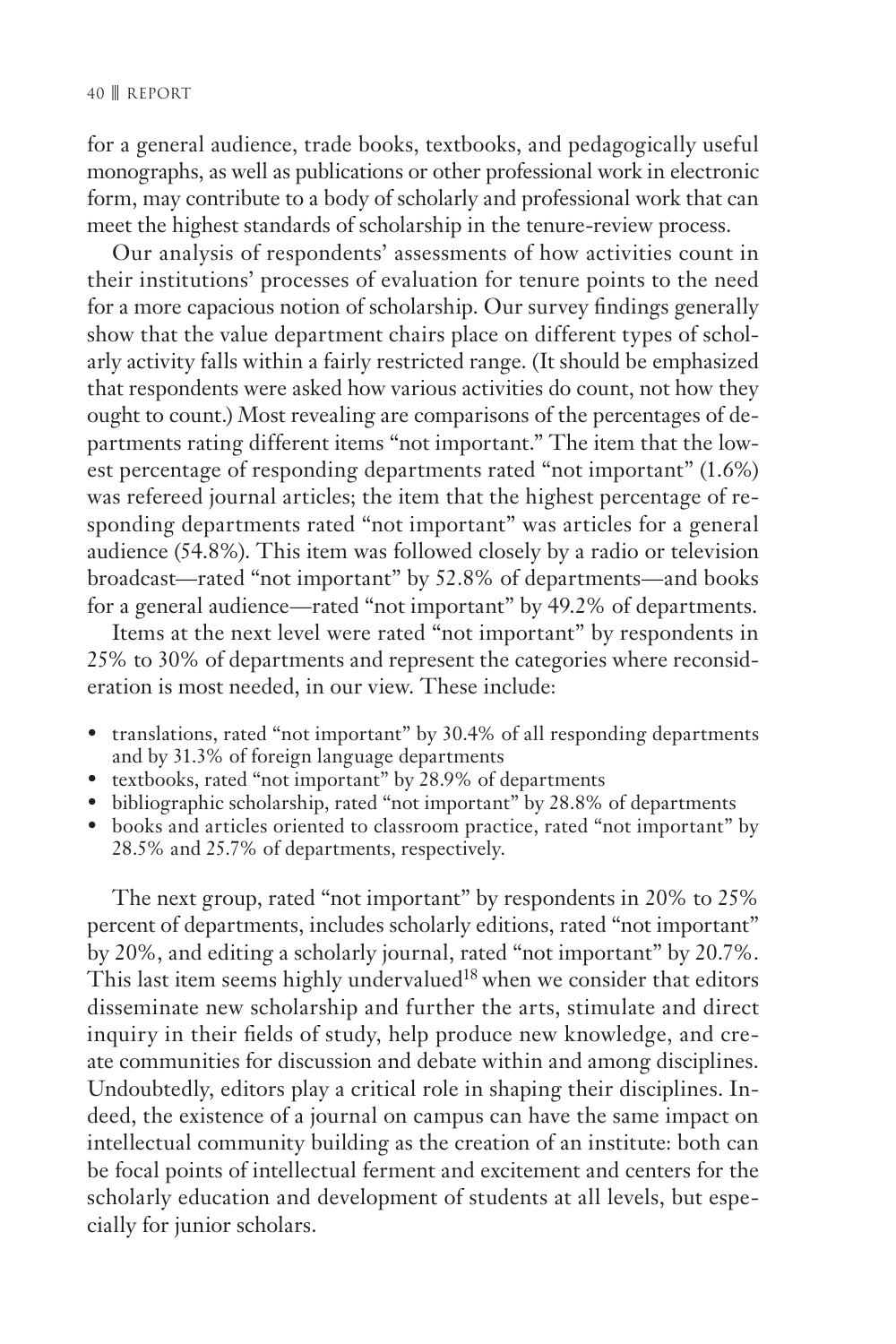for a general audience, trade books, textbooks, and pedagogically useful monographs, as well as publications or other professional work in electronic form, may contribute to a body of scholarly and professional work that can meet the highest standards of scholarship in the tenure-review process.

Our analysis of respondents' assessments of how activities count in their institutions' processes of evaluation for tenure points to the need for a more capacious notion of scholarship. Our survey findings generally show that the value department chairs place on different types of schol arly activity falls within a fairly restricted range. (It should be emphasized that respondents were asked how various activities do count, not how they ought to count.) Most revealing are comparisons of the percentages of de partments rating different items "not important." The item that the low est percentage of responding departments rated "not important" (1.6%) was refereed journal articles; the item that the highest percentage of re sponding departments rated "not important" was articles for a general audience (54.8%). This item was followed closely by a radio or television broadcast—rated "not important" by 52.8% of departments—and books for a general audience—rated "not important" by 49.2% of departments.

Items at the next level were rated "not important" by respondents in 25% to 30% of departments and represent the categories where reconsid eration is most needed, in our view. These include:

- translations, rated "not important" by 30.4% of all responding departments and by 31.3% of foreign language departments
- textbooks, rated "not important" by 28.9% of departments
- bibliographic scholarship, rated "not important" by 28.8% of departments
- books and articles oriented to classroom practice, rated "not important" by 28.5% and 25.7% of departments, respectively.

The next group, rated "not important" by respondents in 20% to 25% percent of departments, includes scholarly editions, rated "not important" by 20%, and editing a scholarly journal, rated "not important" by 20.7%. This last item seems highly undervalued<sup>18</sup> when we consider that editors disseminate new scholarship and further the arts, stimulate and direct inquiry in their fields of study, help produce new knowledge, and cre ate communities for discussion and debate within and among disciplines. Undoubtedly, editors play a critical role in shaping their disciplines. In deed, the existence of a journal on campus can have the same impact on intellectual community building as the creation of an institute: both can be focal points of intellectual ferment and excitement and centers for the scholarly education and development of students at all levels, but espe cially for junior scholars.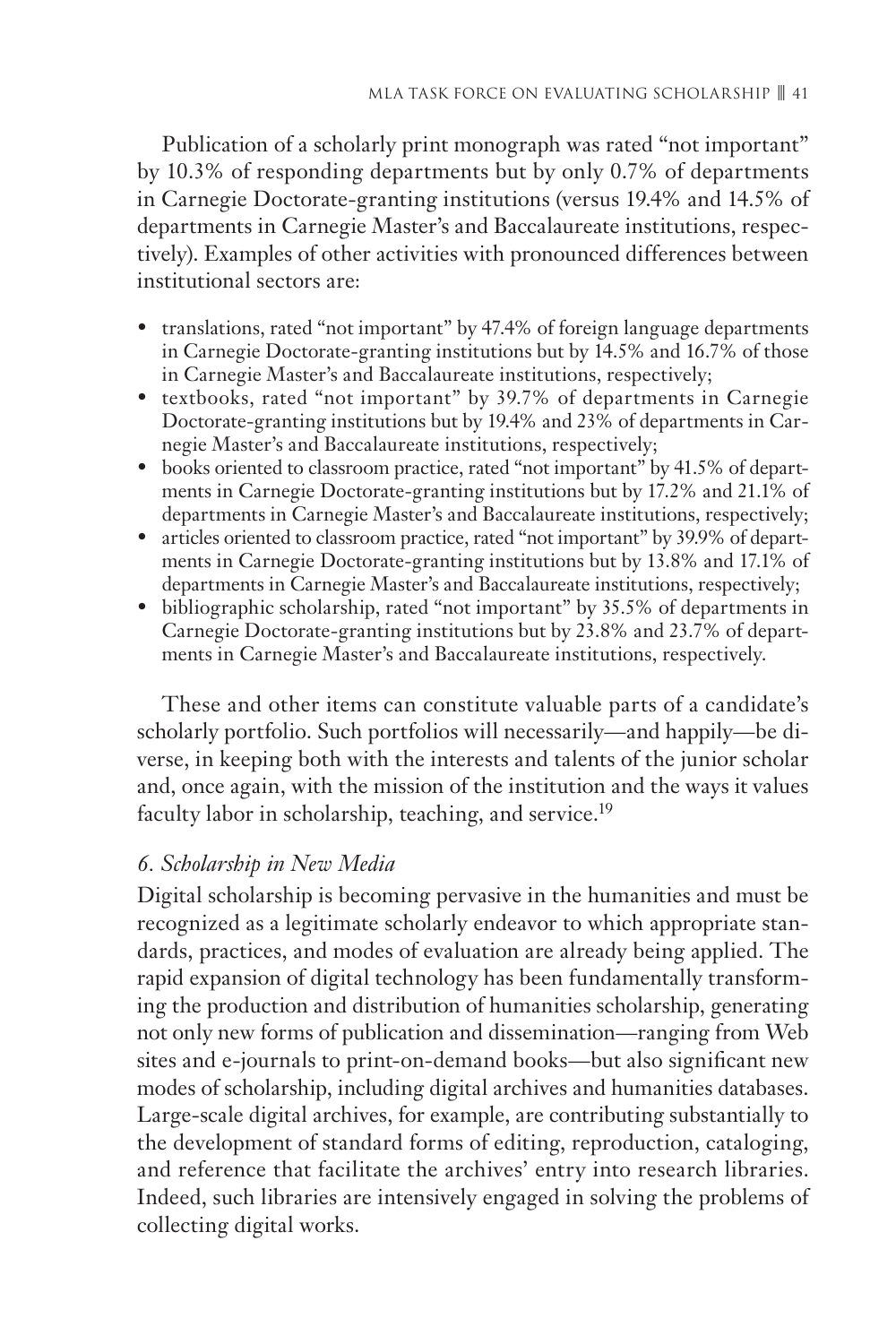Publication of a scholarly print monograph was rated "not important" by 10.3% of responding departments but by only 0.7% of departments in Carnegie Doctorate-granting institutions (versus 19.4% and 14.5% of departments in Carnegie Master's and Baccalaureate institutions, respec tively). Examples of other activities with pronounced differences between institutional sectors are:

- translations, rated "not important" by 47.4% of foreign language departments in Carnegie Doctorate-granting institutions but by 14.5% and 16.7% of those in Carnegie Master's and Baccalaureate institutions, respectively;
- textbooks, rated "not important" by 39.7% of departments in Carnegie Doctorate-granting institutions but by 19.4% and 23% of departments in Car negie Master's and Baccalaureate institutions, respectively;
- books oriented to classroom practice, rated "not important" by 41.5% of depart ments in Carnegie Doctorate-granting institutions but by 17.2% and 21.1% of departments in Carnegie Master's and Baccalaureate institutions, respectively;
- articles oriented to classroom practice, rated "not important" by 39.9% of depart ments in Carnegie Doctorate-granting institutions but by 13.8% and 17.1% of departments in Carnegie Master's and Baccalaureate institutions, respectively;
- bibliographic scholarship, rated "not important" by 35.5% of departments in Carnegie Doctorate-granting institutions but by 23.8% and 23.7% of depart ments in Carnegie Master's and Baccalaureate institutions, respectively.

These and other items can constitute valuable parts of a candidate's scholarly portfolio. Such portfolios will necessarily—and happily—be di verse, in keeping both with the interests and talents of the junior scholar and, once again, with the mission of the institution and the ways it values faculty labor in scholarship, teaching, and service.<sup>19</sup>

## *6. Scholarship in New Media*

Digital scholarship is becoming pervasive in the humanities and must be recognized as a legitimate scholarly endeavor to which appropriate stan dards, practices, and modes of evaluation are already being applied. The rapid expansion of digital technology has been fundamentally transform ing the production and distribution of humanities scholarship, generating not only new forms of publication and dissemination—ranging from Web sites and e-journals to print-on-demand books—but also significant new modes of scholarship, including digital archives and humanities databases. Large-scale digital archives, for example, are contributing substantially to the development of standard forms of editing, reproduction, cataloging, and reference that facilitate the archives' entry into research libraries. Indeed, such libraries are intensively engaged in solving the problems of collecting digital works.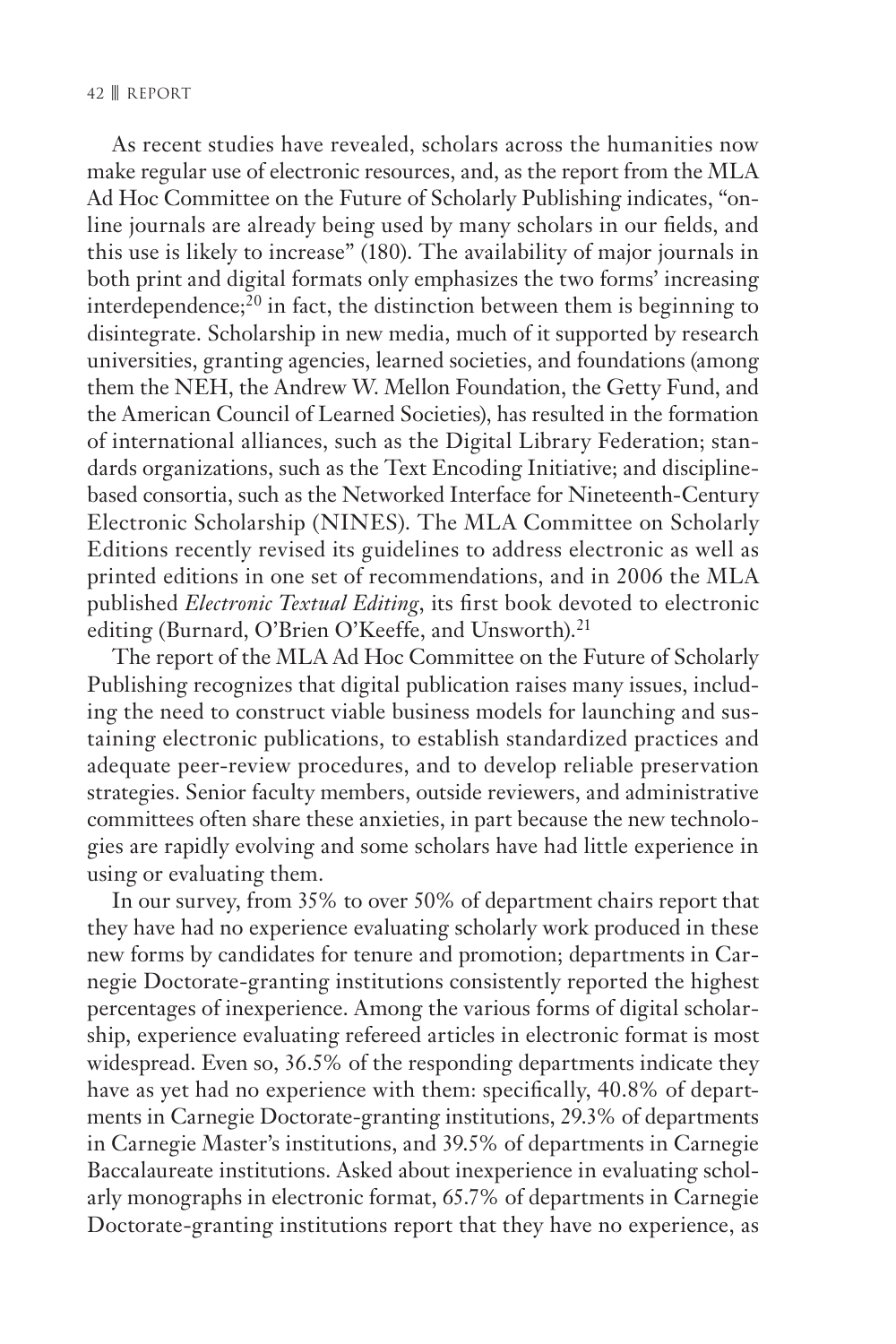As recent studies have revealed, scholars across the humanities now make regular use of electronic resources, and, as the report from the MLA Ad Hoc Committee on the Future of Scholarly Publishing indicates, "on line journals are already being used by many scholars in our fields, and this use is likely to increase" (180). The availability of major journals in both print and digital formats only emphasizes the two forms' increasing interdependence; $\frac{20}{10}$  in fact, the distinction between them is beginning to disintegrate. Scholarship in new media, much of it supported by research universities, granting agencies, learned societies, and foundations (among them the NEH, the Andrew W. Mellon Foundation, the Getty Fund, and the American Council of Learned Societies), has resulted in the formation of international alliances, such as the Digital Library Federation; stan dards organizations, such as the Text Encoding Initiative; and disciplinebased consortia, such as the Networked Interface for Nineteenth-Century Electronic Scholarship (NINES). The MLA Committee on Scholarly Editions recently revised its guidelines to address electronic as well as printed editions in one set of recommendations, and in 2006 the MLA published *Electronic Textual Editing*, its first book devoted to electronic editing (Burnard, O'Brien O'Keeffe, and Unsworth).<sup>21</sup>

The report of the MLA Ad Hoc Committee on the Future of Scholarly Publishing recognizes that digital publication raises many issues, includ ing the need to construct viable business models for launching and sus taining electronic publications, to establish standardized practices and adequate peer-review procedures, and to develop reliable preservation strategies. Senior faculty members, outside reviewers, and administrative committees often share these anxieties, in part because the new technolo gies are rapidly evolving and some scholars have had little experience in using or evaluating them.

In our survey, from 35% to over 50% of department chairs report that they have had no experience evaluating scholarly work produced in these new forms by candidates for tenure and promotion; departments in Car negie Doctorate-granting institutions consistently reported the highest percentages of inexperience. Among the various forms of digital scholar ship, experience evaluating refereed articles in electronic format is most widespread. Even so, 36.5% of the responding departments indicate they have as yet had no experience with them: specifically, 40.8% of depart ments in Carnegie Doctorate-granting institutions, 29.3% of departments in Carnegie Master's institutions, and 39.5% of departments in Carnegie Baccalaureate institutions. Asked about inexperience in evaluating schol arly monographs in electronic format, 65.7% of departments in Carnegie Doctorate-granting institutions report that they have no experience, as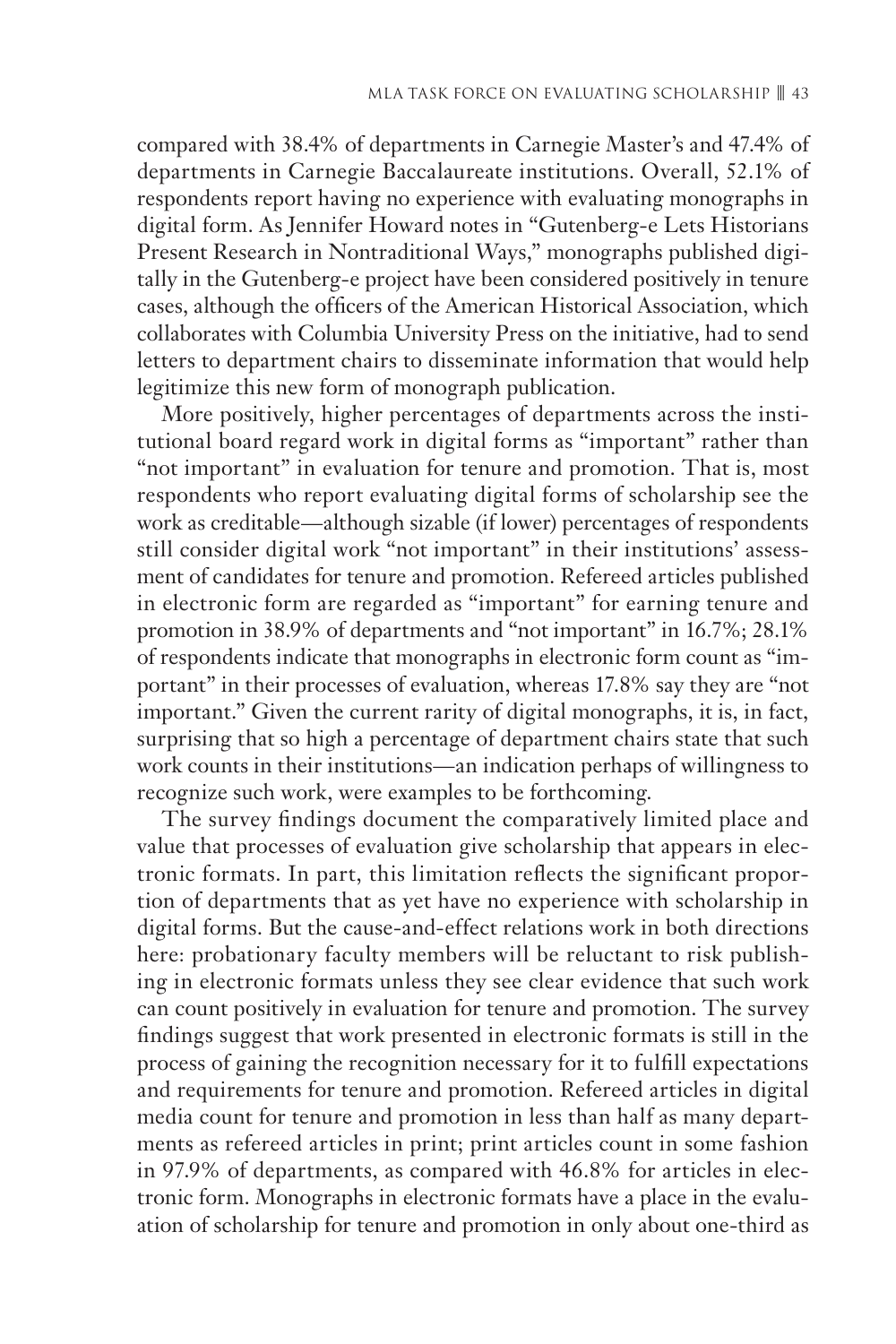compared with 38.4% of departments in Carnegie Master's and 47.4% of departments in Carnegie Baccalaureate institutions. Overall, 52.1% of respondents report having no experience with evaluating monographs in digital form. As Jennifer Howard notes in "Gutenberg-e Lets Historians Present Research in Nontraditional Ways," monographs published digi tally in the Gutenberg-e project have been considered positively in tenure cases, although the officers of the American Historical Association, which collaborates with Columbia University Press on the initiative, had to send letters to department chairs to disseminate information that would help legitimize this new form of monograph publication.

More positively, higher percentages of departments across the insti tutional board regard work in digital forms as "important" rather than "not important" in evaluation for tenure and promotion. That is, most respondents who report evaluating digital forms of scholarship see the work as creditable—although sizable (if lower) percentages of respondents still consider digital work "not important" in their institutions' assess ment of candidates for tenure and promotion. Refereed articles published in electronic form are regarded as "important" for earning tenure and promotion in 38.9% of departments and "not important" in 16.7%; 28.1% of respondents indicate that monographs in electronic form count as "im portant" in their processes of evaluation, whereas 17.8% say they are "not important." Given the current rarity of digital monographs, it is, in fact, surprising that so high a percentage of department chairs state that such work counts in their institutions—an indication perhaps of willingness to recognize such work, were examples to be forthcoming.

The survey findings document the comparatively limited place and value that processes of evaluation give scholarship that appears in elec tronic formats. In part, this limitation reflects the significant propor tion of departments that as yet have no experience with scholarship in digital forms. But the cause-and-effect relations work in both directions here: probationary faculty members will be reluctant to risk publish ing in electronic formats unless they see clear evidence that such work can count positively in evaluation for tenure and promotion. The survey findings suggest that work presented in electronic formats is still in the process of gaining the recognition necessary for it to fulfill expectations and requirements for tenure and promotion. Refereed articles in digital media count for tenure and promotion in less than half as many depart ments as refereed articles in print; print articles count in some fashion in 97.9% of departments, as compared with 46.8% for articles in elec tronic form. Monographs in electronic formats have a place in the evalu ation of scholarship for tenure and promotion in only about one-third as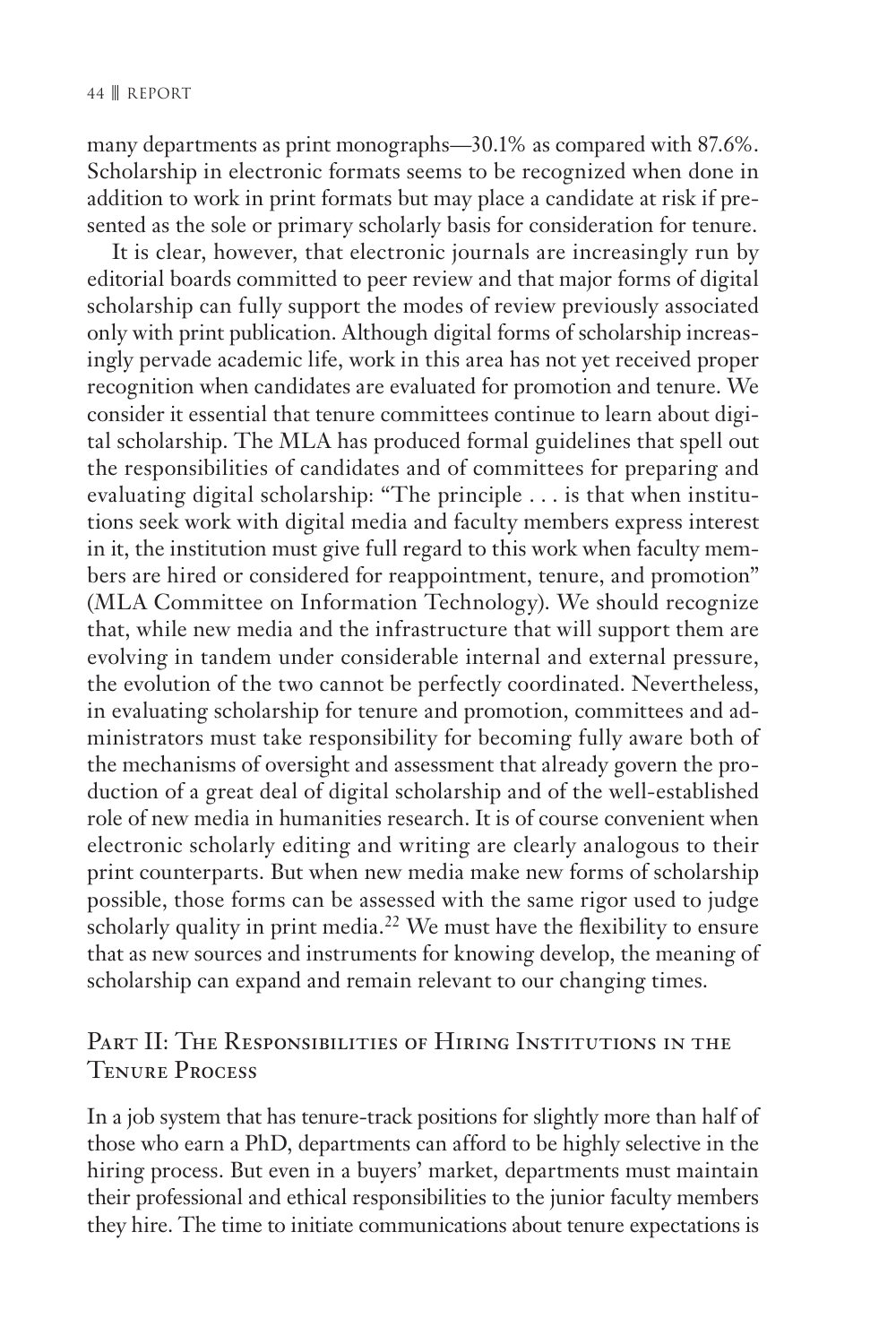many departments as print monographs—30.1% as compared with 87.6%. Scholarship in electronic formats seems to be recognized when done in addition to work in print formats but may place a candidate at risk if pre sented as the sole or primary scholarly basis for consideration for tenure.

It is clear, however, that electronic journals are increasingly run by editorial boards committed to peer review and that major forms of digital scholarship can fully support the modes of review previously associated only with print publication. Although digital forms of scholarship increas ingly pervade academic life, work in this area has not yet received proper recognition when candidates are evaluated for promotion and tenure. We consider it essential that tenure committees continue to learn about digi tal scholarship. The MLA has produced formal guidelines that spell out the responsibilities of candidates and of committees for preparing and evaluating digital scholarship: "The principle . . . is that when institu tions seek work with digital media and faculty members express interest in it, the institution must give full regard to this work when faculty mem bers are hired or considered for reappointment, tenure, and promotion" (MLA Committee on Information Technology). We should recognize that, while new media and the infrastructure that will support them are evolving in tandem under considerable internal and external pressure, the evolution of the two cannot be perfectly coordinated. Nevertheless, in evaluating scholarship for tenure and promotion, committees and ad ministrators must take responsibility for becoming fully aware both of the mechanisms of oversight and assessment that already govern the pro duction of a great deal of digital scholarship and of the well-established role of new media in humanities research. It is of course convenient when electronic scholarly editing and writing are clearly analogous to their print counterparts. But when new media make new forms of scholarship possible, those forms can be assessed with the same rigor used to judge scholarly quality in print media.<sup>22</sup> We must have the flexibility to ensure that as new sources and instruments for knowing develop, the meaning of scholarship can expand and remain relevant to our changing times.

## PART II: THE RESPONSIBILITIES OF HIRING INSTITUTIONS IN THE Tenure Process

In a job system that has tenure-track positions for slightly more than half of those who earn a PhD, departments can afford to be highly selective in the hiring process. But even in a buyers' market, departments must maintain their professional and ethical responsibilities to the junior faculty members they hire. The time to initiate communications about tenure expectations is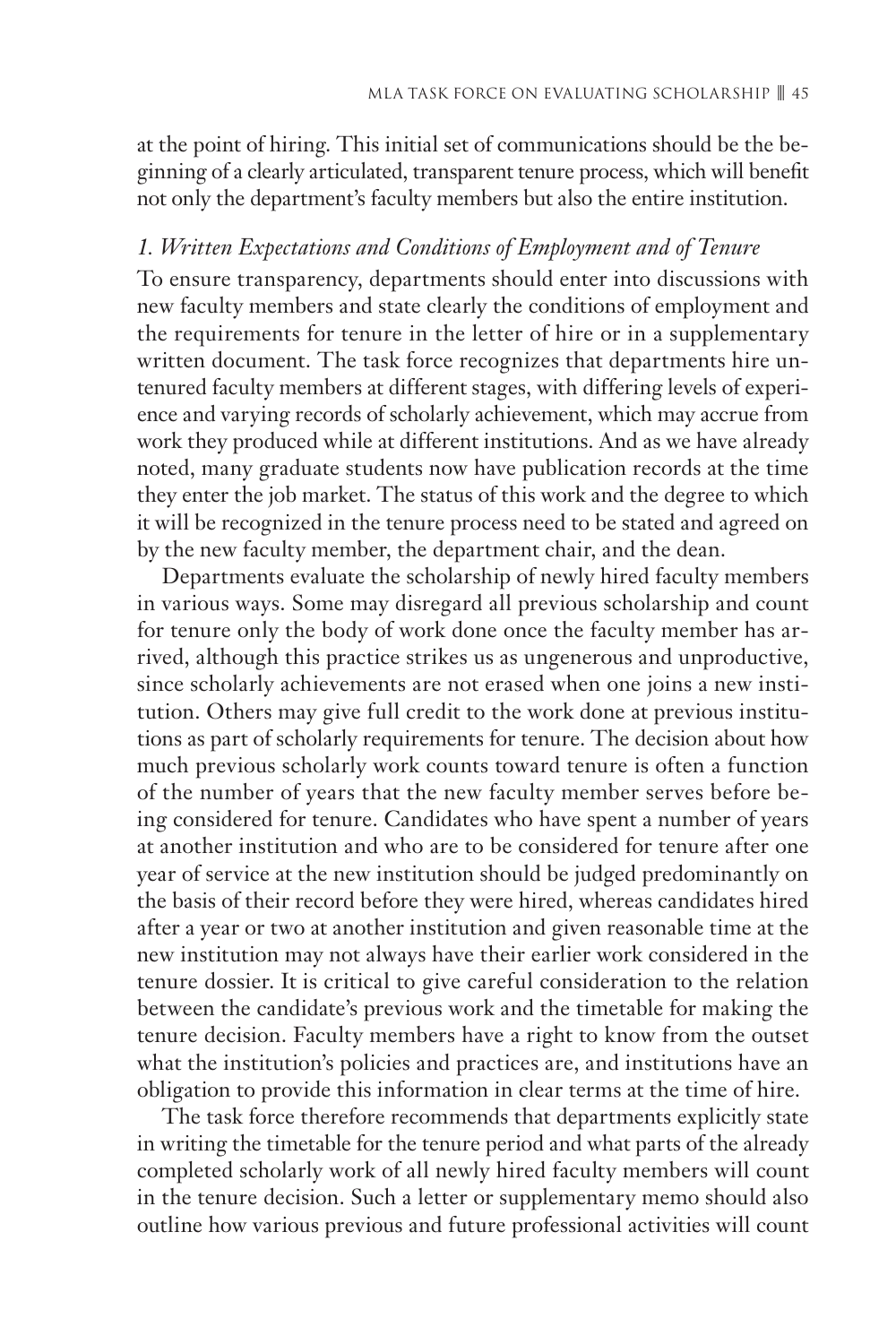at the point of hiring. This initial set of communications should be the be ginning of a clearly articulated, transparent tenure process, which will benefit not only the department's faculty members but also the entire institution.

## *1. Written Expectations and Conditions of Employment and of Tenure*

To ensure transparency, departments should enter into discussions with new faculty members and state clearly the conditions of employment and the requirements for tenure in the letter of hire or in a supplementary written document. The task force recognizes that departments hire un tenured faculty members at different stages, with differing levels of experi ence and varying records of scholarly achievement, which may accrue from work they produced while at different institutions. And as we have already noted, many graduate students now have publication records at the time they enter the job market. The status of this work and the degree to which it will be recognized in the tenure process need to be stated and agreed on by the new faculty member, the department chair, and the dean.

Departments evaluate the scholarship of newly hired faculty members in various ways. Some may disregard all previous scholarship and count for tenure only the body of work done once the faculty member has ar rived, although this practice strikes us as ungenerous and unproductive, since scholarly achievements are not erased when one joins a new insti tution. Others may give full credit to the work done at previous institu tions as part of scholarly requirements for tenure. The decision about how much previous scholarly work counts toward tenure is often a function of the number of years that the new faculty member serves before be ing considered for tenure. Candidates who have spent a number of years at another institution and who are to be considered for tenure after one year of service at the new institution should be judged predominantly on the basis of their record before they were hired, whereas candidates hired after a year or two at another institution and given reasonable time at the new institution may not always have their earlier work considered in the tenure dossier. It is critical to give careful consideration to the relation between the candidate's previous work and the timetable for making the tenure decision. Faculty members have a right to know from the outset what the institution's policies and practices are, and institutions have an obligation to provide this information in clear terms at the time of hire.

The task force therefore recommends that departments explicitly state in writing the timetable for the tenure period and what parts of the already completed scholarly work of all newly hired faculty members will count in the tenure decision. Such a letter or supplementary memo should also outline how various previous and future professional activities will count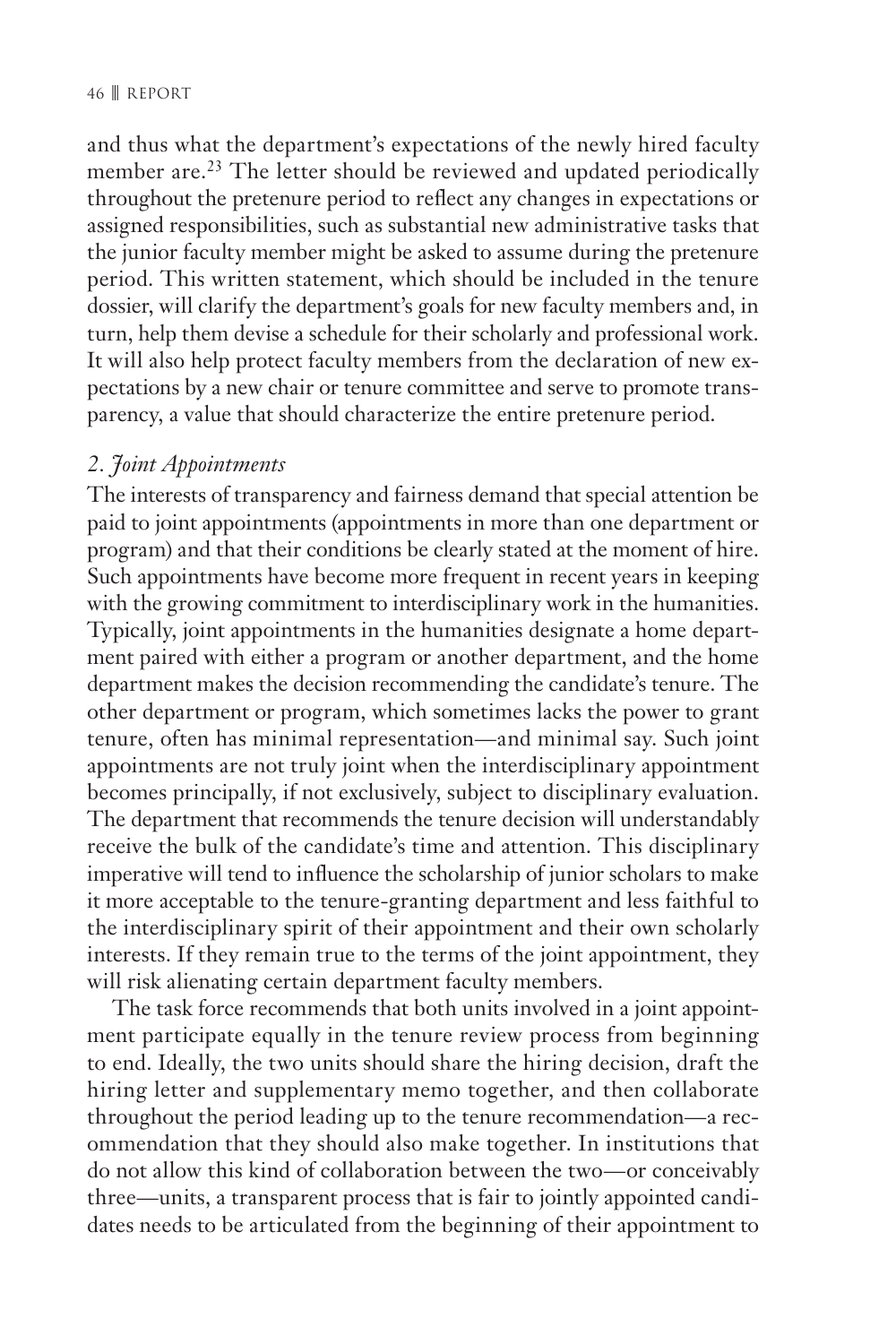and thus what the department's expectations of the newly hired faculty member are.<sup>23</sup> The letter should be reviewed and updated periodically throughout the pretenure period to reflect any changes in expectations or assigned responsibilities, such as substantial new administrative tasks that the junior faculty member might be asked to assume during the pretenure period. This written statement, which should be included in the tenure dossier, will clarify the department's goals for new faculty members and, in turn, help them devise a schedule for their scholarly and professional work. It will also help protect faculty members from the declaration of new ex pectations by a new chair or tenure committee and serve to promote trans parency, a value that should characterize the entire pretenure period.

## *2. Joint Appointments*

The interests of transparency and fairness demand that special attention be paid to joint appointments (appointments in more than one department or program) and that their conditions be clearly stated at the moment of hire. Such appointments have become more frequent in recent years in keeping with the growing commitment to interdisciplinary work in the humanities. Typically, joint appointments in the humanities designate a home depart ment paired with either a program or another department, and the home department makes the decision recommending the candidate's tenure. The other department or program, which sometimes lacks the power to grant tenure, often has minimal representation—and minimal say. Such joint appointments are not truly joint when the interdisciplinary appointment becomes principally, if not exclusively, subject to disciplinary evaluation. The department that recommends the tenure decision will understandably receive the bulk of the candidate's time and attention. This disciplinary imperative will tend to influence the scholarship of junior scholars to make it more acceptable to the tenure-granting department and less faithful to the interdisciplinary spirit of their appointment and their own scholarly interests. If they remain true to the terms of the joint appointment, they will risk alienating certain department faculty members.

The task force recommends that both units involved in a joint appoint ment participate equally in the tenure review process from beginning to end. Ideally, the two units should share the hiring decision, draft the hiring letter and supplementary memo together, and then collaborate throughout the period leading up to the tenure recommendation—a rec ommendation that they should also make together. In institutions that do not allow this kind of collaboration between the two—or conceivably three—units, a transparent process that is fair to jointly appointed candi dates needs to be articulated from the beginning of their appointment to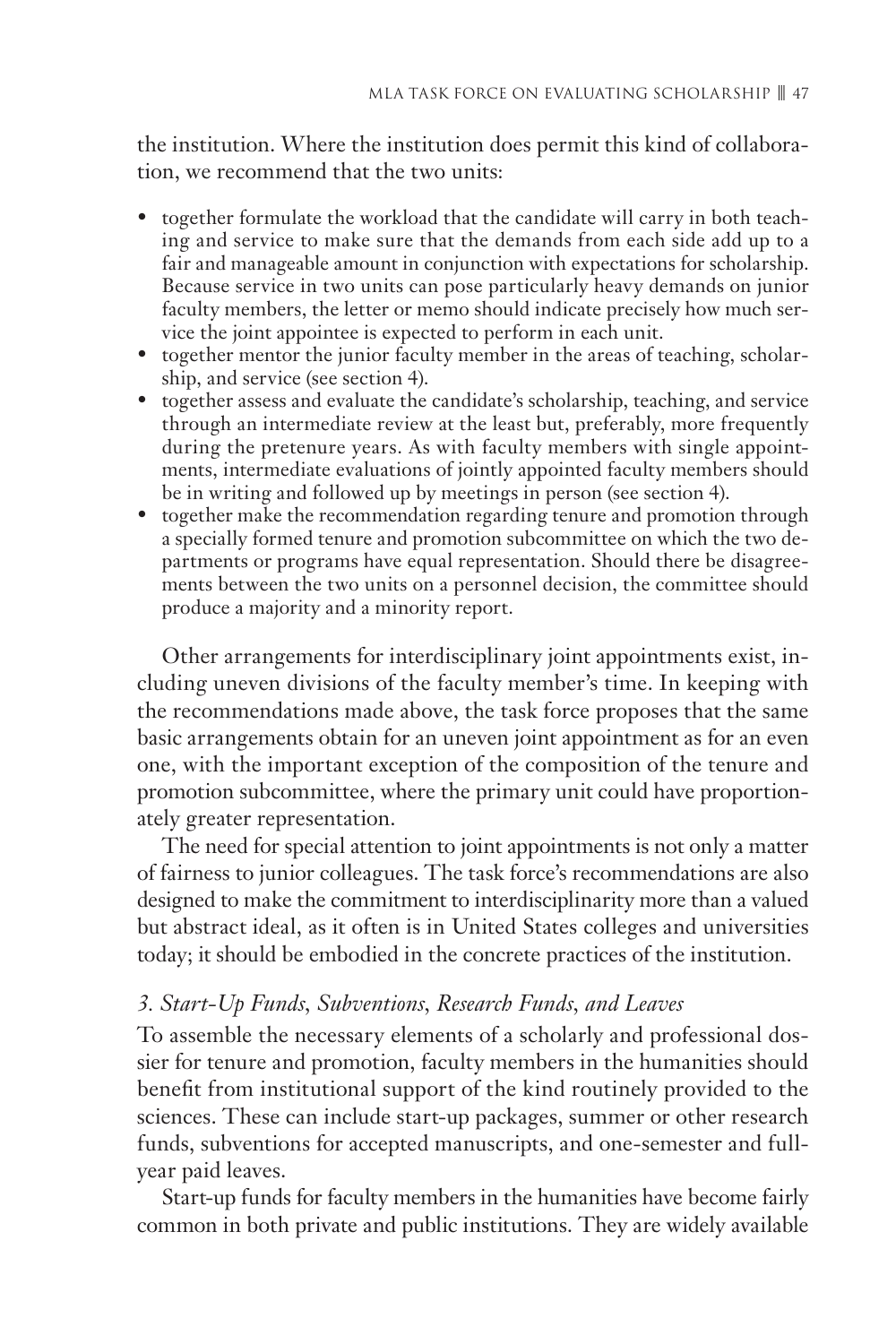the institution. Where the institution does permit this kind of collabora tion, we recommend that the two units:

- together formulate the workload that the candidate will carry in both teach ing and service to make sure that the demands from each side add up to a fair and manageable amount in conjunction with expectations for scholarship. Because service in two units can pose particularly heavy demands on junior faculty members, the letter or memo should indicate precisely how much ser vice the joint appointee is expected to perform in each unit.
- together mentor the junior faculty member in the areas of teaching, scholar ship, and service (see section 4).
- together assess and evaluate the candidate's scholarship, teaching, and service through an intermediate review at the least but, preferably, more frequently during the pretenure years. As with faculty members with single appoint ments, intermediate evaluations of jointly appointed faculty members should be in writing and followed up by meetings in person (see section 4).
- together make the recommendation regarding tenure and promotion through a specially formed tenure and promotion subcommittee on which the two de partments or programs have equal representation. Should there be disagree ments between the two units on a personnel decision, the committee should produce a majority and a minority report.

Other arrangements for interdisciplinary joint appointments exist, in cluding uneven divisions of the faculty member's time. In keeping with the recommendations made above, the task force proposes that the same basic arrangements obtain for an uneven joint appointment as for an even one, with the important exception of the composition of the tenure and promotion subcommittee, where the primary unit could have proportion ately greater representation.

The need for special attention to joint appointments is not only a matter of fairness to junior colleagues. The task force's recommendations are also designed to make the commitment to interdisciplinarity more than a valued but abstract ideal, as it often is in United States colleges and universities today; it should be embodied in the concrete practices of the institution.

#### *3. Start-Up Funds, Subventions, Research Funds, and Leaves*

To assemble the necessary elements of a scholarly and professional dos sier for tenure and promotion, faculty members in the humanities should benefit from institutional support of the kind routinely provided to the sciences. These can include start-up packages, summer or other research funds, subventions for accepted manuscripts, and one-semester and fullyear paid leaves.

Start-up funds for faculty members in the humanities have become fairly common in both private and public institutions. They are widely available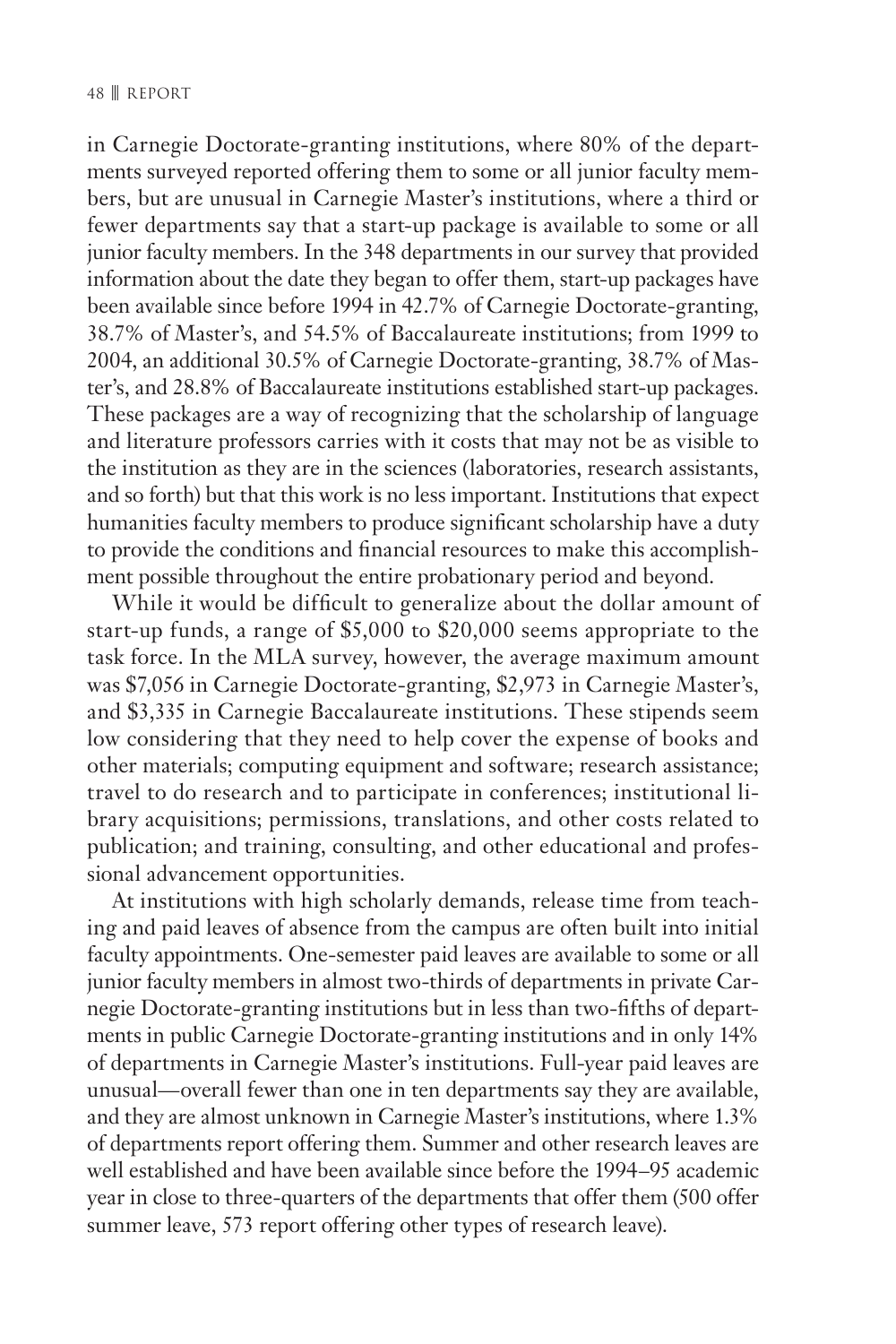in Carnegie Doctorate-granting institutions, where 80% of the depart ments surveyed reported offering them to some or all junior faculty mem bers, but are unusual in Carnegie Master's institutions, where a third or fewer departments say that a start-up package is available to some or all junior faculty members. In the 348 departments in our survey that provided information about the date they began to offer them, start-up packages have been available since before 1994 in 42.7% of Carnegie Doctorate-granting, 38.7% of Master's, and 54.5% of Baccalaureate institutions; from 1999 to 2004, an additional 30.5% of Carnegie Doctorate-granting, 38.7% of Mas ter's, and 28.8% of Baccalaureate institutions established start-up packages. These packages are a way of recognizing that the scholarship of language and literature professors carries with it costs that may not be as visible to the institution as they are in the sciences (laboratories, research assistants, and so forth) but that this work is no less important. Institutions that expect humanities faculty members to produce significant scholarship have a duty to provide the conditions and financial resources to make this accomplish ment possible throughout the entire probationary period and beyond.

While it would be difficult to generalize about the dollar amount of start-up funds, a range of \$5,000 to \$20,000 seems appropriate to the task force. In the MLA survey, however, the average maximum amount was \$7,056 in Carnegie Doctorate-granting, \$2,973 in Carnegie Master's, and \$3,335 in Carnegie Baccalaureate institutions. These stipends seem low considering that they need to help cover the expense of books and other materials; computing equipment and software; research assistance; travel to do research and to participate in conferences; institutional li brary acquisitions; permissions, translations, and other costs related to publication; and training, consulting, and other educational and profes sional advancement opportunities.

At institutions with high scholarly demands, release time from teach ing and paid leaves of absence from the campus are often built into initial faculty appointments. One-semester paid leaves are available to some or all junior faculty members in almost two-thirds of departments in private Car negie Doctorate-granting institutions but in less than two-fifths of depart ments in public Carnegie Doctorate-granting institutions and in only 14% of departments in Carnegie Master's institutions. Full-year paid leaves are unusual—overall fewer than one in ten departments say they are available, and they are almost unknown in Carnegie Master's institutions, where 1.3% of departments report offering them. Summer and other research leaves are well established and have been available since before the 1994–95 academic year in close to three-quarters of the departments that offer them (500 offer summer leave, 573 report offering other types of research leave).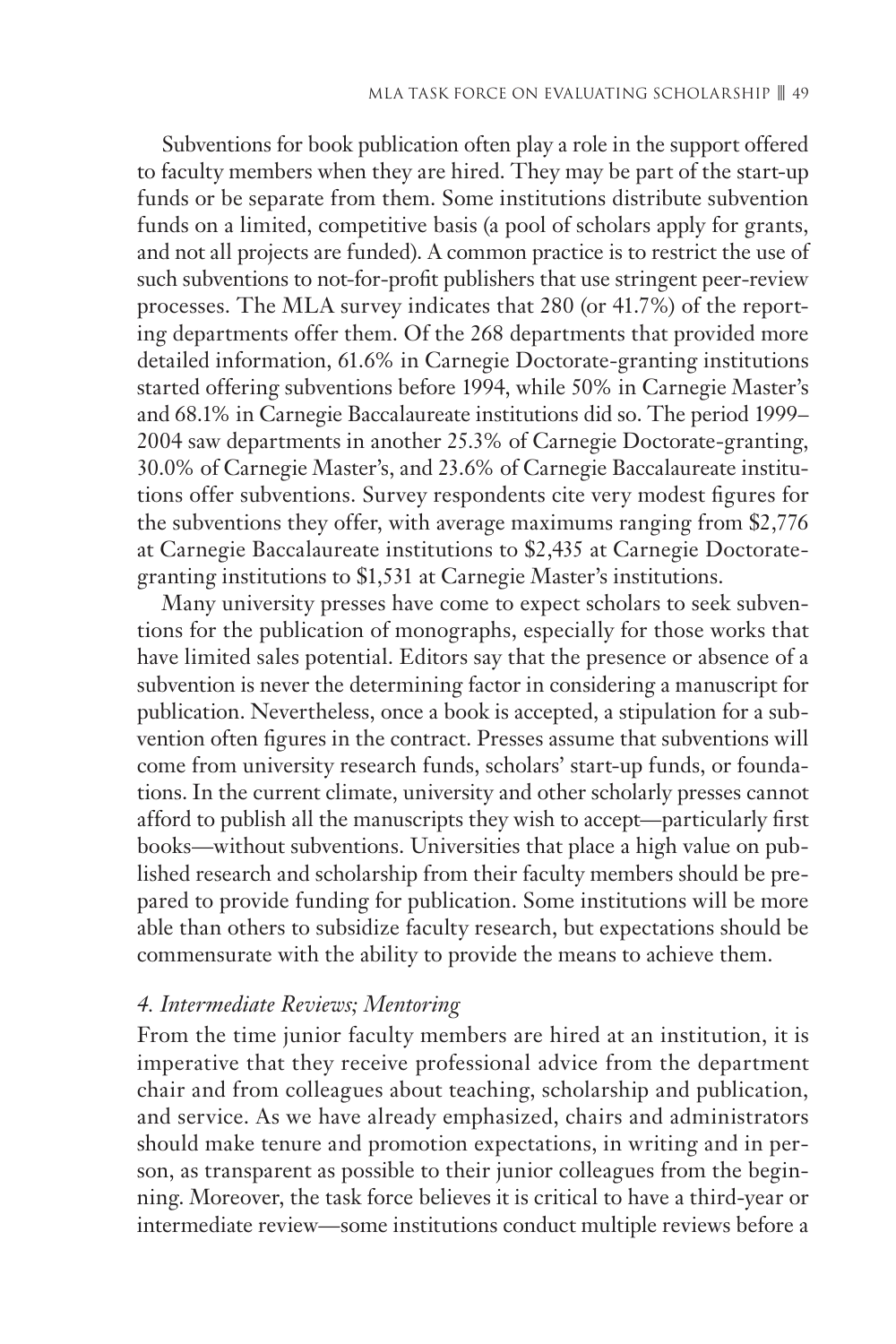Subventions for book publication often play a role in the support offered to faculty members when they are hired. They may be part of the start-up funds or be separate from them. Some institutions distribute subvention funds on a limited, competitive basis (a pool of scholars apply for grants, and not all projects are funded). A common practice is to restrict the use of such subventions to not-for-profit publishers that use stringent peer-review processes. The MLA survey indicates that 280 (or 41.7%) of the report ing departments offer them. Of the 268 departments that provided more detailed information, 61.6% in Carnegie Doctorate-granting institutions started offering subventions before 1994, while 50% in Carnegie Master's and 68.1% in Carnegie Baccalaureate institutions did so. The period 1999– 2004 saw departments in another 25.3% of Carnegie Doctorate-granting, 30.0% of Carnegie Master's, and 23.6% of Carnegie Baccalaureate institu tions offer subventions. Survey respondents cite very modest figures for the subventions they offer, with average maximums ranging from \$2,776 at Carnegie Baccalaureate institutions to \$2,435 at Carnegie Doctorategranting institutions to \$1,531 at Carnegie Master's institutions.

Many university presses have come to expect scholars to seek subven tions for the publication of monographs, especially for those works that have limited sales potential. Editors say that the presence or absence of a subvention is never the determining factor in considering a manuscript for publication. Nevertheless, once a book is accepted, a stipulation for a sub vention often figures in the contract. Presses assume that subventions will come from university research funds, scholars' start-up funds, or founda tions. In the current climate, university and other scholarly presses cannot afford to publish all the manuscripts they wish to accept—particularly first books—without subventions. Universities that place a high value on pub lished research and scholarship from their faculty members should be pre pared to provide funding for publication. Some institutions will be more able than others to subsidize faculty research, but expectations should be commensurate with the ability to provide the means to achieve them.

#### *4. Intermediate Reviews; Mentoring*

From the time junior faculty members are hired at an institution, it is imperative that they receive professional advice from the department chair and from colleagues about teaching, scholarship and publication, and service. As we have already emphasized, chairs and administrators should make tenure and promotion expectations, in writing and in per son, as transparent as possible to their junior colleagues from the begin ning. Moreover, the task force believes it is critical to have a third-year or intermediate review—some institutions conduct multiple reviews before a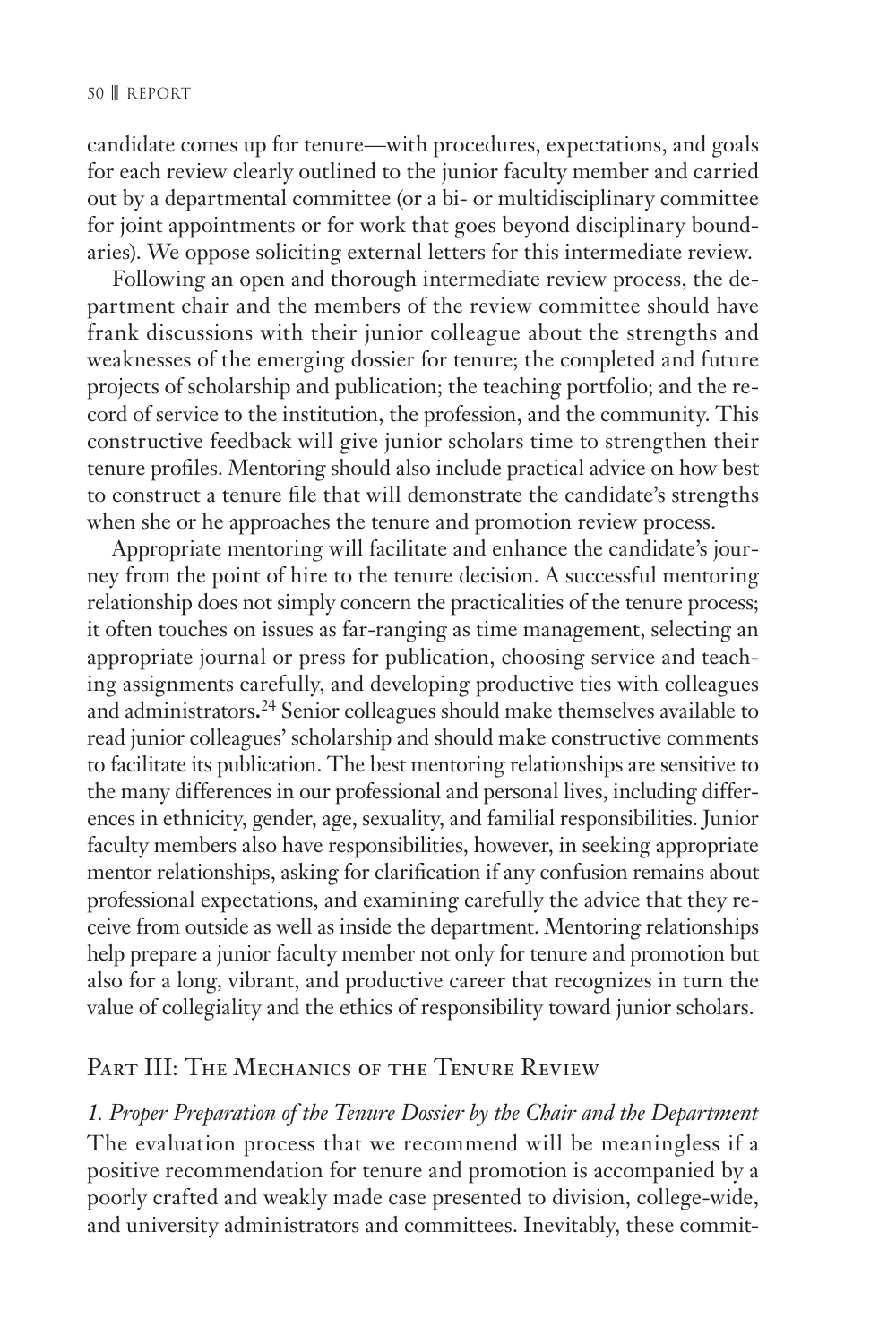candidate comes up for tenure—with procedures, expectations, and goals for each review clearly outlined to the junior faculty member and carried out by a departmental committee (or a bi- or multidisciplinary committee for joint appointments or for work that goes beyond disciplinary bound aries). We oppose soliciting external letters for this intermediate review.

Following an open and thorough intermediate review process, the de partment chair and the members of the review committee should have frank discussions with their junior colleague about the strengths and weaknesses of the emerging dossier for tenure; the completed and future projects of scholarship and publication; the teaching portfolio; and the re cord of service to the institution, the profession, and the community. This constructive feedback will give junior scholars time to strengthen their tenure profiles. Mentoring should also include practical advice on how best to construct a tenure file that will demonstrate the candidate's strengths when she or he approaches the tenure and promotion review process.

Appropriate mentoring will facilitate and enhance the candidate's jour ney from the point of hire to the tenure decision. A successful mentoring relationship does not simply concern the practicalities of the tenure process; it often touches on issues as far-ranging as time management, selecting an appropriate journal or press for publication, choosing service and teach ing assignments carefully, and developing productive ties with colleagues and administrators**.** 24 Senior colleagues should make themselves available to read junior colleagues' scholarship and should make constructive comments to facilitate its publication. The best mentoring relationships are sensitive to the many differences in our professional and personal lives, including differ ences in ethnicity, gender, age, sexuality, and familial responsibilities. Junior faculty members also have responsibilities, however, in seeking appropriate mentor relationships, asking for clarification if any confusion remains about professional expectations, and examining carefully the advice that they re ceive from outside as well as inside the department. Mentoring relationships help prepare a junior faculty member not only for tenure and promotion but also for a long, vibrant, and productive career that recognizes in turn the value of collegiality and the ethics of responsibility toward junior scholars.

## PART III: THE MECHANICS OF THE TENURE REVIEW

*1. Proper Preparation of the Tenure Dossier by the Chair and the Department* The evaluation process that we recommend will be meaningless if a positive recommendation for tenure and promotion is accompanied by a poorly crafted and weakly made case presented to division, college-wide, and university administrators and committees. Inevitably, these commit-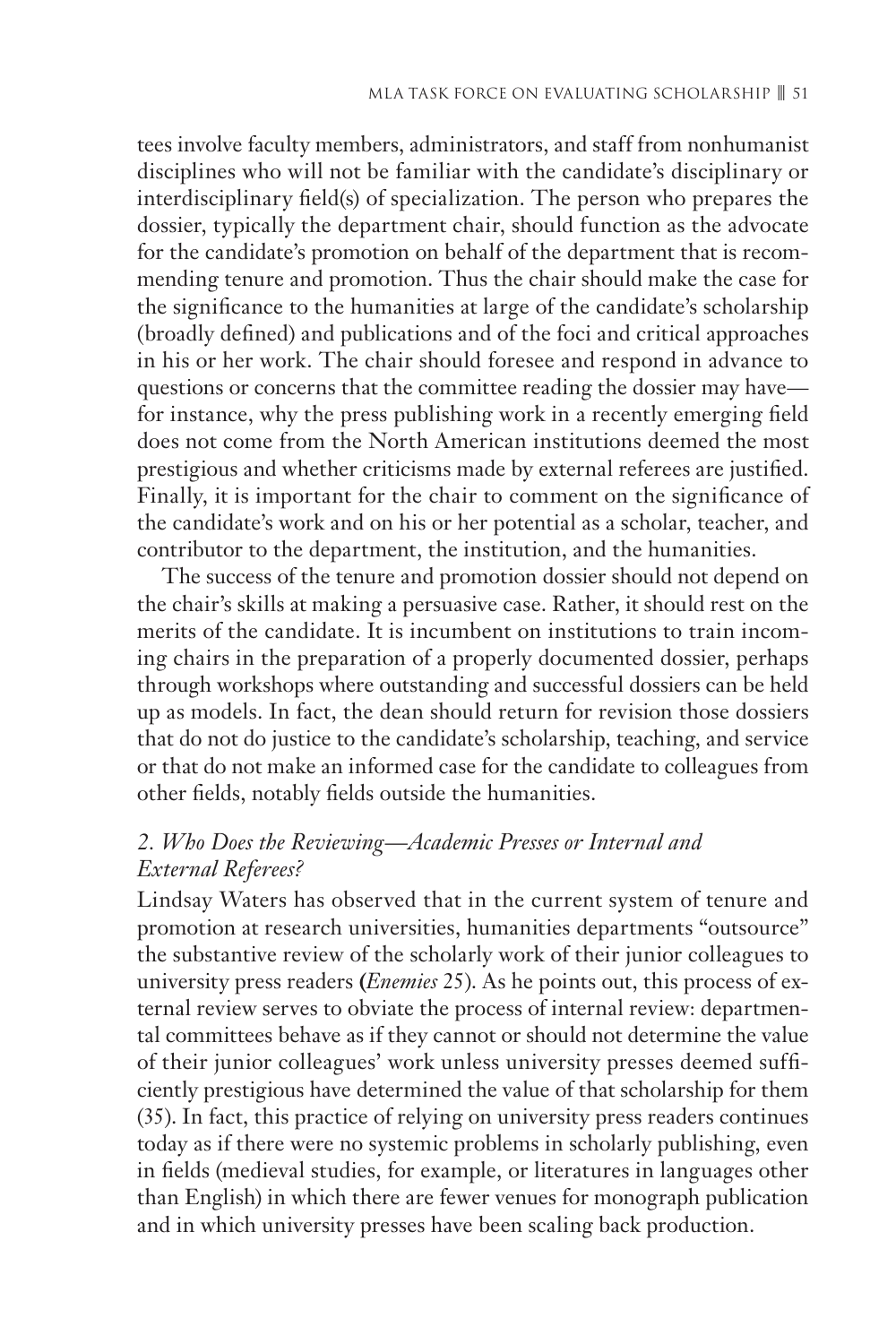tees involve faculty members, administrators, and staff from nonhumanist disciplines who will not be familiar with the candidate's disciplinary or interdisciplinary field(s) of specialization. The person who prepares the dossier, typically the department chair, should function as the advocate for the candidate's promotion on behalf of the department that is recom mending tenure and promotion. Thus the chair should make the case for the significance to the humanities at large of the candidate's scholarship (broadly defined) and publications and of the foci and critical approaches in his or her work. The chair should foresee and respond in advance to questions or concerns that the committee reading the dossier may have for instance, why the press publishing work in a recently emerging field does not come from the North American institutions deemed the most prestigious and whether criticisms made by external referees are justified. Finally, it is important for the chair to comment on the significance of the candidate's work and on his or her potential as a scholar, teacher, and contributor to the department, the institution, and the humanities.

The success of the tenure and promotion dossier should not depend on the chair's skills at making a persuasive case. Rather, it should rest on the merits of the candidate. It is incumbent on institutions to train incom ing chairs in the preparation of a properly documented dossier, perhaps through workshops where outstanding and successful dossiers can be held up as models. In fact, the dean should return for revision those dossiers that do not do justice to the candidate's scholarship, teaching, and service or that do not make an informed case for the candidate to colleagues from other fields, notably fields outside the humanities.

## *2. Who Does the Reviewing—Academic Presses or Internal and External Referees?*

Lindsay Waters has observed that in the current system of tenure and promotion at research universities, humanities departments "outsource" the substantive review of the scholarly work of their junior colleagues to university press readers **(***Enemies* 25). As he points out, this process of ex ternal review serves to obviate the process of internal review: departmen tal committees behave as if they cannot or should not determine the value of their junior colleagues' work unless university presses deemed suffi ciently prestigious have determined the value of that scholarship for them (35). In fact, this practice of relying on university press readers continues today as if there were no systemic problems in scholarly publishing, even in fields (medieval studies, for example, or literatures in languages other than English) in which there are fewer venues for monograph publication and in which university presses have been scaling back production.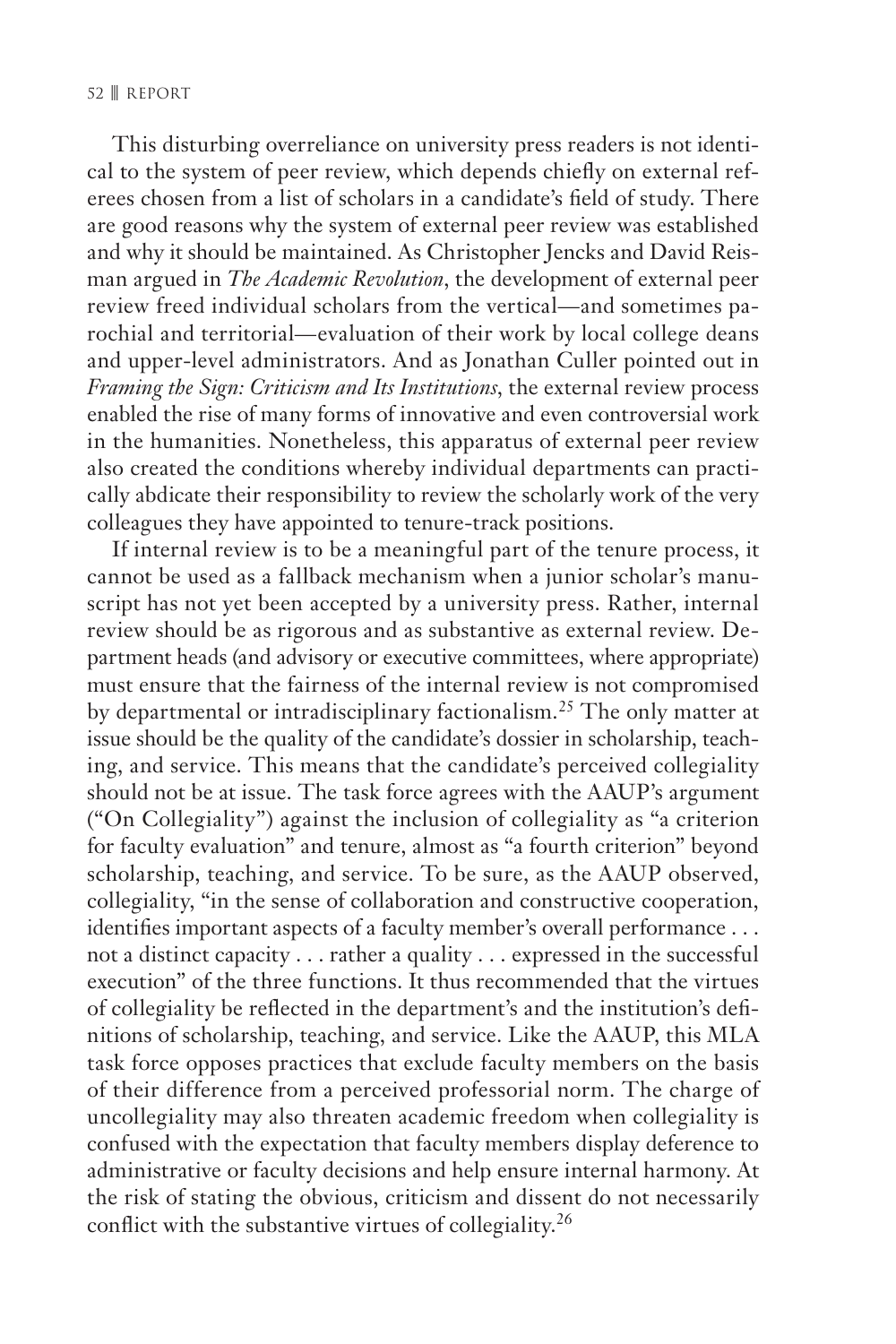This disturbing overreliance on university press readers is not identi cal to the system of peer review, which depends chiefly on external ref erees chosen from a list of scholars in a candidate's field of study. There are good reasons why the system of external peer review was established and why it should be maintained. As Christopher Jencks and David Reis man argued in *The Academic Revolution*, the development of external peer review freed individual scholars from the vertical—and sometimes pa rochial and territorial—evaluation of their work by local college deans and upper-level administrators. And as Jonathan Culler pointed out in *Framing the Sign: Criticism and Its Institutions*, the external review process enabled the rise of many forms of innovative and even controversial work in the humanities. Nonetheless, this apparatus of external peer review also created the conditions whereby individual departments can practi cally abdicate their responsibility to review the scholarly work of the very colleagues they have appointed to tenure-track positions.

If internal review is to be a meaningful part of the tenure process, it cannot be used as a fallback mechanism when a junior scholar's manu script has not yet been accepted by a university press. Rather, internal review should be as rigorous and as substantive as external review. De partment heads (and advisory or executive committees, where appropriate) must ensure that the fairness of the internal review is not compromised by departmental or intradisciplinary factionalism.25 The only matter at issue should be the quality of the candidate's dossier in scholarship, teach ing, and service. This means that the candidate's perceived collegiality should not be at issue. The task force agrees with the AAUP's argument ("On Collegiality") against the inclusion of collegiality as "a criterion for faculty evaluation" and tenure, almost as "a fourth criterion" beyond scholarship, teaching, and service. To be sure, as the AAUP observed, collegiality, "in the sense of collaboration and constructive cooperation, identifies important aspects of a faculty member's overall performance . . . not a distinct capacity . . . rather a quality . . . expressed in the successful execution" of the three functions. It thus recommended that the virtues of collegiality be reflected in the department's and the institution's defi nitions of scholarship, teaching, and service. Like the AAUP, this MLA task force opposes practices that exclude faculty members on the basis of their difference from a perceived professorial norm. The charge of uncollegiality may also threaten academic freedom when collegiality is confused with the expectation that faculty members display deference to administrative or faculty decisions and help ensure internal harmony. At the risk of stating the obvious, criticism and dissent do not necessarily conflict with the substantive virtues of collegiality.26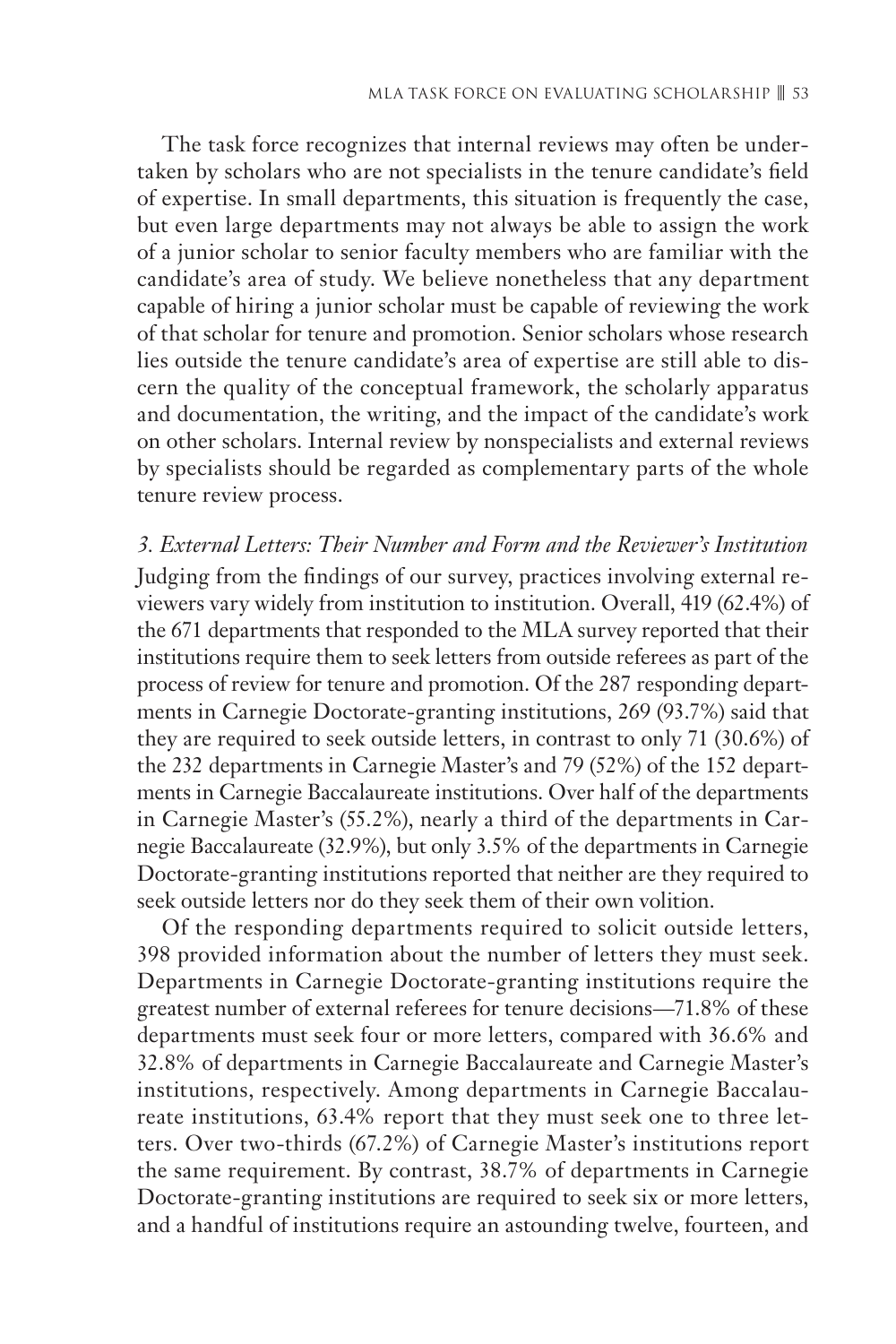The task force recognizes that internal reviews may often be under taken by scholars who are not specialists in the tenure candidate's field of expertise. In small departments, this situation is frequently the case, but even large departments may not always be able to assign the work of a junior scholar to senior faculty members who are familiar with the candidate's area of study. We believe nonetheless that any department capable of hiring a junior scholar must be capable of reviewing the work of that scholar for tenure and promotion. Senior scholars whose research lies outside the tenure candidate's area of expertise are still able to dis cern the quality of the conceptual framework, the scholarly apparatus and documentation, the writing, and the impact of the candidate's work on other scholars. Internal review by nonspecialists and external reviews by specialists should be regarded as complementary parts of the whole tenure review process.

*3. External Letters: Their Number and Form and the Reviewer's Institution* Judging from the findings of our survey, practices involving external re viewers vary widely from institution to institution. Overall, 419 (62.4%) of the 671 departments that responded to the MLA survey reported that their institutions require them to seek letters from outside referees as part of the process of review for tenure and promotion. Of the 287 responding depart ments in Carnegie Doctorate-granting institutions, 269 (93.7%) said that they are required to seek outside letters, in contrast to only 71 (30.6%) of the 232 departments in Carnegie Master's and 79 (52%) of the 152 depart ments in Carnegie Baccalaureate institutions. Over half of the departments in Carnegie Master's (55.2%), nearly a third of the departments in Car negie Baccalaureate (32.9%), but only 3.5% of the departments in Carnegie Doctorate-granting institutions reported that neither are they required to seek outside letters nor do they seek them of their own volition.

Of the responding departments required to solicit outside letters, 398 provided information about the number of letters they must seek. Departments in Carnegie Doctorate-granting institutions require the greatest number of external referees for tenure decisions—71.8% of these departments must seek four or more letters, compared with 36.6% and 32.8% of departments in Carnegie Baccalaureate and Carnegie Master's institutions, respectively. Among departments in Carnegie Baccalau reate institutions, 63.4% report that they must seek one to three let ters. Over two-thirds (67.2%) of Carnegie Master's institutions report the same requirement. By contrast, 38.7% of departments in Carnegie Doctorate-granting institutions are required to seek six or more letters, and a handful of institutions require an astounding twelve, fourteen, and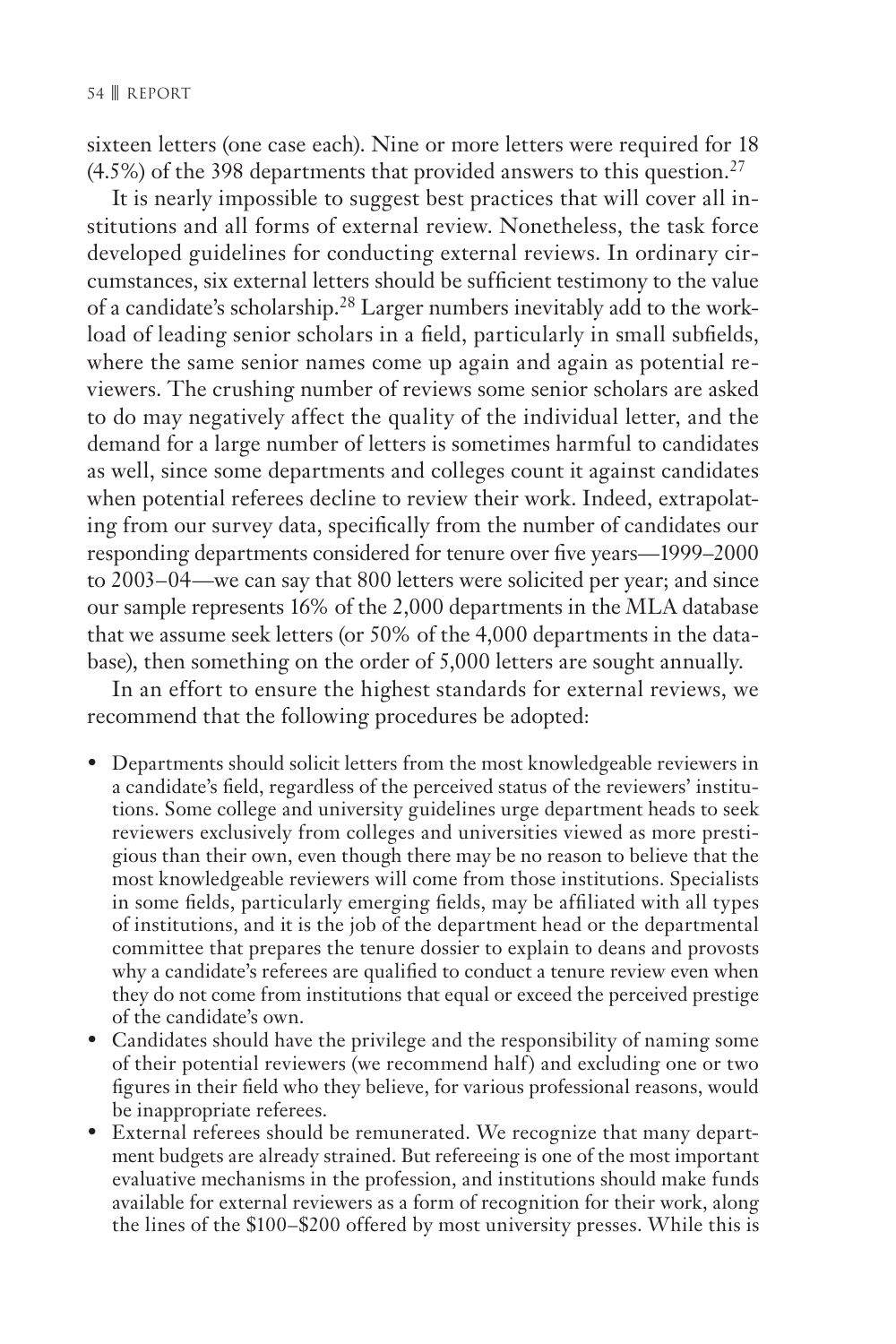sixteen letters (one case each). Nine or more letters were required for 18  $(4.5\%)$  of the 398 departments that provided answers to this question.<sup>27</sup>

It is nearly impossible to suggest best practices that will cover all in stitutions and all forms of external review. Nonetheless, the task force developed guidelines for conducting external reviews. In ordinary cir cumstances, six external letters should be sufficient testimony to the value of a candidate's scholarship.28 Larger numbers inevitably add to the work load of leading senior scholars in a field, particularly in small subfields, where the same senior names come up again and again as potential re viewers. The crushing number of reviews some senior scholars are asked to do may negatively affect the quality of the individual letter, and the demand for a large number of letters is sometimes harmful to candidates as well, since some departments and colleges count it against candidates when potential referees decline to review their work. Indeed, extrapolat ing from our survey data, specifically from the number of candidates our responding departments considered for tenure over five years—1999–2000 to 2003–04—we can say that 800 letters were solicited per year; and since our sample represents 16% of the 2,000 departments in the MLA database that we assume seek letters (or 50% of the 4,000 departments in the data base), then something on the order of 5,000 letters are sought annually.

In an effort to ensure the highest standards for external reviews, we recommend that the following procedures be adopted:

- Departments should solicit letters from the most knowledgeable reviewers in a candidate's field, regardless of the perceived status of the reviewers' institu tions. Some college and university guidelines urge department heads to seek reviewers exclusively from colleges and universities viewed as more presti gious than their own, even though there may be no reason to believe that the most knowledgeable reviewers will come from those institutions. Specialists in some fields, particularly emerging fields, may be affiliated with all types of institutions, and it is the job of the department head or the departmental committee that prepares the tenure dossier to explain to deans and provosts why a candidate's referees are qualified to conduct a tenure review even when they do not come from institutions that equal or exceed the perceived prestige of the candidate's own.
- Candidates should have the privilege and the responsibility of naming some of their potential reviewers (we recommend half) and excluding one or two figures in their field who they believe, for various professional reasons, would be inappropriate referees.
- External referees should be remunerated. We recognize that many depart ment budgets are already strained. But refereeing is one of the most important evaluative mechanisms in the profession, and institutions should make funds available for external reviewers as a form of recognition for their work, along the lines of the \$100–\$200 offered by most university presses. While this is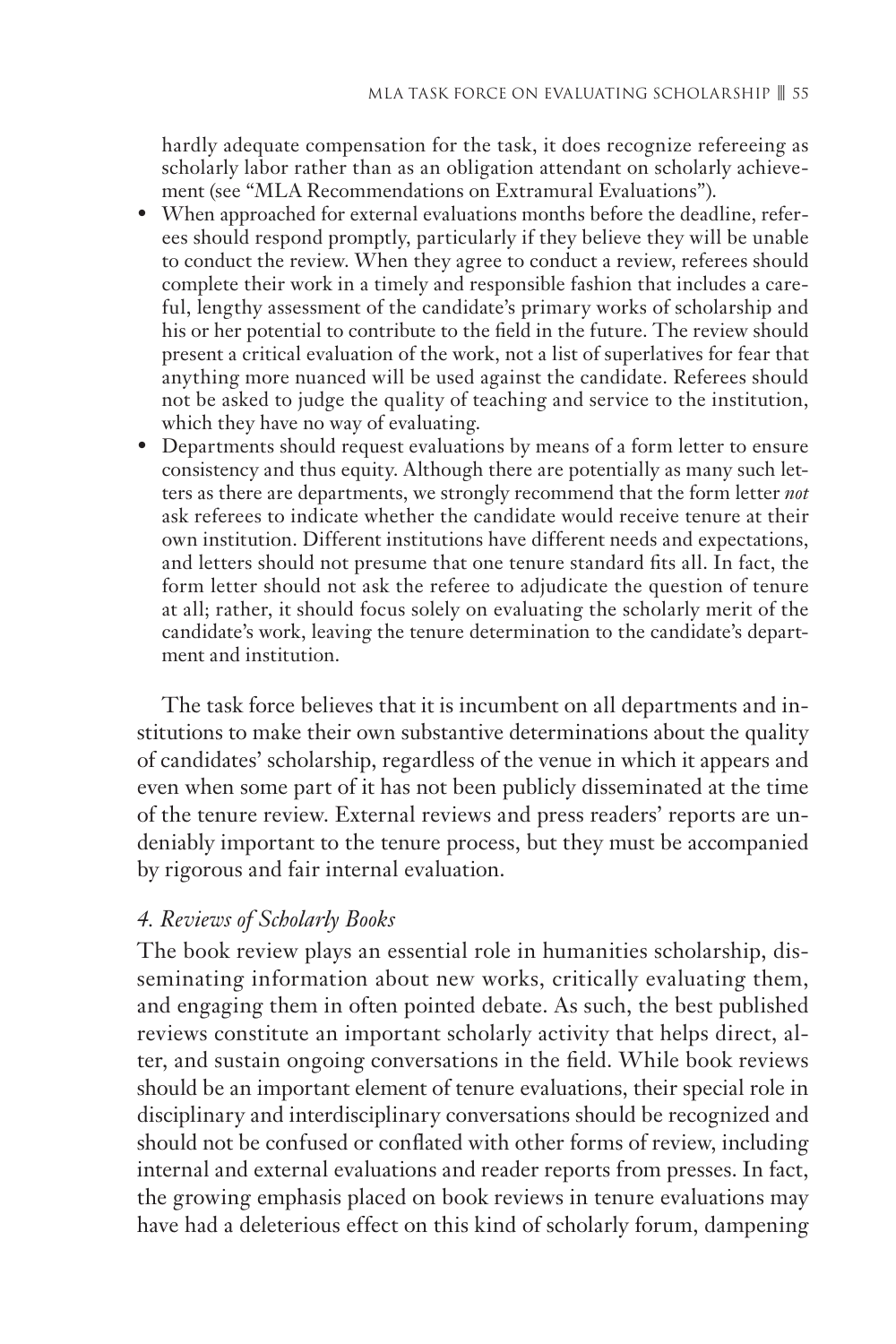hardly adequate compensation for the task, it does recognize refereeing as scholarly labor rather than as an obligation attendant on scholarly achieve ment (see "MLA Recommendations on Extramural Evaluations").

- When approached for external evaluations months before the deadline, refer ees should respond promptly, particularly if they believe they will be unable to conduct the review. When they agree to conduct a review, referees should complete their work in a timely and responsible fashion that includes a care ful, lengthy assessment of the candidate's primary works of scholarship and his or her potential to contribute to the field in the future. The review should present a critical evaluation of the work, not a list of superlatives for fear that anything more nuanced will be used against the candidate. Referees should not be asked to judge the quality of teaching and service to the institution, which they have no way of evaluating.
- Departments should request evaluations by means of a form letter to ensure consistency and thus equity. Although there are potentially as many such let ters as there are departments, we strongly recommend that the form letter *not* ask referees to indicate whether the candidate would receive tenure at their own institution. Different institutions have different needs and expectations, and letters should not presume that one tenure standard fits all. In fact, the form letter should not ask the referee to adjudicate the question of tenure at all; rather, it should focus solely on evaluating the scholarly merit of the candidate's work, leaving the tenure determination to the candidate's depart ment and institution.

The task force believes that it is incumbent on all departments and in stitutions to make their own substantive determinations about the quality of candidates' scholarship, regardless of the venue in which it appears and even when some part of it has not been publicly disseminated at the time of the tenure review. External reviews and press readers' reports are un deniably important to the tenure process, but they must be accompanied by rigorous and fair internal evaluation.

## *4. Reviews of Scholarly Books*

The book review plays an essential role in humanities scholarship, dis seminating information about new works, critically evaluating them, and engaging them in often pointed debate. As such, the best published reviews constitute an important scholarly activity that helps direct, al ter, and sustain ongoing conversations in the field. While book reviews should be an important element of tenure evaluations, their special role in disciplinary and interdisciplinary conversations should be recognized and should not be confused or conflated with other forms of review, including internal and external evaluations and reader reports from presses. In fact, the growing emphasis placed on book reviews in tenure evaluations may have had a deleterious effect on this kind of scholarly forum, dampening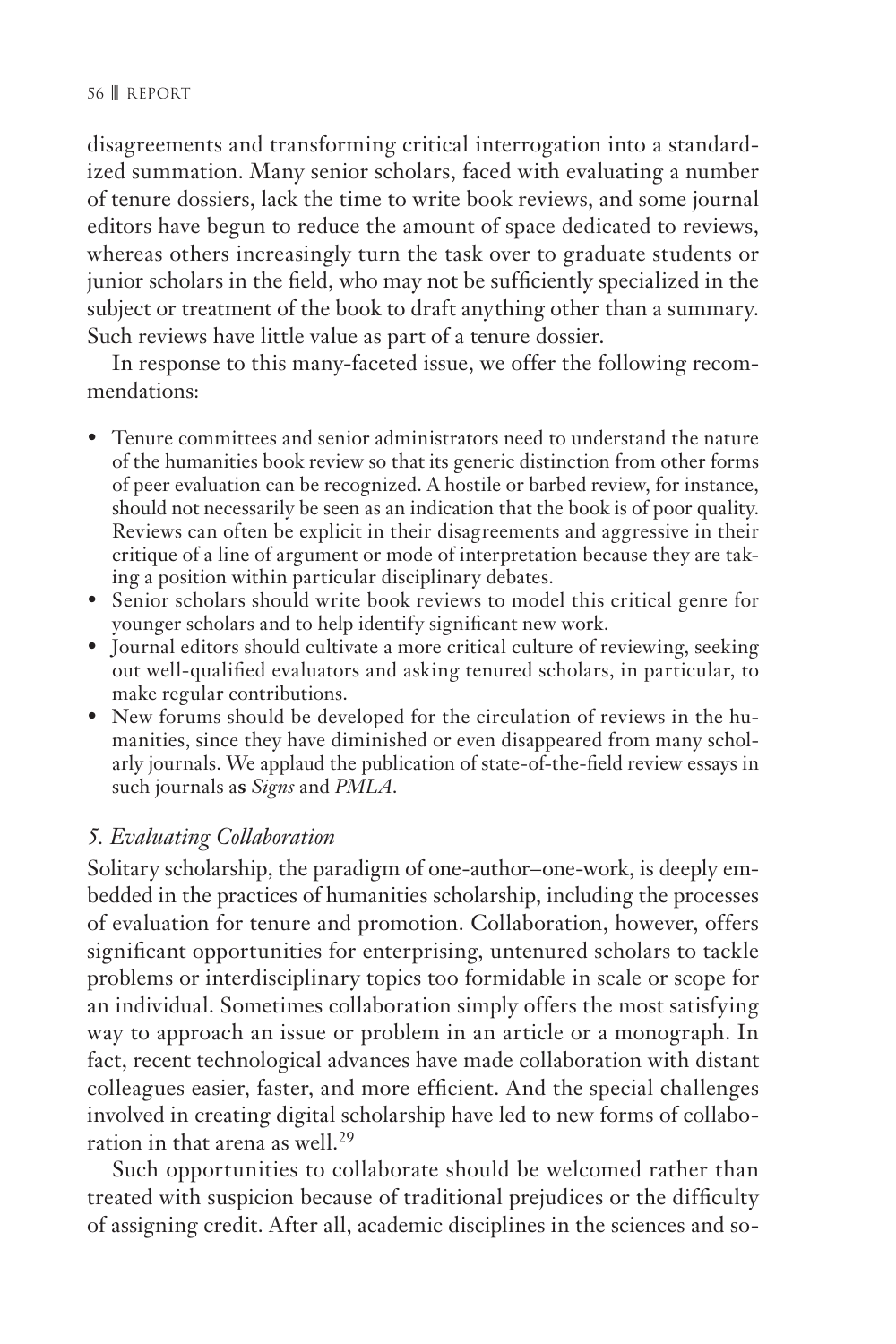disagreements and transforming critical interrogation into a standard ized summation. Many senior scholars, faced with evaluating a number of tenure dossiers, lack the time to write book reviews, and some journal editors have begun to reduce the amount of space dedicated to reviews, whereas others increasingly turn the task over to graduate students or junior scholars in the field, who may not be sufficiently specialized in the subject or treatment of the book to draft anything other than a summary. Such reviews have little value as part of a tenure dossier.

In response to this many-faceted issue, we offer the following recom mendations:

- Tenure committees and senior administrators need to understand the nature of the humanities book review so that its generic distinction from other forms of peer evaluation can be recognized. A hostile or barbed review, for instance, should not necessarily be seen as an indication that the book is of poor quality. Reviews can often be explicit in their disagreements and aggressive in their critique of a line of argument or mode of interpretation because they are tak ing a position within particular disciplinary debates.
- Senior scholars should write book reviews to model this critical genre for younger scholars and to help identify significant new work.
- Journal editors should cultivate a more critical culture of reviewing, seeking out well-qualified evaluators and asking tenured scholars, in particular, to make regular contributions.
- New forums should be developed for the circulation of reviews in the hu manities, since they have diminished or even disappeared from many schol arly journals. We applaud the publication of state-of-the-field review essays in such journals a**s** *Signs* and *PMLA*.

## *5. Evaluating Collaboration*

Solitary scholarship, the paradigm of one-author–one-work, is deeply em bedded in the practices of humanities scholarship, including the processes of evaluation for tenure and promotion. Collaboration, however, offers significant opportunities for enterprising, untenured scholars to tackle problems or interdisciplinary topics too formidable in scale or scope for an individual. Sometimes collaboration simply offers the most satisfying way to approach an issue or problem in an article or a monograph. In fact, recent technological advances have made collaboration with distant colleagues easier, faster, and more efficient. And the special challenges involved in creating digital scholarship have led to new forms of collabo ration in that arena as well.29

Such opportunities to collaborate should be welcomed rather than treated with suspicion because of traditional prejudices or the difficulty of assigning credit. After all, academic disciplines in the sciences and so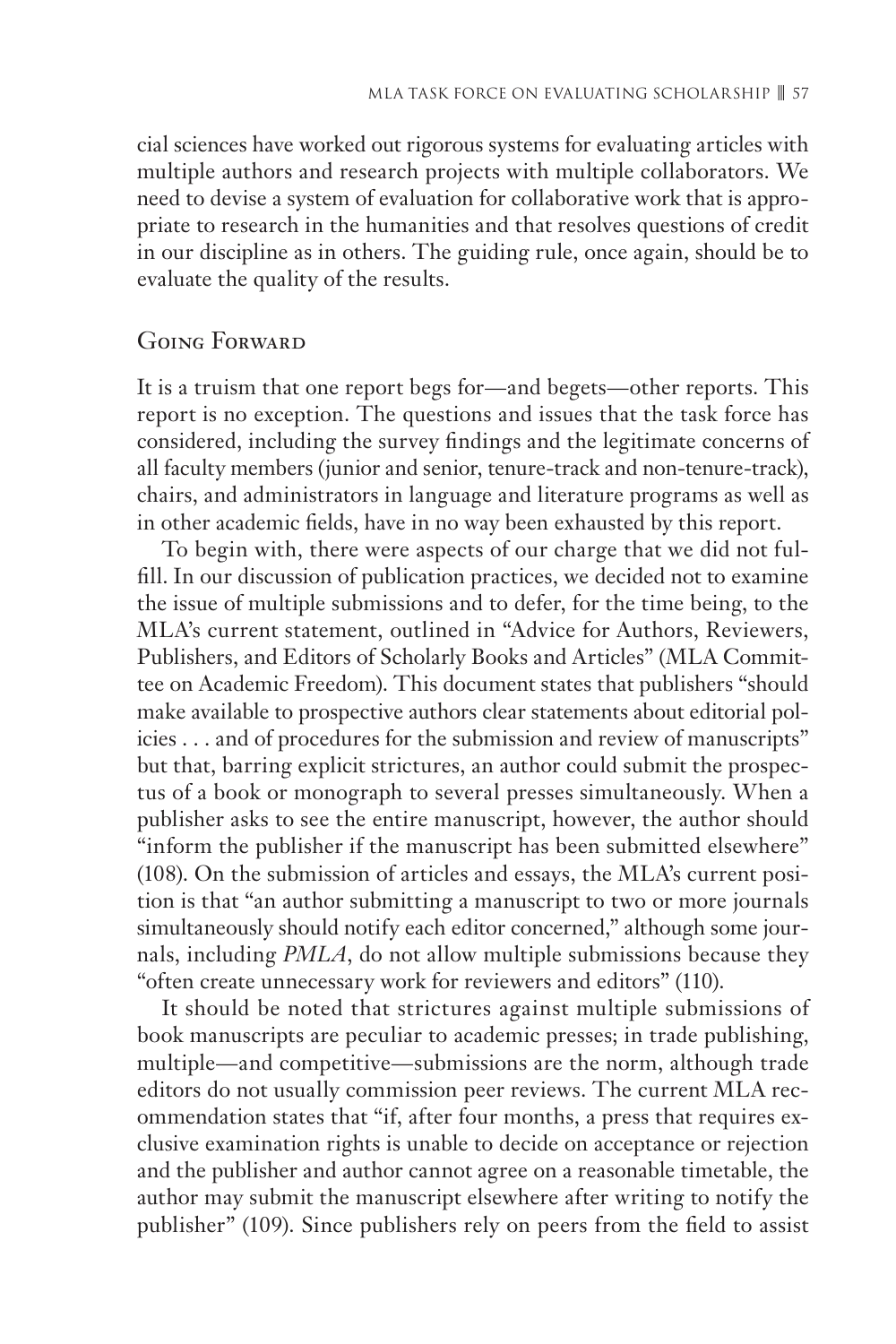cial sciences have worked out rigorous systems for evaluating articles with multiple authors and research projects with multiple collaborators. We need to devise a system of evaluation for collaborative work that is appro priate to research in the humanities and that resolves questions of credit in our discipline as in others. The guiding rule, once again, should be to evaluate the quality of the results.

#### GOING FORWARD

It is a truism that one report begs for—and begets—other reports. This report is no exception. The questions and issues that the task force has considered, including the survey findings and the legitimate concerns of all faculty members (junior and senior, tenure-track and non-tenure-track), chairs, and administrators in language and literature programs as well as in other academic fields, have in no way been exhausted by this report.

To begin with, there were aspects of our charge that we did not ful fill. In our discussion of publication practices, we decided not to examine the issue of multiple submissions and to defer, for the time being, to the MLA's current statement, outlined in "Advice for Authors, Reviewers, Publishers, and Editors of Scholarly Books and Articles" (MLA Commit tee on Academic Freedom). This document states that publishers "should make available to prospective authors clear statements about editorial pol icies . . . and of procedures for the submission and review of manuscripts" but that, barring explicit strictures, an author could submit the prospec tus of a book or monograph to several presses simultaneously. When a publisher asks to see the entire manuscript, however, the author should "inform the publisher if the manuscript has been submitted elsewhere" (108). On the submission of articles and essays, the MLA's current posi tion is that "an author submitting a manuscript to two or more journals simultaneously should notify each editor concerned," although some jour nals, including *PMLA*, do not allow multiple submissions because they "often create unnecessary work for reviewers and editors" (110).

It should be noted that strictures against multiple submissions of book manuscripts are peculiar to academic presses; in trade publishing, multiple—and competitive—submissions are the norm, although trade editors do not usually commission peer reviews. The current MLA rec ommendation states that "if, after four months, a press that requires ex clusive examination rights is unable to decide on acceptance or rejection and the publisher and author cannot agree on a reasonable timetable, the author may submit the manuscript elsewhere after writing to notify the publisher" (109). Since publishers rely on peers from the field to assist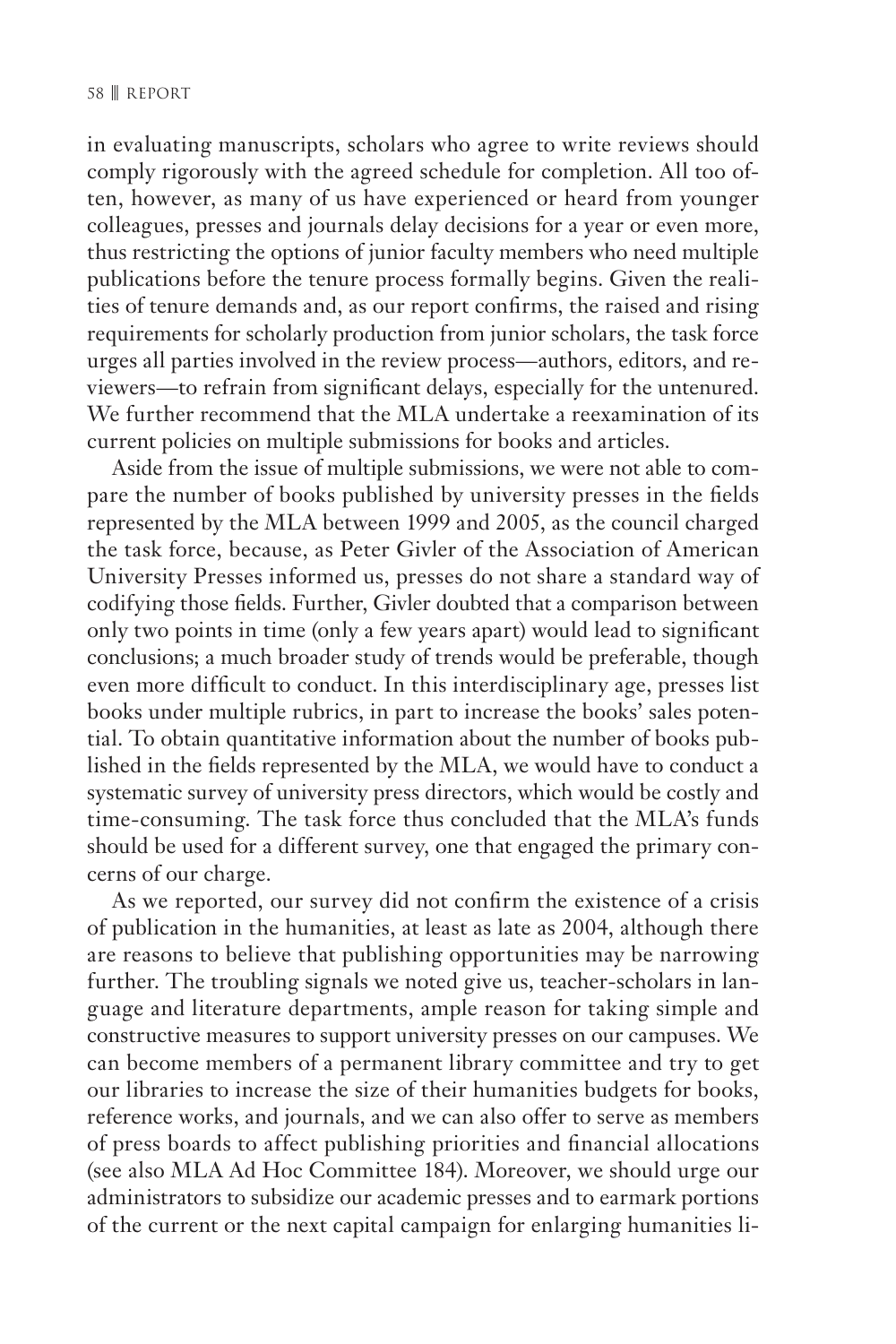in evaluating manuscripts, scholars who agree to write reviews should comply rigorously with the agreed schedule for completion. All too of ten, however, as many of us have experienced or heard from younger colleagues, presses and journals delay decisions for a year or even more, thus restricting the options of junior faculty members who need multiple publications before the tenure process formally begins. Given the reali ties of tenure demands and, as our report confirms, the raised and rising requirements for scholarly production from junior scholars, the task force urges all parties involved in the review process—authors, editors, and re viewers—to refrain from significant delays, especially for the untenured. We further recommend that the MLA undertake a reexamination of its current policies on multiple submissions for books and articles.

Aside from the issue of multiple submissions, we were not able to com pare the number of books published by university presses in the fields represented by the MLA between 1999 and 2005, as the council charged the task force, because, as Peter Givler of the Association of American University Presses informed us, presses do not share a standard way of codifying those fields. Further, Givler doubted that a comparison between only two points in time (only a few years apart) would lead to significant conclusions; a much broader study of trends would be preferable, though even more difficult to conduct. In this interdisciplinary age, presses list books under multiple rubrics, in part to increase the books' sales poten tial. To obtain quantitative information about the number of books pub lished in the fields represented by the MLA, we would have to conduct a systematic survey of university press directors, which would be costly and time-consuming. The task force thus concluded that the MLA's funds should be used for a different survey, one that engaged the primary con cerns of our charge.

As we reported, our survey did not confirm the existence of a crisis of publication in the humanities, at least as late as 2004, although there are reasons to believe that publishing opportunities may be narrowing further. The troubling signals we noted give us, teacher-scholars in lan guage and literature departments, ample reason for taking simple and constructive measures to support university presses on our campuses. We can become members of a permanent library committee and try to get our libraries to increase the size of their humanities budgets for books, reference works, and journals, and we can also offer to serve as members of press boards to affect publishing priorities and financial allocations (see also MLA Ad Hoc Committee 184). Moreover, we should urge our administrators to subsidize our academic presses and to earmark portions of the current or the next capital campaign for enlarging humanities li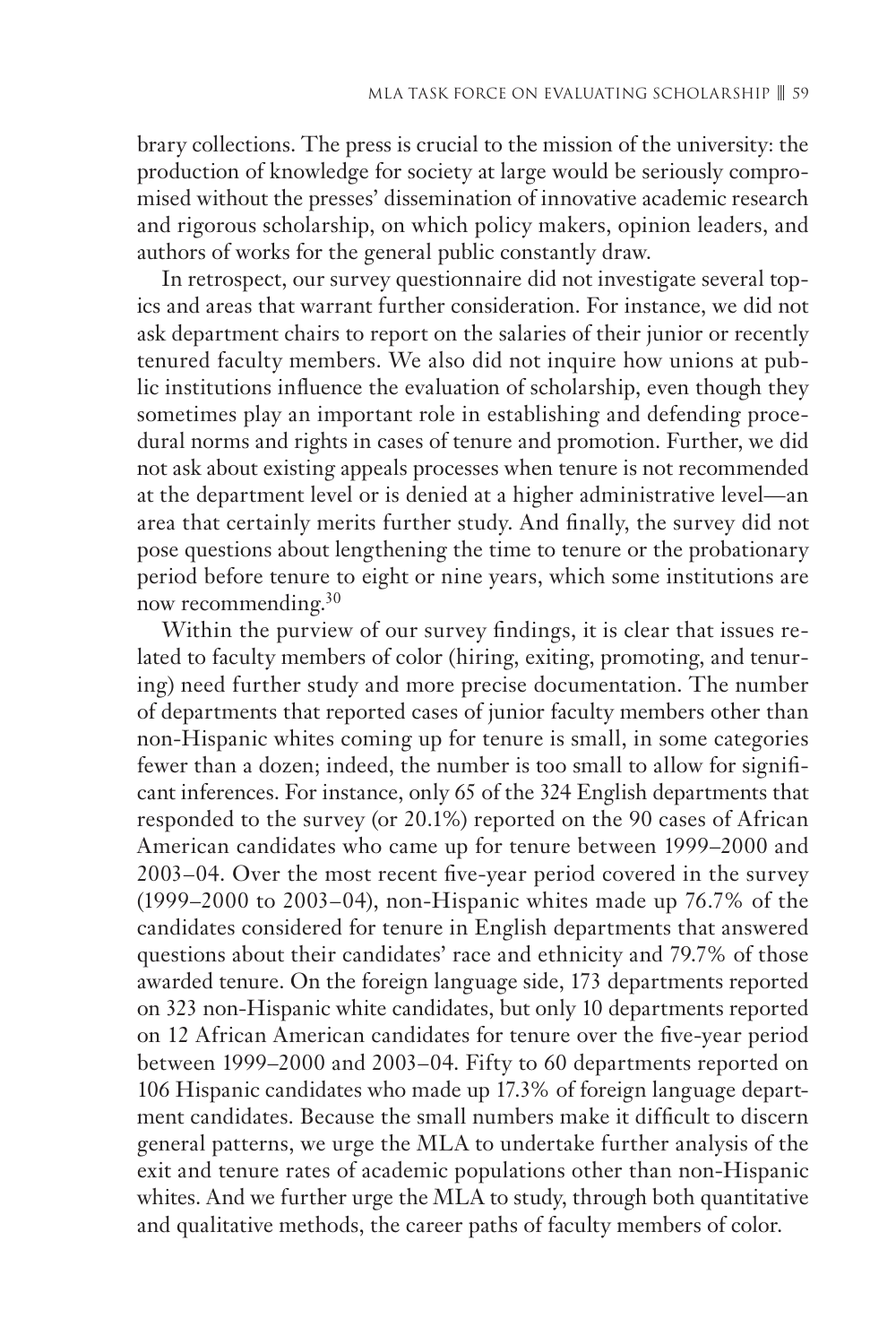brary collections. The press is crucial to the mission of the university: the production of knowledge for society at large would be seriously compro mised without the presses' dissemination of innovative academic research and rigorous scholarship, on which policy makers, opinion leaders, and authors of works for the general public constantly draw.

In retrospect, our survey questionnaire did not investigate several top ics and areas that warrant further consideration. For instance, we did not ask department chairs to report on the salaries of their junior or recently tenured faculty members. We also did not inquire how unions at pub lic institutions influence the evaluation of scholarship, even though they sometimes play an important role in establishing and defending proce dural norms and rights in cases of tenure and promotion. Further, we did not ask about existing appeals processes when tenure is not recommended at the department level or is denied at a higher administrative level—an area that certainly merits further study. And finally, the survey did not pose questions about lengthening the time to tenure or the probationary period before tenure to eight or nine years, which some institutions are now recommending.30

Within the purview of our survey findings, it is clear that issues re lated to faculty members of color (hiring, exiting, promoting, and tenur ing) need further study and more precise documentation. The number of departments that reported cases of junior faculty members other than non-Hispanic whites coming up for tenure is small, in some categories fewer than a dozen; indeed, the number is too small to allow for signifi cant inferences. For instance, only 65 of the 324 English departments that responded to the survey (or 20.1%) reported on the 90 cases of African American candidates who came up for tenure between 1999–2000 and 2003–04. Over the most recent five-year period covered in the survey (1999–2000 to 2003–04), non-Hispanic whites made up 76.7% of the candidates considered for tenure in English departments that answered questions about their candidates' race and ethnicity and 79.7% of those awarded tenure. On the foreign language side, 173 departments reported on 323 non-Hispanic white candidates, but only 10 departments reported on 12 African American candidates for tenure over the five-year period between 1999–2000 and 2003–04. Fifty to 60 departments reported on 106 Hispanic candidates who made up 17.3% of foreign language depart ment candidates. Because the small numbers make it difficult to discern general patterns, we urge the MLA to undertake further analysis of the exit and tenure rates of academic populations other than non-Hispanic whites. And we further urge the MLA to study, through both quantitative and qualitative methods, the career paths of faculty members of color.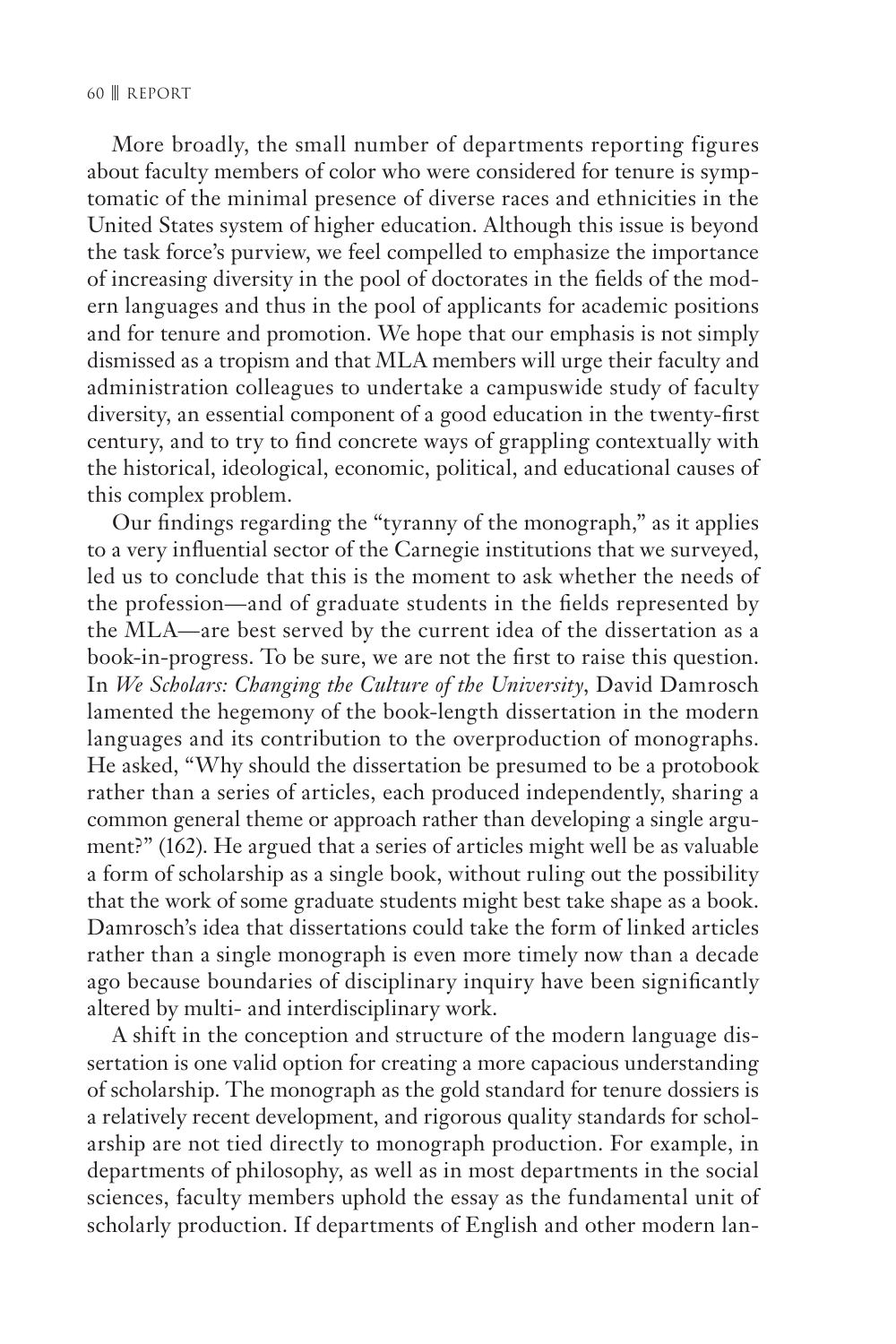More broadly, the small number of departments reporting figures about faculty members of color who were considered for tenure is symp tomatic of the minimal presence of diverse races and ethnicities in the United States system of higher education. Although this issue is beyond the task force's purview, we feel compelled to emphasize the importance of increasing diversity in the pool of doctorates in the fields of the mod ern languages and thus in the pool of applicants for academic positions and for tenure and promotion. We hope that our emphasis is not simply dismissed as a tropism and that MLA members will urge their faculty and administration colleagues to undertake a campuswide study of faculty diversity, an essential component of a good education in the twenty-first century, and to try to find concrete ways of grappling contextually with the historical, ideological, economic, political, and educational causes of this complex problem.

Our findings regarding the "tyranny of the monograph," as it applies to a very influential sector of the Carnegie institutions that we surveyed, led us to conclude that this is the moment to ask whether the needs of the profession—and of graduate students in the fields represented by the MLA—are best served by the current idea of the dissertation as a book-in-progress. To be sure, we are not the first to raise this question. In *We Scholars: Changing the Culture of the University*, David Damrosch lamented the hegemony of the book-length dissertation in the modern languages and its contribution to the overproduction of monographs. He asked, "Why should the dissertation be presumed to be a protobook rather than a series of articles, each produced independently, sharing a common general theme or approach rather than developing a single argu ment?" (162). He argued that a series of articles might well be as valuable a form of scholarship as a single book, without ruling out the possibility that the work of some graduate students might best take shape as a book. Damrosch's idea that dissertations could take the form of linked articles rather than a single monograph is even more timely now than a decade ago because boundaries of disciplinary inquiry have been significantly altered by multi- and interdisciplinary work.

A shift in the conception and structure of the modern language dis sertation is one valid option for creating a more capacious understanding of scholarship. The monograph as the gold standard for tenure dossiers is a relatively recent development, and rigorous quality standards for schol arship are not tied directly to monograph production. For example, in departments of philosophy, as well as in most departments in the social sciences, faculty members uphold the essay as the fundamental unit of scholarly production. If departments of English and other modern lan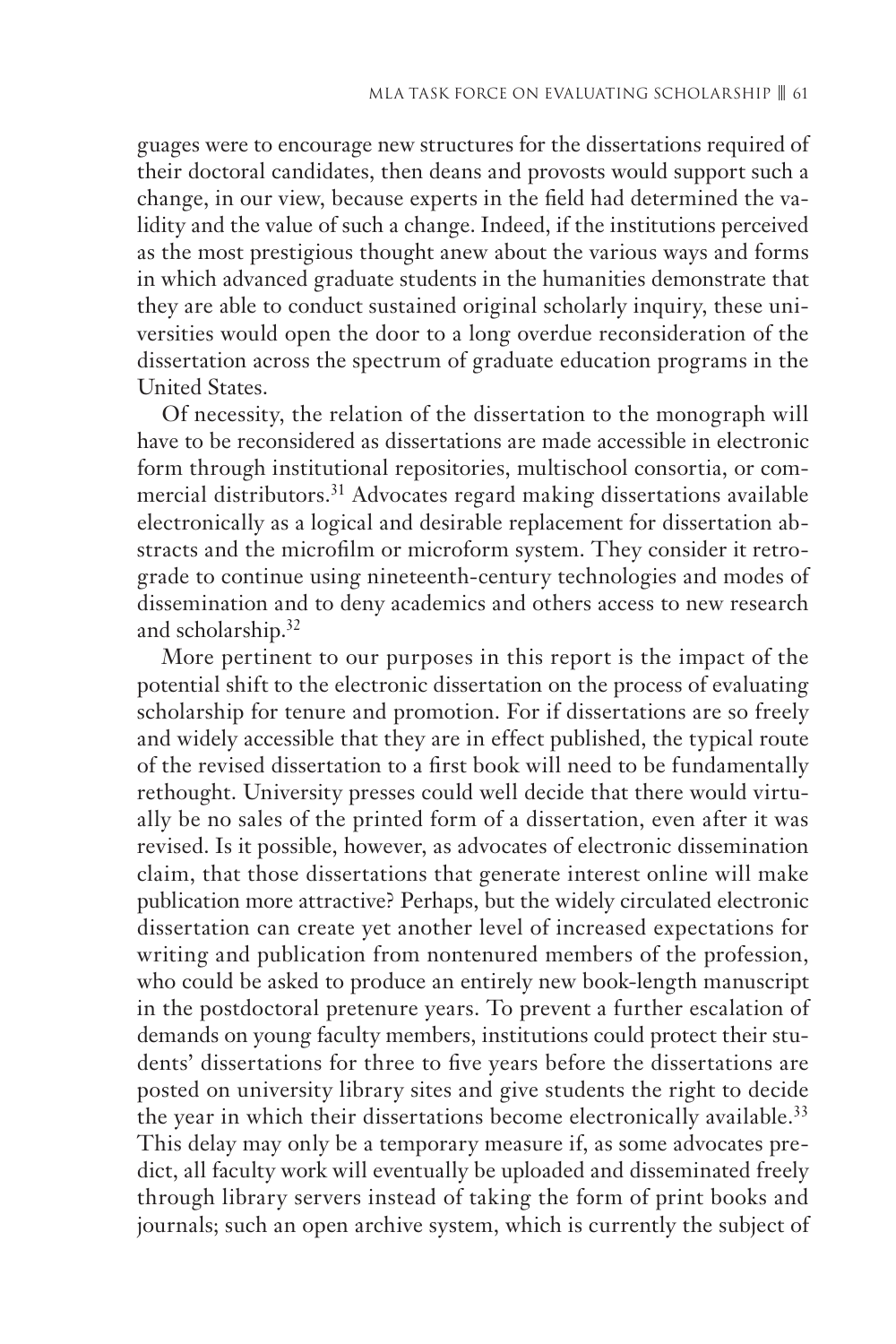guages were to encourage new structures for the dissertations required of their doctoral candidates, then deans and provosts would support such a change, in our view, because experts in the field had determined the va lidity and the value of such a change. Indeed, if the institutions perceived as the most prestigious thought anew about the various ways and forms in which advanced graduate students in the humanities demonstrate that they are able to conduct sustained original scholarly inquiry, these uni versities would open the door to a long overdue reconsideration of the dissertation across the spectrum of graduate education programs in the United States.

Of necessity, the relation of the dissertation to the monograph will have to be reconsidered as dissertations are made accessible in electronic form through institutional repositories, multischool consortia, or com mercial distributors.31 Advocates regard making dissertations available electronically as a logical and desirable replacement for dissertation ab stracts and the microfilm or microform system. They consider it retro grade to continue using nineteenth-century technologies and modes of dissemination and to deny academics and others access to new research and scholarship.32

More pertinent to our purposes in this report is the impact of the potential shift to the electronic dissertation on the process of evaluating scholarship for tenure and promotion. For if dissertations are so freely and widely accessible that they are in effect published, the typical route of the revised dissertation to a first book will need to be fundamentally rethought. University presses could well decide that there would virtu ally be no sales of the printed form of a dissertation, even after it was revised. Is it possible, however, as advocates of electronic dissemination claim, that those dissertations that generate interest online will make publication more attractive? Perhaps, but the widely circulated electronic dissertation can create yet another level of increased expectations for writing and publication from nontenured members of the profession, who could be asked to produce an entirely new book-length manuscript in the postdoctoral pretenure years. To prevent a further escalation of demands on young faculty members, institutions could protect their stu dents' dissertations for three to five years before the dissertations are posted on university library sites and give students the right to decide the year in which their dissertations become electronically available.<sup>33</sup> This delay may only be a temporary measure if, as some advocates pre dict, all faculty work will eventually be uploaded and disseminated freely through library servers instead of taking the form of print books and journals; such an open archive system, which is currently the subject of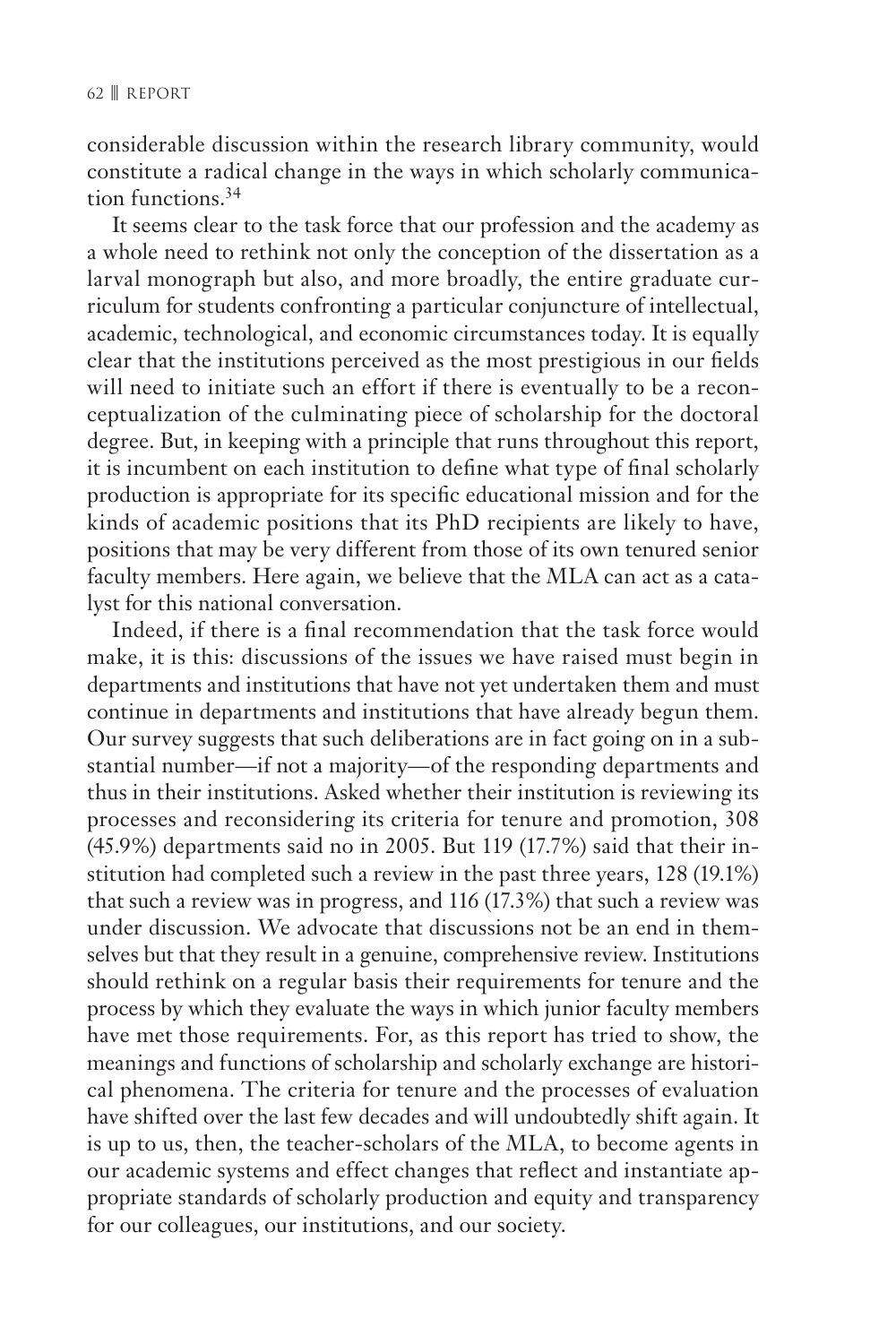considerable discussion within the research library community, would constitute a radical change in the ways in which scholarly communica tion functions.34

It seems clear to the task force that our profession and the academy as a whole need to rethink not only the conception of the dissertation as a larval monograph but also, and more broadly, the entire graduate cur riculum for students confronting a particular conjuncture of intellectual, academic, technological, and economic circumstances today. It is equally clear that the institutions perceived as the most prestigious in our fields will need to initiate such an effort if there is eventually to be a recon ceptualization of the culminating piece of scholarship for the doctoral degree. But, in keeping with a principle that runs throughout this report, it is incumbent on each institution to define what type of final scholarly production is appropriate for its specific educational mission and for the kinds of academic positions that its PhD recipients are likely to have, positions that may be very different from those of its own tenured senior faculty members. Here again, we believe that the MLA can act as a cata lyst for this national conversation.

Indeed, if there is a final recommendation that the task force would make, it is this: discussions of the issues we have raised must begin in departments and institutions that have not yet undertaken them and must continue in departments and institutions that have already begun them. Our survey suggests that such deliberations are in fact going on in a sub stantial number—if not a majority—of the responding departments and thus in their institutions. Asked whether their institution is reviewing its processes and reconsidering its criteria for tenure and promotion, 308 (45.9%) departments said no in 2005. But 119 (17.7%) said that their in stitution had completed such a review in the past three years, 128 (19.1%) that such a review was in progress, and 116 (17.3%) that such a review was under discussion. We advocate that discussions not be an end in them selves but that they result in a genuine, comprehensive review. Institutions should rethink on a regular basis their requirements for tenure and the process by which they evaluate the ways in which junior faculty members have met those requirements. For, as this report has tried to show, the meanings and functions of scholarship and scholarly exchange are histori cal phenomena. The criteria for tenure and the processes of evaluation have shifted over the last few decades and will undoubtedly shift again. It is up to us, then, the teacher-scholars of the MLA, to become agents in our academic systems and effect changes that reflect and instantiate ap propriate standards of scholarly production and equity and transparency for our colleagues, our institutions, and our society.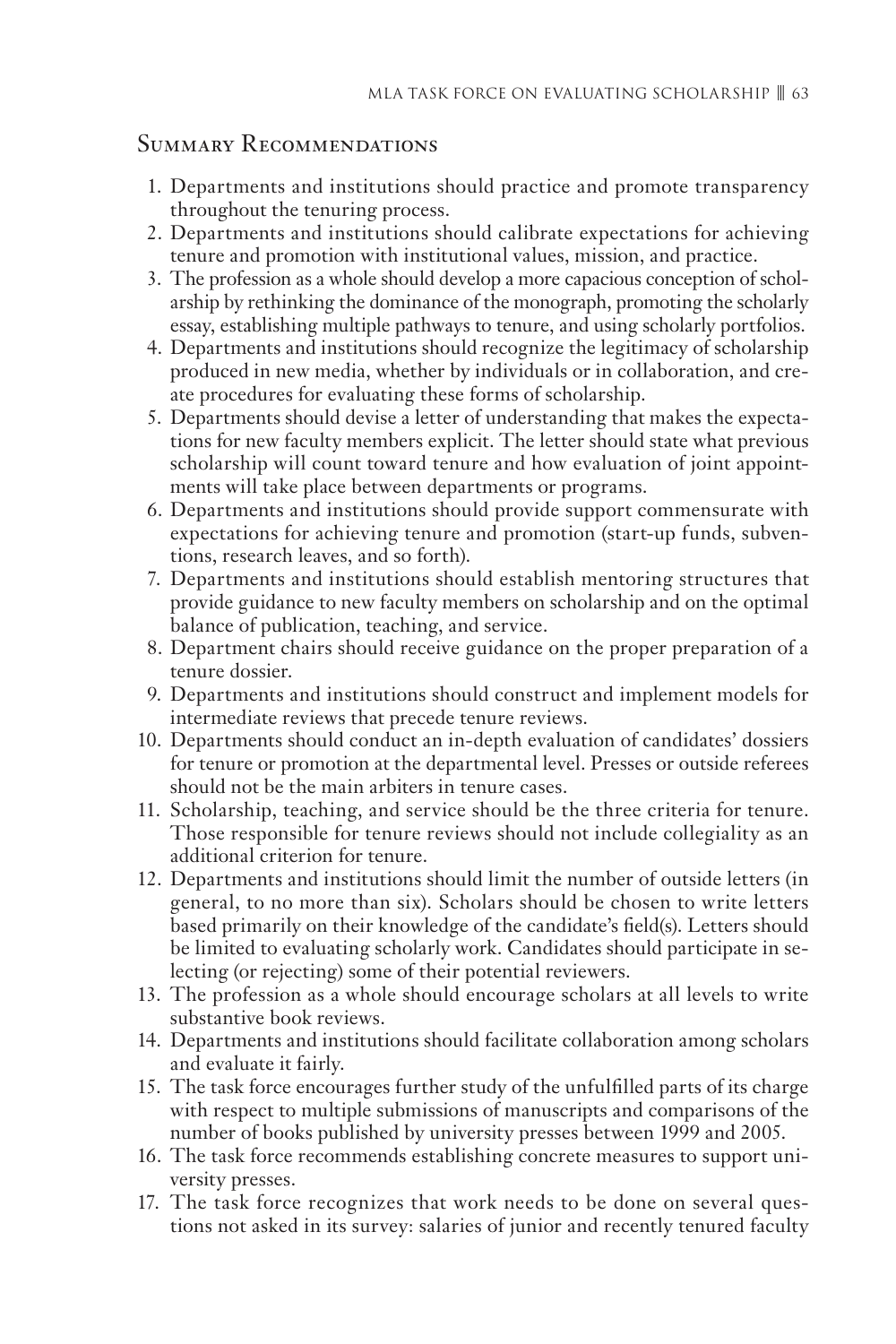## Summary Recommendations

- 1. Departments and institutions should practice and promote transparency throughout the tenuring process.
- 2. Departments and institutions should calibrate expectations for achieving tenure and promotion with institutional values, mission, and practice.
- 3. The profession as a whole should develop a more capacious conception of schol arship by rethinking the dominance of the monograph, promoting the scholarly essay, establishing multiple pathways to tenure, and using scholarly portfolios.
- 4. Departments and institutions should recognize the legitimacy of scholarship produced in new media, whether by individuals or in collaboration, and cre ate procedures for evaluating these forms of scholarship.
- 5. Departments should devise a letter of understanding that makes the expecta tions for new faculty members explicit. The letter should state what previous scholarship will count toward tenure and how evaluation of joint appoint ments will take place between departments or programs.
- 6. Departments and institutions should provide support commensurate with expectations for achieving tenure and promotion (start-up funds, subven tions, research leaves, and so forth).
- 7. Departments and institutions should establish mentoring structures that provide guidance to new faculty members on scholarship and on the optimal balance of publication, teaching, and service.
- 8. Department chairs should receive guidance on the proper preparation of a tenure dossier.
- 9. Departments and institutions should construct and implement models for intermediate reviews that precede tenure reviews.
- 10. Departments should conduct an in-depth evaluation of candidates' dossiers for tenure or promotion at the departmental level. Presses or outside referees should not be the main arbiters in tenure cases.
- 11. Scholarship, teaching, and service should be the three criteria for tenure. Those responsible for tenure reviews should not include collegiality as an additional criterion for tenure.
- 12. Departments and institutions should limit the number of outside letters (in general, to no more than six). Scholars should be chosen to write letters based primarily on their knowledge of the candidate's field(s). Letters should be limited to evaluating scholarly work. Candidates should participate in se lecting (or rejecting) some of their potential reviewers.
- 13. The profession as a whole should encourage scholars at all levels to write substantive book reviews.
- 14. Departments and institutions should facilitate collaboration among scholars and evaluate it fairly.
- 15. The task force encourages further study of the unfulfilled parts of its charge with respect to multiple submissions of manuscripts and comparisons of the number of books published by university presses between 1999 and 2005.
- 16. The task force recommends establishing concrete measures to support uni versity presses.
- 17. The task force recognizes that work needs to be done on several ques tions not asked in its survey: salaries of junior and recently tenured faculty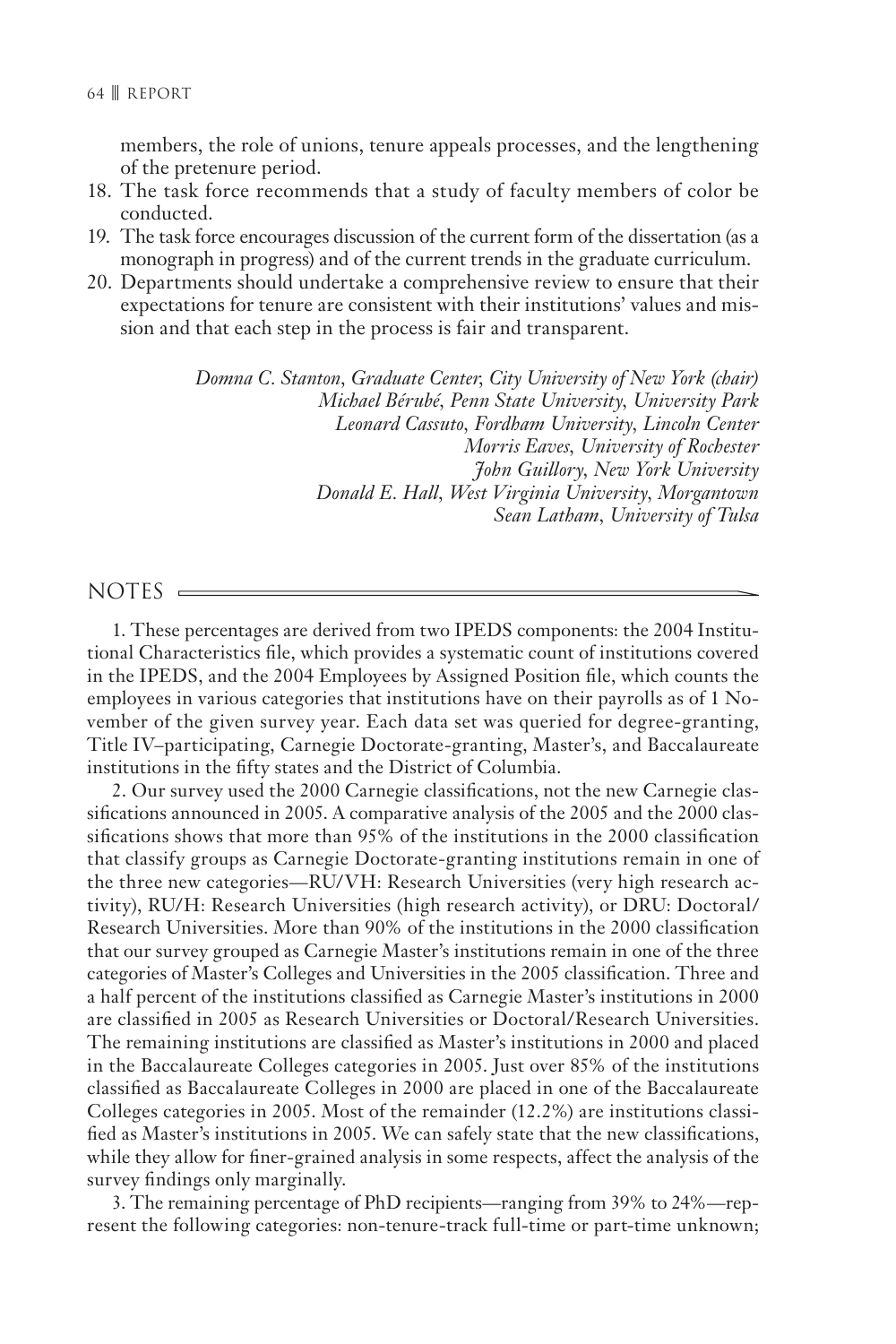members, the role of unions, tenure appeals processes, and the lengthening of the pretenure period.

- 18. The task force recommends that a study of faculty members of color be conducted.
- 19. The task force encourages discussion of the current form of the dissertation (as a monograph in progress) and of the current trends in the graduate curriculum.
- 20. Departments should undertake a comprehensive review to ensure that their expectations for tenure are consistent with their institutions' values and mis sion and that each step in the process is fair and transparent.

*Domna C. Stanton, Graduate Center, City University of New York (chair) Michael Bérubé, Penn State University, University Park Leonard Cassuto, Fordham University, Lincoln Center Morris Eaves, University of Rochester John Guillory, New York University Donald E. Hall, West Virginia University, Morgantown Sean Latham, University of Tulsa*

#### $NOTES =$

1. These percentages are derived from two IPEDS components: the 2004 Institu tional Characteristics file, which provides a systematic count of institutions covered in the IPEDS, and the 2004 Employees by Assigned Position file, which counts the employees in various categories that institutions have on their payrolls as of 1 No vember of the given survey year. Each data set was queried for degree-granting, Title IV–participating, Carnegie Doctorate-granting, Master's, and Baccalaureate institutions in the fifty states and the District of Columbia.

2. Our survey used the 2000 Carnegie classifications, not the new Carnegie clas sifications announced in 2005. A comparative analysis of the 2005 and the 2000 clas sifications shows that more than 95% of the institutions in the 2000 classification that classify groups as Carnegie Doctorate-granting institutions remain in one of the three new categories—RU/VH: Research Universities (very high research ac tivity), RU/H: Research Universities (high research activity), or DRU: Doctoral/ Research Universities. More than 90% of the institutions in the 2000 classification that our survey grouped as Carnegie Master's institutions remain in one of the three categories of Master's Colleges and Universities in the 2005 classification. Three and a half percent of the institutions classified as Carnegie Master's institutions in 2000 are classified in 2005 as Research Universities or Doctoral/Research Universities. The remaining institutions are classified as Master's institutions in 2000 and placed in the Baccalaureate Colleges categories in 2005. Just over 85% of the institutions classified as Baccalaureate Colleges in 2000 are placed in one of the Baccalaureate Colleges categories in 2005. Most of the remainder (12.2%) are institutions classi fied as Master's institutions in 2005. We can safely state that the new classifications, while they allow for finer-grained analysis in some respects, affect the analysis of the survey findings only marginally.

3. The remaining percentage of PhD recipients—ranging from 39% to 24%—rep resent the following categories: non-tenure-track full-time or part-time unknown;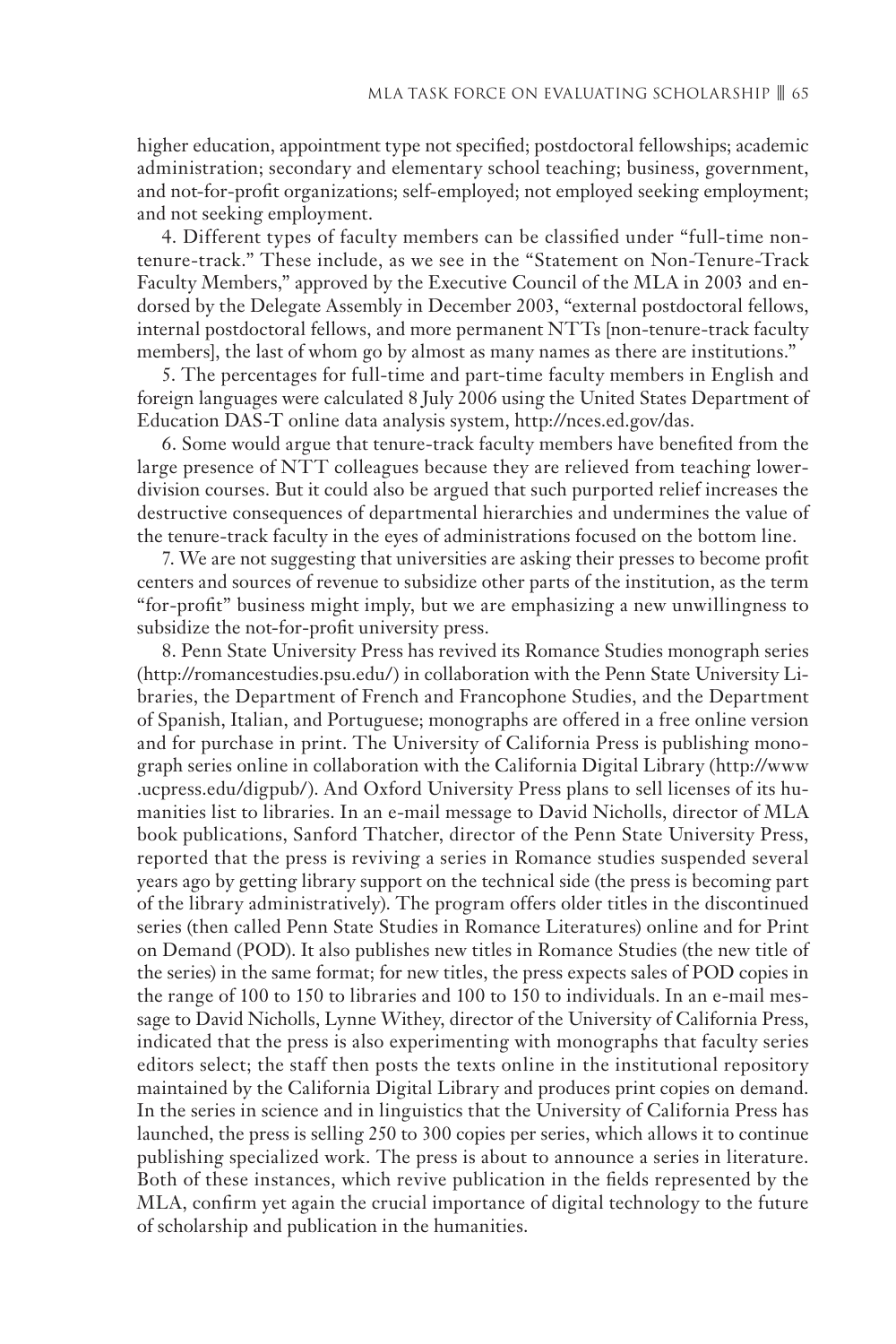higher education, appointment type not specified; postdoctoral fellowships; academic administration; secondary and elementary school teaching; business, government, and not-for-profit organizations; self-employed; not employed seeking employment; and not seeking employment.

4. Different types of faculty members can be classified under "full-time nontenure-track." These include, as we see in the "Statement on Non-Tenure-Track Faculty Members," approved by the Executive Council of the MLA in 2003 and en dorsed by the Delegate Assembly in December 2003, "external postdoctoral fellows, internal postdoctoral fellows, and more permanent NTTs [non-tenure-track faculty members], the last of whom go by almost as many names as there are institutions."

5. The percentages for full-time and part-time faculty members in English and foreign languages were calculated 8 July 2006 using the United States Department of Education DAS-T online data analysis system, http://nces.ed.gov/das.

6. Some would argue that tenure-track faculty members have benefited from the large presence of NTT colleagues because they are relieved from teaching lowerdivision courses. But it could also be argued that such purported relief increases the destructive consequences of departmental hierarchies and undermines the value of the tenure-track faculty in the eyes of administrations focused on the bottom line.

7. We are not suggesting that universities are asking their presses to become profit centers and sources of revenue to subsidize other parts of the institution, as the term "for-profit" business might imply, but we are emphasizing a new unwillingness to subsidize the not-for-profit university press.

8. Penn State University Press has revived its Romance Studies monograph series (http://romancestudies.psu.edu/) in collaboration with the Penn State University Li braries, the Department of French and Francophone Studies, and the Department of Spanish, Italian, and Portuguese; monographs are offered in a free online version and for purchase in print. The University of California Press is publishing mono graph series online in collaboration with the California Digital Library (http://www .ucpress.edu/digpub/). And Oxford University Press plans to sell licenses of its hu manities list to libraries. In an e-mail message to David Nicholls, director of MLA book publications, Sanford Thatcher, director of the Penn State University Press, reported that the press is reviving a series in Romance studies suspended several years ago by getting library support on the technical side (the press is becoming part of the library administratively). The program offers older titles in the discontinued series (then called Penn State Studies in Romance Literatures) online and for Print on Demand (POD). It also publishes new titles in Romance Studies (the new title of the series) in the same format; for new titles, the press expects sales of POD copies in the range of 100 to 150 to libraries and 100 to 150 to individuals. In an e-mail mes sage to David Nicholls, Lynne Withey, director of the University of California Press, indicated that the press is also experimenting with monographs that faculty series editors select; the staff then posts the texts online in the institutional repository maintained by the California Digital Library and produces print copies on demand. In the series in science and in linguistics that the University of California Press has launched, the press is selling 250 to 300 copies per series, which allows it to continue publishing specialized work. The press is about to announce a series in literature. Both of these instances, which revive publication in the fields represented by the MLA, confirm yet again the crucial importance of digital technology to the future of scholarship and publication in the humanities.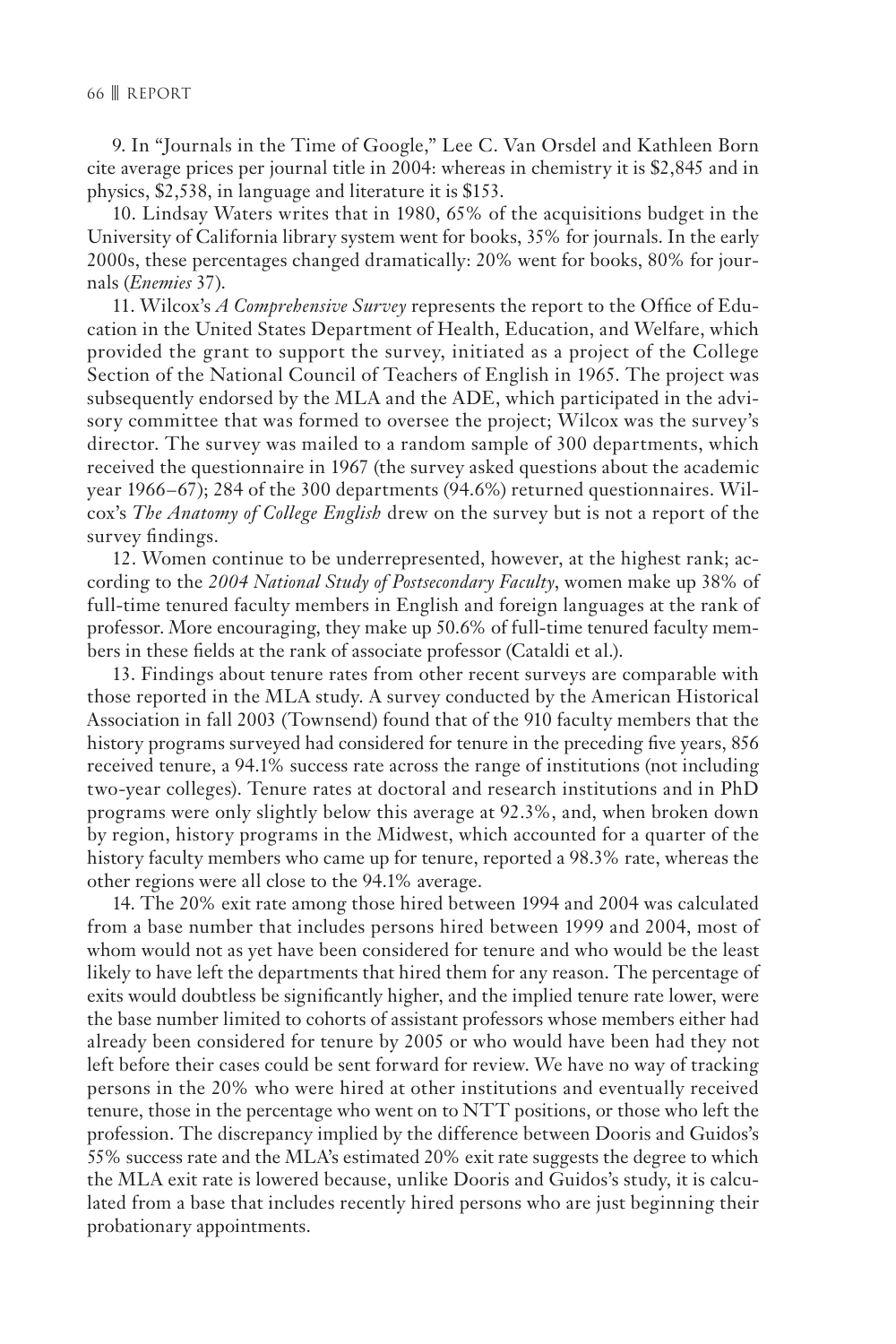9. In "Journals in the Time of Google," Lee C. Van Orsdel and Kathleen Born cite average prices per journal title in 2004: whereas in chemistry it is \$2,845 and in physics, \$2,538, in language and literature it is \$153.

10. Lindsay Waters writes that in 1980, 65% of the acquisitions budget in the University of California library system went for books, 35% for journals. In the early 2000s, these percentages changed dramatically: 20% went for books, 80% for jour nals (*Enemies* 37).

11. Wilcox's *A Comprehensive Survey* represents the report to the Office of Edu cation in the United States Department of Health, Education, and Welfare, which provided the grant to support the survey, initiated as a project of the College Section of the National Council of Teachers of English in 1965. The project was subsequently endorsed by the MLA and the ADE, which participated in the advi sory committee that was formed to oversee the project; Wilcox was the survey's director. The survey was mailed to a random sample of 300 departments, which received the questionnaire in 1967 (the survey asked questions about the academic year 1966–67); 284 of the 300 departments (94.6%) returned questionnaires. Wil cox's *The Anatomy of College English* drew on the survey but is not a report of the survey findings.

12. Women continue to be underrepresented, however, at the highest rank; ac cording to the *2004 National Study of Postsecondary Faculty*, women make up 38% of full-time tenured faculty members in English and foreign languages at the rank of professor. More encouraging, they make up 50.6% of full-time tenured faculty mem bers in these fields at the rank of associate professor (Cataldi et al.).

13. Findings about tenure rates from other recent surveys are comparable with those reported in the MLA study. A survey conducted by the American Historical Association in fall 2003 (Townsend) found that of the 910 faculty members that the history programs surveyed had considered for tenure in the preceding five years, 856 received tenure, a 94.1% success rate across the range of institutions (not including two-year colleges). Tenure rates at doctoral and research institutions and in PhD programs were only slightly below this average at 92.3%, and, when broken down by region, history programs in the Midwest, which accounted for a quarter of the history faculty members who came up for tenure, reported a 98.3% rate, whereas the other regions were all close to the 94.1% average.

14. The 20% exit rate among those hired between 1994 and 2004 was calculated from a base number that includes persons hired between 1999 and 2004, most of whom would not as yet have been considered for tenure and who would be the least likely to have left the departments that hired them for any reason. The percentage of exits would doubtless be significantly higher, and the implied tenure rate lower, were the base number limited to cohorts of assistant professors whose members either had already been considered for tenure by 2005 or who would have been had they not left before their cases could be sent forward for review. We have no way of tracking persons in the 20% who were hired at other institutions and eventually received tenure, those in the percentage who went on to NTT positions, or those who left the profession. The discrepancy implied by the difference between Dooris and Guidos's 55% success rate and the MLA's estimated 20% exit rate suggests the degree to which the MLA exit rate is lowered because, unlike Dooris and Guidos's study, it is calcu lated from a base that includes recently hired persons who are just beginning their probationary appointments.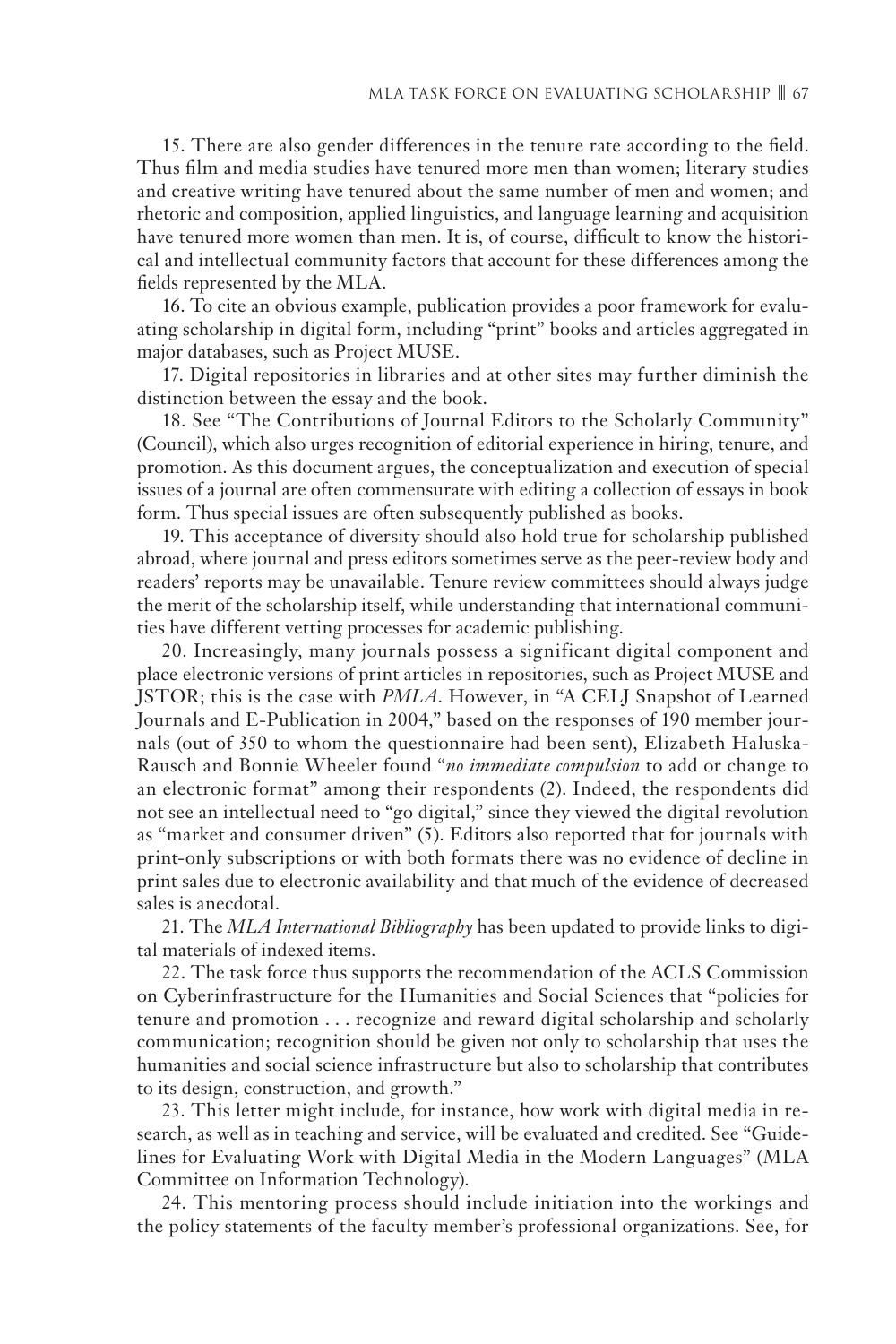15. There are also gender differences in the tenure rate according to the field. Thus film and media studies have tenured more men than women; literary studies and creative writing have tenured about the same number of men and women; and rhetoric and composition, applied linguistics, and language learning and acquisition have tenured more women than men. It is, of course, difficult to know the histori cal and intellectual community factors that account for these differences among the fields represented by the MLA.

16. To cite an obvious example, publication provides a poor framework for evalu ating scholarship in digital form, including "print" books and articles aggregated in major databases, such as Project MUSE.

17. Digital repositories in libraries and at other sites may further diminish the distinction between the essay and the book.

18. See "The Contributions of Journal Editors to the Scholarly Community" (Council), which also urges recognition of editorial experience in hiring, tenure, and promotion. As this document argues, the conceptualization and execution of special issues of a journal are often commensurate with editing a collection of essays in book form. Thus special issues are often subsequently published as books.

19. This acceptance of diversity should also hold true for scholarship published abroad, where journal and press editors sometimes serve as the peer-review body and readers' reports may be unavailable. Tenure review committees should always judge the merit of the scholarship itself, while understanding that international communi ties have different vetting processes for academic publishing.

20. Increasingly, many journals possess a significant digital component and place electronic versions of print articles in repositories, such as Project MUSE and JSTOR; this is the case with *PMLA*. However, in "A CELJ Snapshot of Learned Journals and E-Publication in 2004," based on the responses of 190 member jour nals (out of 350 to whom the questionnaire had been sent), Elizabeth Haluska-Rausch and Bonnie Wheeler found "*no immediate compulsion* to add or change to an electronic format" among their respondents (2). Indeed, the respondents did not see an intellectual need to "go digital," since they viewed the digital revolution as "market and consumer driven" (5). Editors also reported that for journals with print-only subscriptions or with both formats there was no evidence of decline in print sales due to electronic availability and that much of the evidence of decreased sales is anecdotal.

21. The *MLA International Bibliography* has been updated to provide links to digi tal materials of indexed items.

22. The task force thus supports the recommendation of the ACLS Commission on Cyberinfrastructure for the Humanities and Social Sciences that "policies for tenure and promotion . . . recognize and reward digital scholarship and scholarly communication; recognition should be given not only to scholarship that uses the humanities and social science infrastructure but also to scholarship that contributes to its design, construction, and growth."

23. This letter might include, for instance, how work with digital media in re search, as well as in teaching and service, will be evaluated and credited. See "Guide lines for Evaluating Work with Digital Media in the Modern Languages" (MLA Committee on Information Technology).

24. This mentoring process should include initiation into the workings and the policy statements of the faculty member's professional organizations. See, for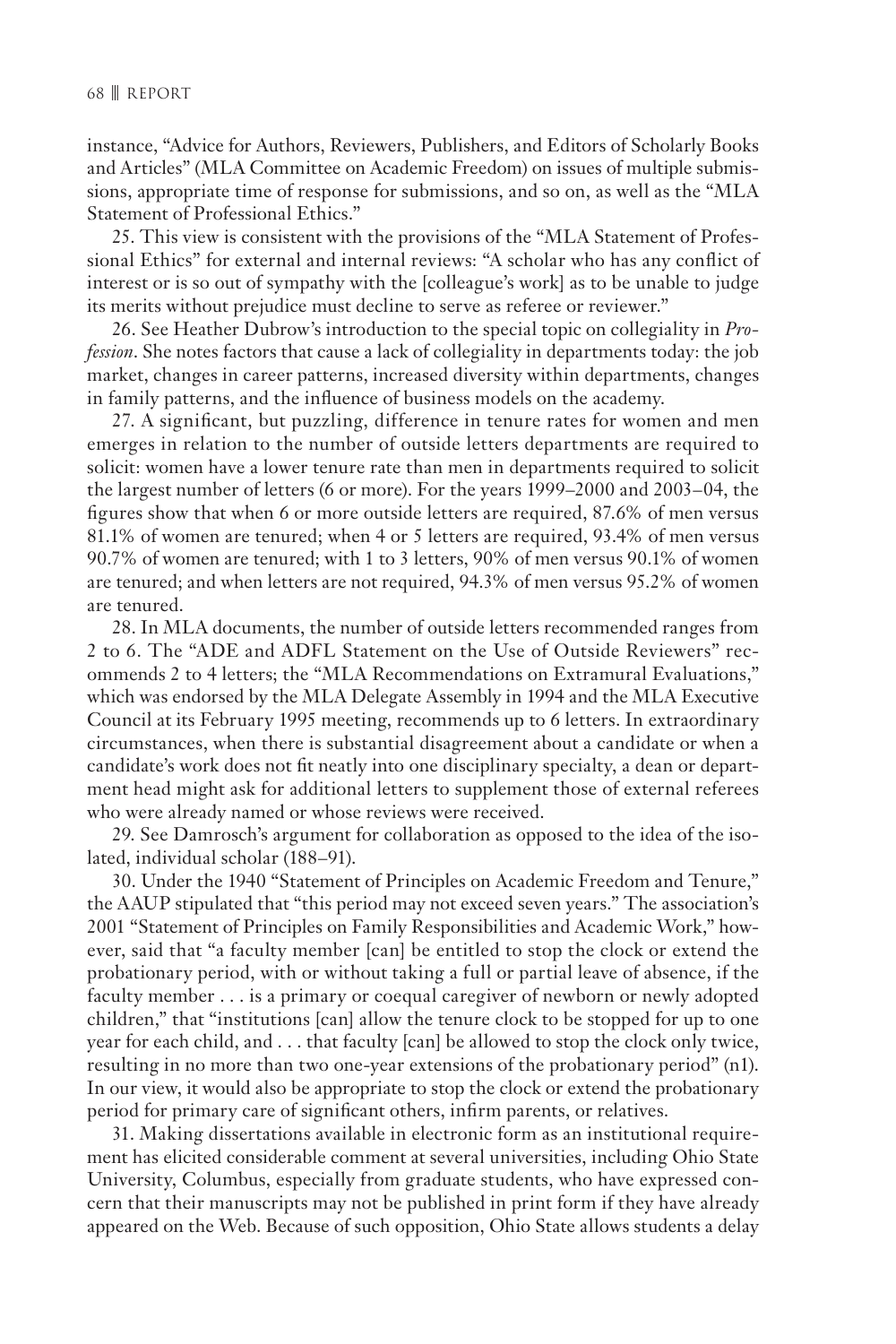#### 68 ||| report

instance, "Advice for Authors, Reviewers, Publishers, and Editors of Scholarly Books and Articles" (MLA Committee on Academic Freedom) on issues of multiple submis sions, appropriate time of response for submissions, and so on, as well as the "MLA Statement of Professional Ethics."

25. This view is consistent with the provisions of the "MLA Statement of Profes sional Ethics" for external and internal reviews: "A scholar who has any conflict of interest or is so out of sympathy with the [colleague's work] as to be unable to judge its merits without prejudice must decline to serve as referee or reviewer."

26. See Heather Dubrow's introduction to the special topic on collegiality in *Profession*. She notes factors that cause a lack of collegiality in departments today: the job market, changes in career patterns, increased diversity within departments, changes in family patterns, and the influence of business models on the academy.

27. A significant, but puzzling, difference in tenure rates for women and men emerges in relation to the number of outside letters departments are required to solicit: women have a lower tenure rate than men in departments required to solicit the largest number of letters (6 or more). For the years 1999–2000 and 2003–04, the figures show that when 6 or more outside letters are required, 87.6% of men versus 81.1% of women are tenured; when 4 or 5 letters are required, 93.4% of men versus 90.7% of women are tenured; with 1 to 3 letters, 90% of men versus 90.1% of women are tenured; and when letters are not required, 94.3% of men versus 95.2% of women are tenured.

28. In MLA documents, the number of outside letters recommended ranges from 2 to 6. The "ADE and ADFL Statement on the Use of Outside Reviewers" rec ommends 2 to 4 letters; the "MLA Recommendations on Extramural Evaluations," which was endorsed by the MLA Delegate Assembly in 1994 and the MLA Executive Council at its February 1995 meeting, recommends up to 6 letters. In extraordinary circumstances, when there is substantial disagreement about a candidate or when a candidate's work does not fit neatly into one disciplinary specialty, a dean or depart ment head might ask for additional letters to supplement those of external referees who were already named or whose reviews were received.

29. See Damrosch's argument for collaboration as opposed to the idea of the iso lated, individual scholar (188–91).

30. Under the 1940 "Statement of Principles on Academic Freedom and Tenure," the AAUP stipulated that "this period may not exceed seven years." The association's 2001 "Statement of Principles on Family Responsibilities and Academic Work," how ever, said that "a faculty member [can] be entitled to stop the clock or extend the probationary period, with or without taking a full or partial leave of absence, if the faculty member . . . is a primary or coequal caregiver of newborn or newly adopted children," that "institutions [can] allow the tenure clock to be stopped for up to one year for each child, and . . . that faculty [can] be allowed to stop the clock only twice, resulting in no more than two one-year extensions of the probationary period" (n1). In our view, it would also be appropriate to stop the clock or extend the probationary period for primary care of significant others, infirm parents, or relatives.

31. Making dissertations available in electronic form as an institutional require ment has elicited considerable comment at several universities, including Ohio State University, Columbus, especially from graduate students, who have expressed con cern that their manuscripts may not be published in print form if they have already appeared on the Web. Because of such opposition, Ohio State allows students a delay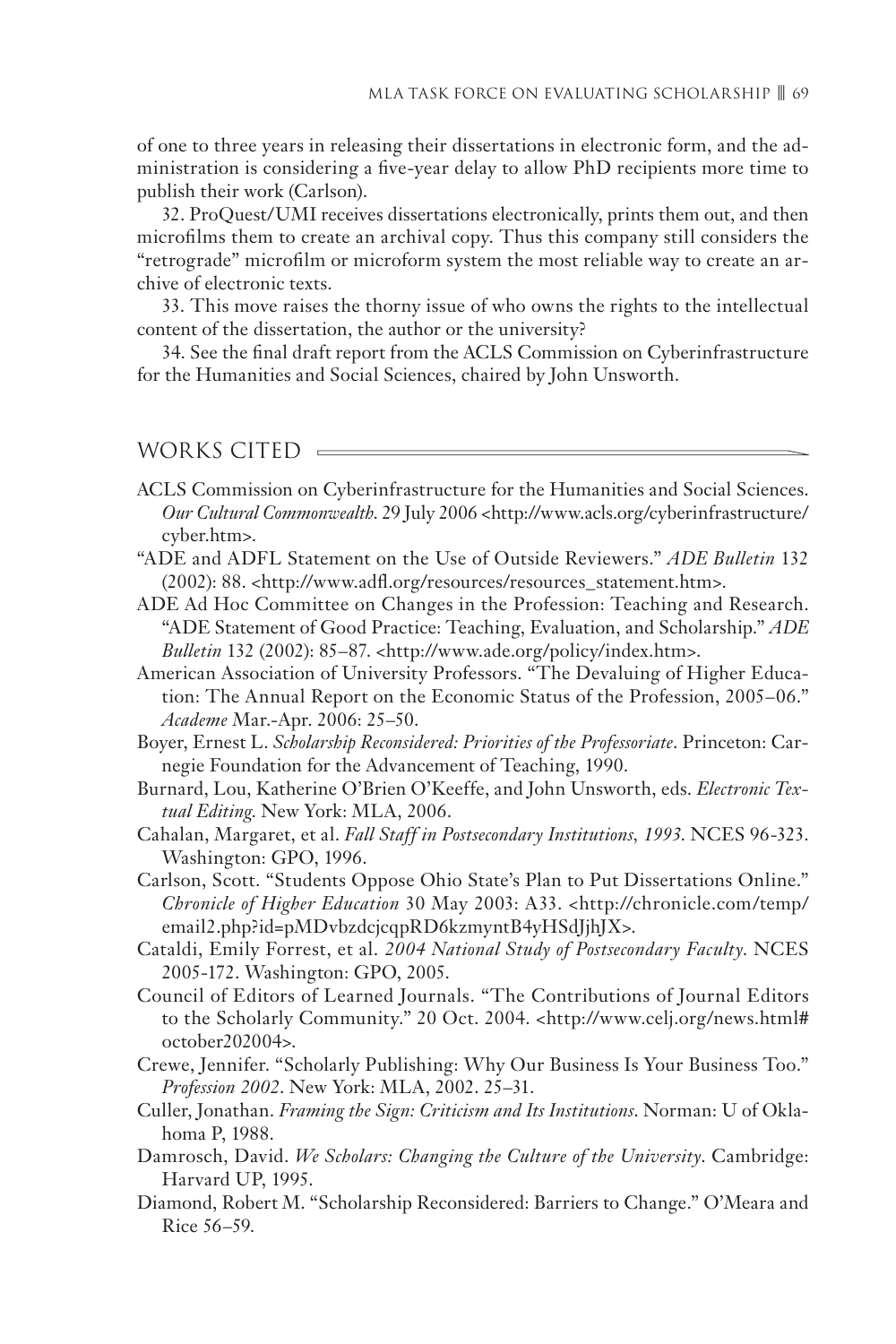of one to three years in releasing their dissertations in electronic form, and the ad ministration is considering a five-year delay to allow PhD recipients more time to publish their work (Carlson).

32. ProQuest/UMI receives dissertations electronically, prints them out, and then microfilms them to create an archival copy. Thus this company still considers the "retrograde" microfilm or microform system the most reliable way to create an ar chive of electronic texts.

33. This move raises the thorny issue of who owns the rights to the intellectual content of the dissertation, the author or the university?

34. See the final draft report from the ACLS Commission on Cyberinfrastructure for the Humanities and Social Sciences, chaired by John Unsworth.

#### WORKS CITED  $=$

- ACLS Commission on Cyberinfrastructure for the Humanities and Social Sciences. *Our Cultural Commonwealth*. 29 July 2006 <http://www.acls.org/cyberinfrastructure/ cyber.htm>.
- "ADE and ADFL Statement on the Use of Outside Reviewers." *ADE Bulletin* 132 (2002): 88. <http://www.adfl.org/resources/resources\_statement.htm>.
- ADE Ad Hoc Committee on Changes in the Profession: Teaching and Research. "ADE Statement of Good Practice: Teaching, Evaluation, and Scholarship." *ADE Bulletin* 132 (2002): 85–87. <http://www.ade.org/policy/index.htm>.
- American Association of University Professors. "The Devaluing of Higher Educa tion: The Annual Report on the Economic Status of the Profession, 2005–06." *Academe* Mar.-Apr. 2006: 25–50.
- Boyer, Ernest L. *Scholarship Reconsidered: Priorities of the Professoriate*. Princeton: Car negie Foundation for the Advancement of Teaching, 1990.
- Burnard, Lou, Katherine O'Brien O'Keeffe, and John Unsworth, eds. *Electronic Textual Editing*. New York: MLA, 2006.
- Cahalan, Margaret, et al. *Fall Staff in Postsecondary Institutions, 1993*. NCES 96-323. Washington: GPO, 1996.
- Carlson, Scott. "Students Oppose Ohio State's Plan to Put Dissertations Online." *Chronicle of Higher Education* 30 May 2003: A33. <http://chronicle.com/temp/ email2.php?id=pMDvbzdcjcqpRD6kzmyntB4yHSdJjhJX>.
- Cataldi, Emily Forrest, et al. *2004 National Study of Postsecondary Faculty*. NCES 2005-172. Washington: GPO, 2005.
- Council of Editors of Learned Journals. "The Contributions of Journal Editors to the Scholarly Community." 20 Oct. 2004. <http://www.celj.org/news.html# october202004>.
- Crewe, Jennifer. "Scholarly Publishing: Why Our Business Is Your Business Too." *Profession 2002*. New York: MLA, 2002. 25–31.
- Culler, Jonathan. *Framing the Sign: Criticism and Its Institutions*. Norman: U of Okla homa P, 1988.
- Damrosch, David. *We Scholars: Changing the Culture of the University*. Cambridge: Harvard UP, 1995.
- Diamond, Robert M. "Scholarship Reconsidered: Barriers to Change." O'Meara and Rice 56–59.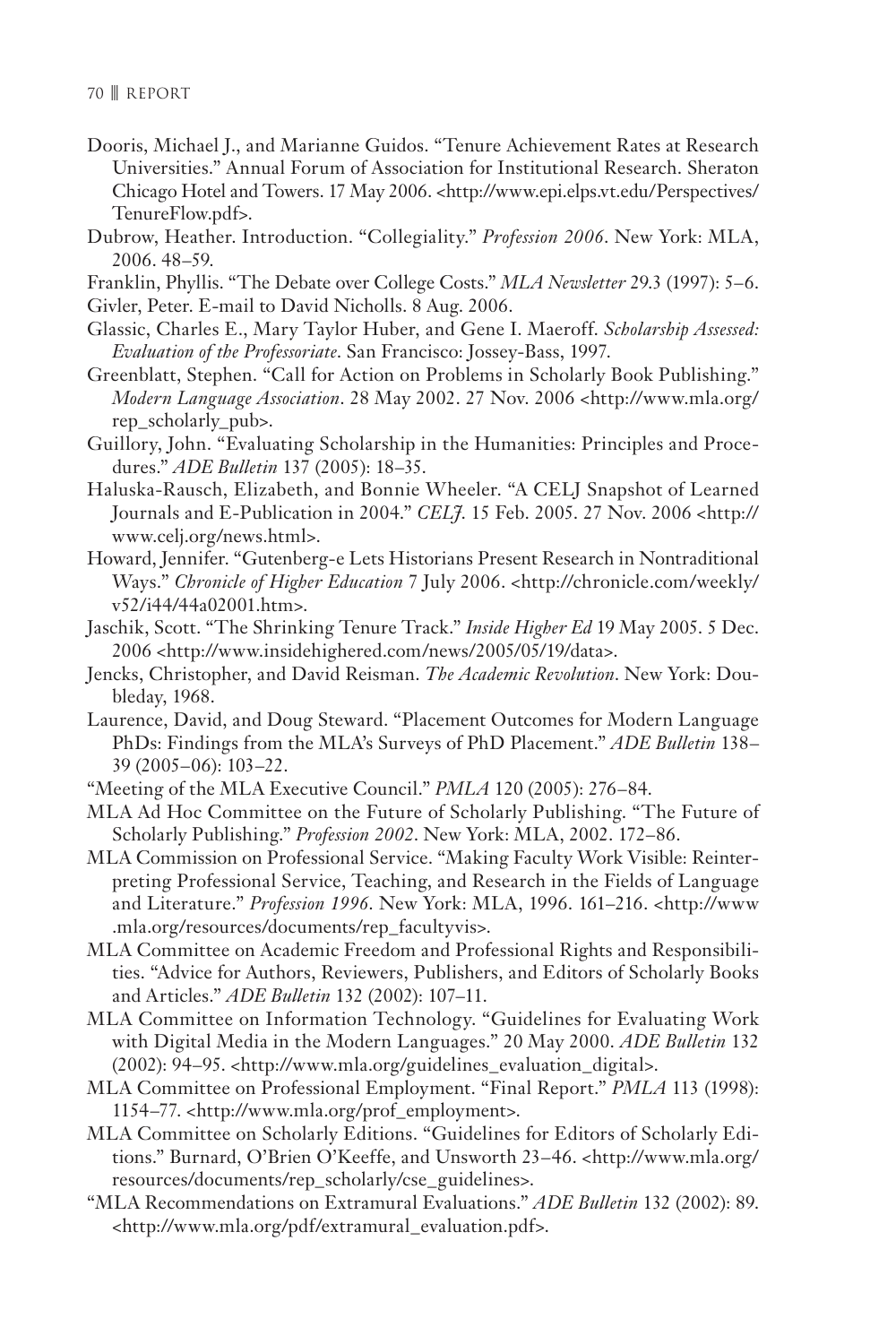- Dooris, Michael J., and Marianne Guidos. "Tenure Achievement Rates at Research Universities." Annual Forum of Association for Institutional Research. Sheraton Chicago Hotel and Towers. 17 May 2006. <http://www.epi.elps.vt.edu/Perspectives/ TenureFlow.pdf>.
- Dubrow, Heather. Introduction. "Collegiality." *Profession 2006*. New York: MLA, 2006. 48–59.
- Franklin, Phyllis. "The Debate over College Costs." *MLA Newsletter* 29.3 (1997): 5–6.
- Givler, Peter. E-mail to David Nicholls. 8 Aug. 2006.
- Glassic, Charles E., Mary Taylor Huber, and Gene I. Maeroff. *Scholarship Assessed: Evaluation of the Professoriate*. San Francisco: Jossey-Bass, 1997.
- Greenblatt, Stephen. "Call for Action on Problems in Scholarly Book Publishing." *Modern Language Association*. 28 May 2002. 27 Nov. 2006 <http://www.mla.org/ rep\_scholarly\_pub>.
- Guillory, John. "Evaluating Scholarship in the Humanities: Principles and Proce dures." *ADE Bulletin* 137 (2005): 18–35.
- Haluska-Rausch, Elizabeth, and Bonnie Wheeler. "A CELJ Snapshot of Learned Journals and E-Publication in 2004." *CELJ*. 15 Feb. 2005. 27 Nov. 2006 <http:// www.celj.org/news.html>.
- Howard, Jennifer. "Gutenberg-e Lets Historians Present Research in Nontraditional Ways." *Chronicle of Higher Education* 7 July 2006. <http://chronicle.com/weekly/ v52/i44/44a02001.htm>.
- Jaschik, Scott. "The Shrinking Tenure Track." *Inside Higher Ed* 19 May 2005. 5 Dec. 2006 <http://www.insidehighered.com/news/2005/05/19/data>.
- Jencks, Christopher, and David Reisman. *The Academic Revolution*. New York: Dou bleday, 1968.
- Laurence, David, and Doug Steward. "Placement Outcomes for Modern Language PhDs: Findings from the MLA's Surveys of PhD Placement." *ADE Bulletin* 138– 39 (2005–06): 103–22.
- "Meeting of the MLA Executive Council." *PMLA* 120 (2005): 276–84.
- MLA Ad Hoc Committee on the Future of Scholarly Publishing. "The Future of Scholarly Publishing." *Profession 2002*. New York: MLA, 2002. 172–86.
- MLA Commission on Professional Service. "Making Faculty Work Visible: Reinter preting Professional Service, Teaching, and Research in the Fields of Language and Literature." *Profession 1996*. New York: MLA, 1996. 161–216. <http://www .mla.org/resources/documents/rep\_facultyvis>.
- MLA Committee on Academic Freedom and Professional Rights and Responsibili ties. "Advice for Authors, Reviewers, Publishers, and Editors of Scholarly Books and Articles." *ADE Bulletin* 132 (2002): 107–11.
- MLA Committee on Information Technology. "Guidelines for Evaluating Work with Digital Media in the Modern Languages." 20 May 2000. *ADE Bulletin* 132 (2002): 94–95. <http://www.mla.org/guidelines\_evaluation\_digital>.
- MLA Committee on Professional Employment. "Final Report." *PMLA* 113 (1998): 1154–77. <http://www.mla.org/prof\_employment>.
- MLA Committee on Scholarly Editions. "Guidelines for Editors of Scholarly Edi tions." Burnard, O'Brien O'Keeffe, and Unsworth 23–46. <http://www.mla.org/ resources/documents/rep\_scholarly/cse\_guidelines>.
- "MLA Recommendations on Extramural Evaluations." *ADE Bulletin* 132 (2002): 89. <http://www.mla.org/pdf/extramural\_evaluation.pdf>.